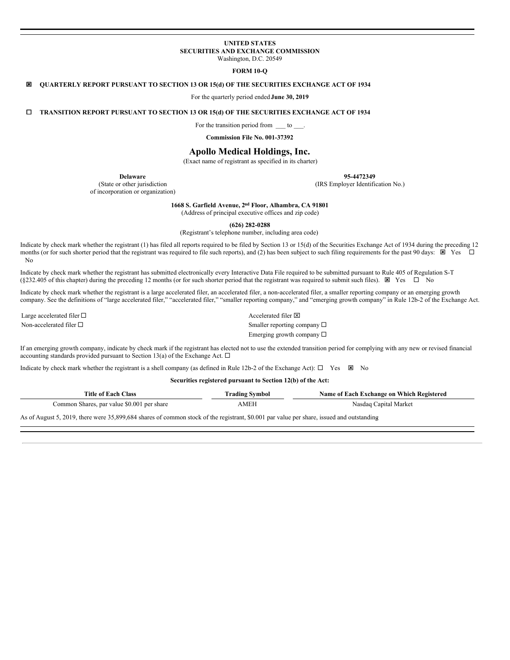# **UNITED STATES SECURITIES AND EXCHANGE COMMISSION**

Washington, D.C. 20549

### **FORM 10-Q**

### ý **QUARTERLY REPORT PURSUANT TO SECTION 13 OR 15(d) OF THE SECURITIES EXCHANGE ACT OF 1934**

For the quarterly period ended **June 30, 2019**

¨ **TRANSITION REPORT PURSUANT TO SECTION 13 OR 15(d) OF THE SECURITIES EXCHANGE ACT OF 1934**

For the transition period from to

**Commission File No. 001-37392**

# **Apollo Medical Holdings, Inc.**

(Exact name of registrant as specified in its charter)

**Delaware**

(State or other jurisdiction of incorporation or organization) **95-4472349**

(IRS Employer Identification No.)

**1668 S. Garfield Avenue, 2nd Floor, Alhambra, CA 91801**

(Address of principal executive offices and zip code)

**(626) 282-0288**

(Registrant's telephone number, including area code)

Indicate by check mark whether the registrant (1) has filed all reports required to be filed by Section 13 or 15(d) of the Securities Exchange Act of 1934 during the preceding 12 months (or for such shorter period that the registrant was required to file such reports), and (2) has been subject to such filing requirements for the past 90 days:  $\boxtimes$  Yes  $\Box$ No

Indicate by check mark whether the registrant has submitted electronically every Interactive Data File required to be submitted pursuant to Rule 405 of Regulation S-T (§232.405 of this chapter) during the preceding 12 months (or for such shorter period that the registrant was required to submit such files).  $\boxtimes$  Yes  $\Box$  No

Indicate by check mark whether the registrant is a large accelerated filer, an accelerated filer, a non-accelerated filer, a smaller reporting company or an emerging growth company. See the definitions of "large accelerated filer," "accelerated filer," "smaller reporting company," and "emerging growth company" in Rule 12b-2 of the Exchange Act.

Large accelerated filer  $\square$ Non-accelerated filer  $\square$  Smaller reporting company  $\square$ Emerging growth company  $\square$ 

If an emerging growth company, indicate by check mark if the registrant has elected not to use the extended transition period for complying with any new or revised financial accounting standards provided pursuant to Section 13(a) of the Exchange Act.  $\Box$ 

Indicate by check mark whether the registrant is a shell company (as defined in Rule 12b-2 of the Exchange Act):  $\Box$  Yes  $\boxtimes$  No

**Securities registered pursuant to Section 12(b) of the Act:**

| <b>Title of Each Class</b>                 | Frading Svmbol | Name of Each Exchange on Which Registered |
|--------------------------------------------|----------------|-------------------------------------------|
| Common Shares, par value \$0.001 per share | AMEH           | Nasdaq Capital Market                     |

As of August 5, 2019, there were 35,899,684 shares of common stock of the registrant, \$0.001 par value per share, issued and outstanding**.**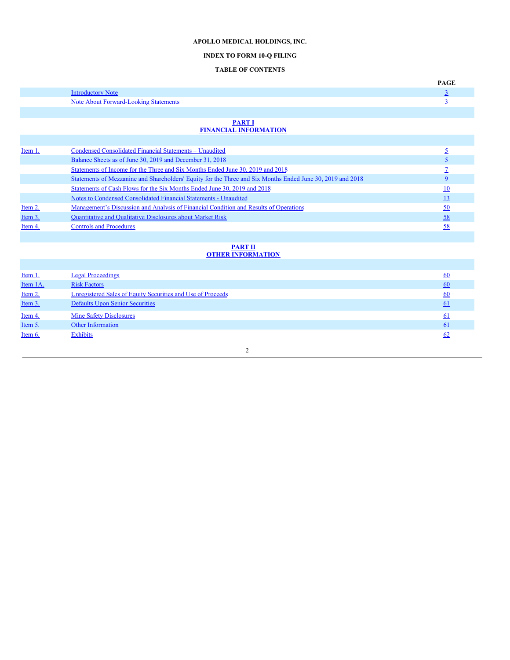# **APOLLO MEDICAL HOLDINGS, INC.**

# **INDEX TO FORM 10-Q FILING**

# **TABLE OF CONTENTS**

<span id="page-1-0"></span>

|                                       | PAGE |
|---------------------------------------|------|
| <b>Introductory Note</b>              |      |
| Note About Forward-Looking Statements |      |
|                                       |      |

#### **[PART](#page-4-0) I FINANCIAL [INFORMATION](#page-4-0)**

| Item 1. | Condensed Consolidated Financial Statements - Unaudited                                                    |           |
|---------|------------------------------------------------------------------------------------------------------------|-----------|
|         | Balance Sheets as of June 30, 2019 and December 31, 2018                                                   |           |
|         | Statements of Income for the Three and Six Months Ended June 30, 2019 and 2018                             |           |
|         | Statements of Mezzanine and Shareholders' Equity for the Three and Six Months Ended June 30, 2019 and 2018 |           |
|         | Statements of Cash Flows for the Six Months Ended June 30, 2019 and 2018                                   | <u>10</u> |
|         | Notes to Condensed Consolidated Financial Statements - Unaudited                                           | <u>13</u> |
| Item 2. | Management's Discussion and Analysis of Financial Condition and Results of Operations                      | <u>50</u> |
| Item 3. | <b>Quantitative and Qualitative Disclosures about Market Risk</b>                                          | <u>58</u> |
| Item 4. | <b>Controls and Procedures</b>                                                                             | <u>58</u> |
|         |                                                                                                            |           |

#### **[PART](#page-59-0) II OTHER [INFORMATION](#page-59-0)**

| Item 1.  | <b>Legal Proceedings</b>                                    | 60        |
|----------|-------------------------------------------------------------|-----------|
| Item 1A. | <b>Risk Factors</b>                                         | 60        |
| Item 2.  | Unregistered Sales of Equity Securities and Use of Proceeds | 60        |
| Item 3.  | <b>Defaults Upon Senior Securities</b>                      | <u>61</u> |
| Item 4.  | <b>Mine Safety Disclosures</b>                              | 61        |
| Item 5.  | Other Information                                           | 61        |
| Item 6.  | <b>Exhibits</b>                                             | 62        |
|          |                                                             |           |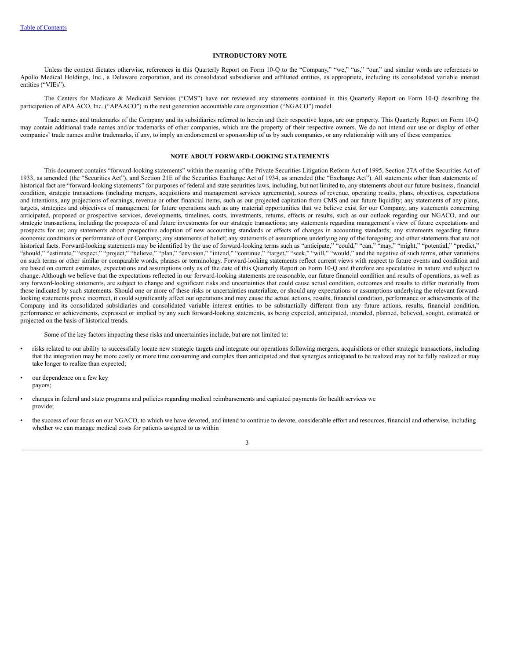### **INTRODUCTORY NOTE**

<span id="page-2-0"></span>Unless the context dictates otherwise, references in this Quarterly Report on Form 10-Q to the "Company," "we," "us," "our," and similar words are references to Apollo Medical Holdings, Inc., a Delaware corporation, and its consolidated subsidiaries and affiliated entities, as appropriate, including its consolidated variable interest entities ("VIEs").

The Centers for Medicare & Medicaid Services ("CMS") have not reviewed any statements contained in this Quarterly Report on Form 10-Q describing the participation of APA ACO, Inc. ("APAACO") in the next generation accountable care organization ("NGACO") model.

<span id="page-2-1"></span>Trade names and trademarks of the Company and its subsidiaries referred to herein and their respective logos, are our property. This Quarterly Report on Form 10-Q may contain additional trade names and/or trademarks of other companies, which are the property of their respective owners. We do not intend our use or display of other companies' trade names and/or trademarks, if any, to imply an endorsement or sponsorship of us by such companies, or any relationship with any of these companies.

### **NOTE ABOUT FORWARD-LOOKING STATEMENTS**

This document contains "forward-looking statements" within the meaning of the Private Securities Litigation Reform Act of 1995, Section 27A of the Securities Act of 1933, as amended (the "Securities Act"), and Section 21E of the Securities Exchange Act of 1934, as amended (the "Exchange Act"). All statements other than statements of historical fact are "forward-looking statements" for purposes of federal and state securities laws, including, but not limited to, any statements about our future business, financial condition, strategic transactions (including mergers, acquisitions and management services agreements), sources of revenue, operating results, plans, objectives, expectations and intentions, any projections of earnings, revenue or other financial items, such as our projected capitation from CMS and our future liquidity; any statements of any plans, targets, strategies and objectives of management for future operations such as any material opportunities that we believe exist for our Company; any statements concerning anticipated, proposed or prospective services, developments, timelines, costs, investments, returns, effects or results, such as our outlook regarding our NGACO, and our strategic transactions, including the prospects of and future investments for our strategic transactions; any statements regarding management's view of future expectations and prospects for us; any statements about prospective adoption of new accounting standards or effects of changes in accounting standards; any statements regarding future economic conditions or performance of our Company; any statements of belief; any statements of assumptions underlying any of the foregoing; and other statements that are not historical facts. Forward-looking statements may be identified by the use of forward-looking terms such as "anticipate," "could," "can," "may," "might," "potential," "predict," "should," "estimate," "expect," "project," "believe," "plan," "envision," "intend," "continue," "target," "seek," "will," "would," and the negative of such terms, other variations on such terms or other similar or comparable words, phrases or terminology. Forward-looking statements reflect current views with respect to future events and condition and are based on current estimates, expectations and assumptions only as of the date of this Quarterly Report on Form 10-Q and therefore are speculative in nature and subject to change. Although we believe that the expectations reflected in our forward-looking statements are reasonable, our future financial condition and results of operations, as well as any forward-looking statements, are subject to change and significant risks and uncertainties that could cause actual condition, outcomes and results to differ materially from those indicated by such statements. Should one or more of these risks or uncertainties materialize, or should any expectations or assumptions underlying the relevant forwardlooking statements prove incorrect, it could significantly affect our operations and may cause the actual actions, results, financial condition, performance or achievements of the Company and its consolidated subsidiaries and consolidated variable interest entities to be substantially different from any future actions, results, financial condition, performance or achievements, expressed or implied by any such forward-looking statements, as being expected, anticipated, intended, planned, believed, sought, estimated or projected on the basis of historical trends.

Some of the key factors impacting these risks and uncertainties include, but are not limited to:

- risks related to our ability to successfully locate new strategic targets and integrate our operations following mergers, acquisitions or other strategic transactions, including that the integration may be more costly or more time consuming and complex than anticipated and that synergies anticipated to be realized may not be fully realized or may take longer to realize than expected;
- our dependence on a few key payors;
- changes in federal and state programs and policies regarding medical reimbursements and capitated payments for health services we provide;
- the success of our focus on our NGACO, to which we have devoted, and intend to continue to devote, considerable effort and resources, financial and otherwise, including whether we can manage medical costs for patients assigned to us within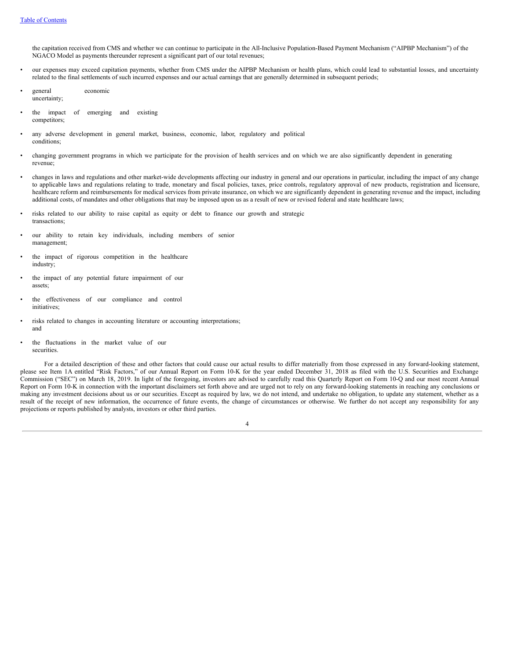the capitation received from CMS and whether we can continue to participate in the All-Inclusive Population-Based Payment Mechanism ("AIPBP Mechanism") of the NGACO Model as payments thereunder represent a significant part of our total revenues;

- our expenses may exceed capitation payments, whether from CMS under the AIPBP Mechanism or health plans, which could lead to substantial losses, and uncertainty related to the final settlements of such incurred expenses and our actual earnings that are generally determined in subsequent periods;
- general economic uncertainty;
- the impact of emerging and existing competitors;
- any adverse development in general market, business, economic, labor, regulatory and political conditions;
- changing government programs in which we participate for the provision of health services and on which we are also significantly dependent in generating revenue;
- changes in laws and regulations and other market-wide developments affecting our industry in general and our operations in particular, including the impact of any change to applicable laws and regulations relating to trade, monetary and fiscal policies, taxes, price controls, regulatory approval of new products, registration and licensure, healthcare reform and reimbursements for medical services from private insurance, on which we are significantly dependent in generating revenue and the impact, including additional costs, of mandates and other obligations that may be imposed upon us as a result of new or revised federal and state healthcare laws;
- risks related to our ability to raise capital as equity or debt to finance our growth and strategic transactions;
- our ability to retain key individuals, including members of senior management;
- the impact of rigorous competition in the healthcare industry;
- the impact of any potential future impairment of our assets;
- the effectiveness of our compliance and control initiatives;
- risks related to changes in accounting literature or accounting interpretations; and
- the fluctuations in the market value of our securities.

For a detailed description of these and other factors that could cause our actual results to differ materially from those expressed in any forward-looking statement, please see Item 1A entitled "Risk Factors," of our Annual Report on Form 10-K for the year ended December 31, 2018 as filed with the U.S. Securities and Exchange Commission ("SEC") on March 18, 2019. In light of the foregoing, investors are advised to carefully read this Quarterly Report on Form 10-Q and our most recent Annual Report on Form 10-K in connection with the important disclaimers set forth above and are urged not to rely on any forward-looking statements in reaching any conclusions or making any investment decisions about us or our securities. Except as required by law, we do not intend, and undertake no obligation, to update any statement, whether as a result of the receipt of new information, the occurrence of future events, the change of circumstances or otherwise. We further do not accept any responsibility for any projections or reports published by analysts, investors or other third parties.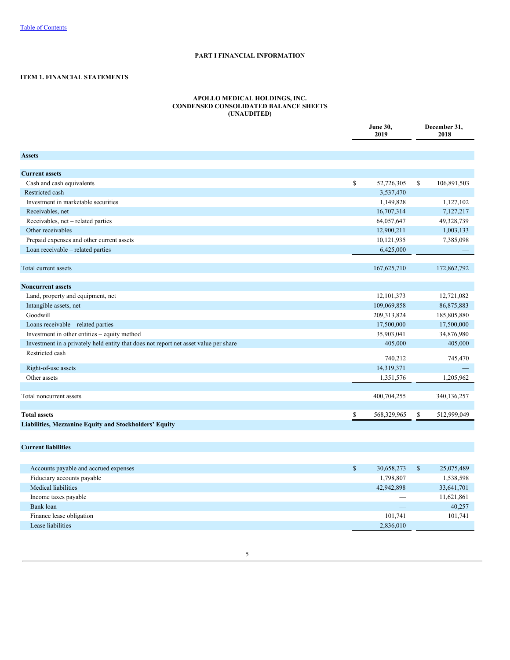# **PART I FINANCIAL INFORMATION**

# <span id="page-4-2"></span><span id="page-4-1"></span><span id="page-4-0"></span>**ITEM 1. FINANCIAL STATEMENTS**

#### **APOLLO MEDICAL HOLDINGS, INC. CONDENSED CONSOLIDATED BALANCE SHEETS (UNAUDITED)**

| \$<br>Cash and cash equivalents<br>\$<br>52,726,305<br>106,891,503<br>Restricted cash<br>3,537,470<br>Investment in marketable securities<br>1,127,102<br>1,149,828<br>Receivables, net<br>16,707,314<br>7,127,217<br>Receivables, net – related parties<br>64,057,647<br>49,328,739<br>Other receivables<br>12,900,211<br>1,003,133<br>Prepaid expenses and other current assets<br>7,385,098<br>10,121,935<br>Loan receivable – related parties<br>6,425,000<br>Total current assets<br>167,625,710<br>172,862,792<br>Land, property and equipment, net<br>12,101,373<br>12,721,082<br>Intangible assets, net<br>109,069,858<br>86,875,883<br>Goodwill<br>209,313,824<br>185,805,880<br>Loans receivable - related parties<br>17,500,000<br>17,500,000<br>Investment in other entities – equity method<br>35,903,041<br>34,876,980<br>Investment in a privately held entity that does not report net asset value per share<br>405,000<br>405,000<br>Restricted cash<br>740,212<br>745,470<br>Right-of-use assets<br>14,319,371<br>Other assets<br>1,205,962<br>1,351,576<br>400,704,255<br>340,136,257<br>512,999,049<br>\$<br>568,329,965<br>S |                                                        | <b>June 30,</b><br>2019 | December 31,<br>2018 |
|---------------------------------------------------------------------------------------------------------------------------------------------------------------------------------------------------------------------------------------------------------------------------------------------------------------------------------------------------------------------------------------------------------------------------------------------------------------------------------------------------------------------------------------------------------------------------------------------------------------------------------------------------------------------------------------------------------------------------------------------------------------------------------------------------------------------------------------------------------------------------------------------------------------------------------------------------------------------------------------------------------------------------------------------------------------------------------------------------------------------------------------------------|--------------------------------------------------------|-------------------------|----------------------|
|                                                                                                                                                                                                                                                                                                                                                                                                                                                                                                                                                                                                                                                                                                                                                                                                                                                                                                                                                                                                                                                                                                                                                   | <b>Assets</b>                                          |                         |                      |
|                                                                                                                                                                                                                                                                                                                                                                                                                                                                                                                                                                                                                                                                                                                                                                                                                                                                                                                                                                                                                                                                                                                                                   | <b>Current assets</b>                                  |                         |                      |
|                                                                                                                                                                                                                                                                                                                                                                                                                                                                                                                                                                                                                                                                                                                                                                                                                                                                                                                                                                                                                                                                                                                                                   |                                                        |                         |                      |
|                                                                                                                                                                                                                                                                                                                                                                                                                                                                                                                                                                                                                                                                                                                                                                                                                                                                                                                                                                                                                                                                                                                                                   |                                                        |                         |                      |
|                                                                                                                                                                                                                                                                                                                                                                                                                                                                                                                                                                                                                                                                                                                                                                                                                                                                                                                                                                                                                                                                                                                                                   |                                                        |                         |                      |
|                                                                                                                                                                                                                                                                                                                                                                                                                                                                                                                                                                                                                                                                                                                                                                                                                                                                                                                                                                                                                                                                                                                                                   |                                                        |                         |                      |
|                                                                                                                                                                                                                                                                                                                                                                                                                                                                                                                                                                                                                                                                                                                                                                                                                                                                                                                                                                                                                                                                                                                                                   |                                                        |                         |                      |
|                                                                                                                                                                                                                                                                                                                                                                                                                                                                                                                                                                                                                                                                                                                                                                                                                                                                                                                                                                                                                                                                                                                                                   |                                                        |                         |                      |
|                                                                                                                                                                                                                                                                                                                                                                                                                                                                                                                                                                                                                                                                                                                                                                                                                                                                                                                                                                                                                                                                                                                                                   |                                                        |                         |                      |
|                                                                                                                                                                                                                                                                                                                                                                                                                                                                                                                                                                                                                                                                                                                                                                                                                                                                                                                                                                                                                                                                                                                                                   |                                                        |                         |                      |
|                                                                                                                                                                                                                                                                                                                                                                                                                                                                                                                                                                                                                                                                                                                                                                                                                                                                                                                                                                                                                                                                                                                                                   |                                                        |                         |                      |
|                                                                                                                                                                                                                                                                                                                                                                                                                                                                                                                                                                                                                                                                                                                                                                                                                                                                                                                                                                                                                                                                                                                                                   |                                                        |                         |                      |
|                                                                                                                                                                                                                                                                                                                                                                                                                                                                                                                                                                                                                                                                                                                                                                                                                                                                                                                                                                                                                                                                                                                                                   | <b>Noncurrent assets</b>                               |                         |                      |
|                                                                                                                                                                                                                                                                                                                                                                                                                                                                                                                                                                                                                                                                                                                                                                                                                                                                                                                                                                                                                                                                                                                                                   |                                                        |                         |                      |
|                                                                                                                                                                                                                                                                                                                                                                                                                                                                                                                                                                                                                                                                                                                                                                                                                                                                                                                                                                                                                                                                                                                                                   |                                                        |                         |                      |
|                                                                                                                                                                                                                                                                                                                                                                                                                                                                                                                                                                                                                                                                                                                                                                                                                                                                                                                                                                                                                                                                                                                                                   |                                                        |                         |                      |
|                                                                                                                                                                                                                                                                                                                                                                                                                                                                                                                                                                                                                                                                                                                                                                                                                                                                                                                                                                                                                                                                                                                                                   |                                                        |                         |                      |
|                                                                                                                                                                                                                                                                                                                                                                                                                                                                                                                                                                                                                                                                                                                                                                                                                                                                                                                                                                                                                                                                                                                                                   |                                                        |                         |                      |
|                                                                                                                                                                                                                                                                                                                                                                                                                                                                                                                                                                                                                                                                                                                                                                                                                                                                                                                                                                                                                                                                                                                                                   |                                                        |                         |                      |
|                                                                                                                                                                                                                                                                                                                                                                                                                                                                                                                                                                                                                                                                                                                                                                                                                                                                                                                                                                                                                                                                                                                                                   |                                                        |                         |                      |
|                                                                                                                                                                                                                                                                                                                                                                                                                                                                                                                                                                                                                                                                                                                                                                                                                                                                                                                                                                                                                                                                                                                                                   |                                                        |                         |                      |
|                                                                                                                                                                                                                                                                                                                                                                                                                                                                                                                                                                                                                                                                                                                                                                                                                                                                                                                                                                                                                                                                                                                                                   |                                                        |                         |                      |
|                                                                                                                                                                                                                                                                                                                                                                                                                                                                                                                                                                                                                                                                                                                                                                                                                                                                                                                                                                                                                                                                                                                                                   |                                                        |                         |                      |
|                                                                                                                                                                                                                                                                                                                                                                                                                                                                                                                                                                                                                                                                                                                                                                                                                                                                                                                                                                                                                                                                                                                                                   | Total noncurrent assets                                |                         |                      |
|                                                                                                                                                                                                                                                                                                                                                                                                                                                                                                                                                                                                                                                                                                                                                                                                                                                                                                                                                                                                                                                                                                                                                   |                                                        |                         |                      |
|                                                                                                                                                                                                                                                                                                                                                                                                                                                                                                                                                                                                                                                                                                                                                                                                                                                                                                                                                                                                                                                                                                                                                   | <b>Total assets</b>                                    |                         |                      |
|                                                                                                                                                                                                                                                                                                                                                                                                                                                                                                                                                                                                                                                                                                                                                                                                                                                                                                                                                                                                                                                                                                                                                   | Liabilities, Mezzanine Equity and Stockholders' Equity |                         |                      |
|                                                                                                                                                                                                                                                                                                                                                                                                                                                                                                                                                                                                                                                                                                                                                                                                                                                                                                                                                                                                                                                                                                                                                   |                                                        |                         |                      |
|                                                                                                                                                                                                                                                                                                                                                                                                                                                                                                                                                                                                                                                                                                                                                                                                                                                                                                                                                                                                                                                                                                                                                   | <b>Current liabilities</b>                             |                         |                      |

| Accounts payable and accrued expenses | 30,658,273               | 25,075,489 |
|---------------------------------------|--------------------------|------------|
| Fiduciary accounts payable            | 1,798,807                | 1,538,598  |
| Medical liabilities                   | 42,942,898               | 33,641,701 |
| Income taxes payable                  | $\sim$                   | 11,621,861 |
| Bank loan                             | $\overline{\phantom{a}}$ | 40,257     |
| Finance lease obligation              | 101.741                  | 101,741    |
| Lease liabilities                     | 2,836,010                |            |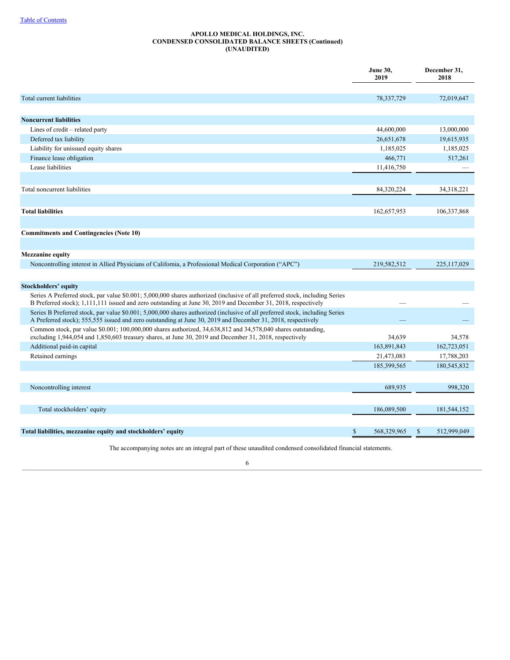### **APOLLO MEDICAL HOLDINGS, INC. CONDENSED CONSOLIDATED BALANCE SHEETS (Continued) (UNAUDITED)**

|                                                                                                                                                                                                                                                | <b>June 30,</b><br>2019    | December 31,<br>2018 |
|------------------------------------------------------------------------------------------------------------------------------------------------------------------------------------------------------------------------------------------------|----------------------------|----------------------|
| Total current liabilities                                                                                                                                                                                                                      | 78,337,729                 | 72,019,647           |
|                                                                                                                                                                                                                                                |                            |                      |
| <b>Noncurrent liabilities</b>                                                                                                                                                                                                                  |                            |                      |
| Lines of credit – related party                                                                                                                                                                                                                | 44,600,000                 | 13,000,000           |
| Deferred tax liability                                                                                                                                                                                                                         | 26,651,678                 | 19,615,935           |
| Liability for unissued equity shares                                                                                                                                                                                                           | 1,185,025                  | 1,185,025            |
| Finance lease obligation                                                                                                                                                                                                                       | 466,771                    | 517,261              |
| Lease liabilities                                                                                                                                                                                                                              | 11,416,750                 |                      |
|                                                                                                                                                                                                                                                |                            |                      |
| Total noncurrent liabilities                                                                                                                                                                                                                   | 84,320,224                 | 34,318,221           |
|                                                                                                                                                                                                                                                |                            |                      |
| <b>Total liabilities</b>                                                                                                                                                                                                                       | 162,657,953                | 106,337,868          |
|                                                                                                                                                                                                                                                |                            |                      |
| <b>Commitments and Contingencies (Note 10)</b>                                                                                                                                                                                                 |                            |                      |
|                                                                                                                                                                                                                                                |                            |                      |
| <b>Mezzanine equity</b>                                                                                                                                                                                                                        |                            |                      |
| Noncontrolling interest in Allied Physicians of California, a Professional Medical Corporation ("APC")                                                                                                                                         | 219,582,512                | 225, 117, 029        |
|                                                                                                                                                                                                                                                |                            |                      |
| <b>Stockholders' equity</b>                                                                                                                                                                                                                    |                            |                      |
| Series A Preferred stock, par value \$0.001; 5,000,000 shares authorized (inclusive of all preferred stock, including Series<br>B Preferred stock); 1,111,111 issued and zero outstanding at June 30, 2019 and December 31, 2018, respectively |                            |                      |
| Series B Preferred stock, par value \$0.001; 5,000,000 shares authorized (inclusive of all preferred stock, including Series<br>A Preferred stock); 555,555 issued and zero outstanding at June 30, 2019 and December 31, 2018, respectively   |                            |                      |
| Common stock, par value \$0.001; 100,000,000 shares authorized, 34,638,812 and 34,578,040 shares outstanding,<br>excluding 1,944,054 and 1,850,603 treasury shares, at June 30, 2019 and December 31, 2018, respectively                       | 34,639                     | 34,578               |
| Additional paid-in capital                                                                                                                                                                                                                     | 163,891,843                | 162,723,051          |
| Retained earnings                                                                                                                                                                                                                              | 21,473,083                 | 17,788,203           |
|                                                                                                                                                                                                                                                | 185,399,565                | 180,545,832          |
|                                                                                                                                                                                                                                                |                            |                      |
| Noncontrolling interest                                                                                                                                                                                                                        | 689,935                    | 998,320              |
|                                                                                                                                                                                                                                                |                            |                      |
| Total stockholders' equity                                                                                                                                                                                                                     | 186,089,500                | 181,544,152          |
|                                                                                                                                                                                                                                                |                            |                      |
| Total liabilities, mezzanine equity and stockholders' equity                                                                                                                                                                                   | $\mathbf S$<br>568,329,965 | 512.999.049<br>\$    |

The accompanying notes are an integral part of these unaudited condensed consolidated financial statements.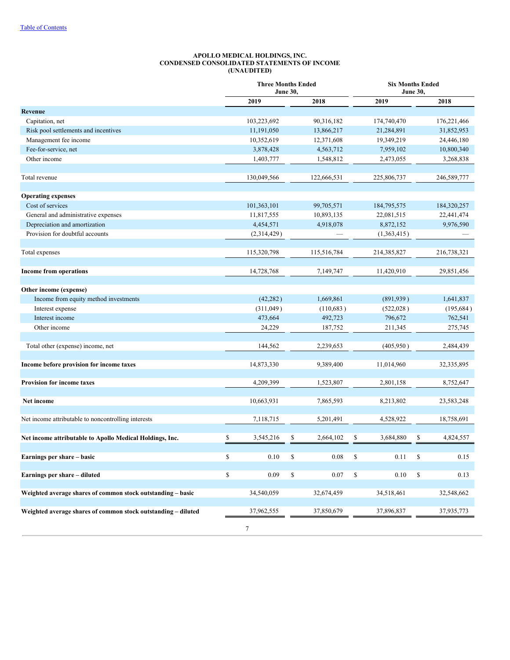#### **APOLLO MEDICAL HOLDINGS, INC. CONDENSED CONSOLIDATED STATEMENTS OF INCOME (UNAUDITED)**

<span id="page-6-0"></span>

| 2019<br>2018<br>2019<br>2018<br>Revenue<br>Capitation, net<br>103,223,692<br>90,316,182<br>174,740,470<br>176,221,466<br>Risk pool settlements and incentives<br>11,191,050<br>13,866,217<br>31,852,953<br>21,284,891<br>Management fee income<br>10,352,619<br>12,371,608<br>19,349,219<br>24,446,180<br>Fee-for-service, net<br>3,878,428<br>4,563,712<br>7,959,102<br>10,800,340<br>Other income<br>1,403,777<br>1,548,812<br>2,473,055<br>3,268,838<br>Total revenue<br>130,049,566<br>122,666,531<br>225,806,737<br>246,589,777<br><b>Operating expenses</b><br>Cost of services<br>101,363,101<br>99,705,571<br>184,795,575<br>184,320,257<br>General and administrative expenses<br>11,817,555<br>10,893,135<br>22,081,515<br>22,441,474<br>Depreciation and amortization<br>4,454,571<br>4,918,078<br>8,872,152<br>9,976,590<br>Provision for doubtful accounts<br>(2,314,429)<br>(1,363,415)<br>Total expenses<br>115,320,798<br>115,516,784<br>214,385,827<br>216,738,321<br>14,728,768<br>7,149,747<br>11,420,910<br>29,851,456<br>Income from operations<br>Other income (expense)<br>Income from equity method investments<br>(42, 282)<br>1,669,861<br>(891, 939)<br>1,641,837<br>Interest expense<br>(311,049)<br>(110, 683)<br>(522, 028)<br>(195, 684)<br>Interest income<br>473,664<br>492,723<br>796,672<br>762,541<br>Other income<br>24,229<br>211,345<br>275,745<br>187,752<br>Total other (expense) income, net<br>144,562<br>2,239,653<br>(405,950)<br>2,484,439<br>Income before provision for income taxes<br>14,873,330<br>9,389,400<br>11,014,960<br>32,335,895<br>4,209,399<br><b>Provision for income taxes</b><br>1,523,807<br>2,801,158<br>8,752,647<br>Net income<br>10,663,931<br>7,865,593<br>8,213,802<br>23,583,248<br>7,118,715<br>Net income attributable to noncontrolling interests<br>5,201,491<br>4,528,922<br>18,758,691<br>\$<br>3,545,216<br>2,664,102<br>\$<br>3,684,880<br>4,824,557<br>\$<br>Net income attributable to Apollo Medical Holdings, Inc.<br>\$<br>$\mathbb S$<br>$\mathbb{S}$<br>$0.10\,$<br>\$<br>0.08<br>0.11<br>\$<br>Earnings per share - basic<br>0.15<br>$\mathbb{S}$<br>Earnings per share - diluted<br>0.09<br>\$<br>$0.07\,$<br>\$<br>0.10<br>\$<br>0.13<br>34,540,059<br>Weighted average shares of common stock outstanding - basic<br>32,674,459<br>34,518,461<br>32,548,662<br>37,962,555<br>37,850,679<br>37,896,837<br>37,935,773<br>Weighted average shares of common stock outstanding - diluted |  | <b>Three Months Ended</b> | <b>June 30,</b> |  | <b>Six Months Ended</b><br><b>June 30.</b> |  |  |  |  |
|---------------------------------------------------------------------------------------------------------------------------------------------------------------------------------------------------------------------------------------------------------------------------------------------------------------------------------------------------------------------------------------------------------------------------------------------------------------------------------------------------------------------------------------------------------------------------------------------------------------------------------------------------------------------------------------------------------------------------------------------------------------------------------------------------------------------------------------------------------------------------------------------------------------------------------------------------------------------------------------------------------------------------------------------------------------------------------------------------------------------------------------------------------------------------------------------------------------------------------------------------------------------------------------------------------------------------------------------------------------------------------------------------------------------------------------------------------------------------------------------------------------------------------------------------------------------------------------------------------------------------------------------------------------------------------------------------------------------------------------------------------------------------------------------------------------------------------------------------------------------------------------------------------------------------------------------------------------------------------------------------------------------------------------------------------------------------------------------------------------------------------------------------------------------------------------------------------------------------------------------------------------------------------------------------------------------------------------------------------------------------------------------------------------------------------------------------------------------------------|--|---------------------------|-----------------|--|--------------------------------------------|--|--|--|--|
|                                                                                                                                                                                                                                                                                                                                                                                                                                                                                                                                                                                                                                                                                                                                                                                                                                                                                                                                                                                                                                                                                                                                                                                                                                                                                                                                                                                                                                                                                                                                                                                                                                                                                                                                                                                                                                                                                                                                                                                                                                                                                                                                                                                                                                                                                                                                                                                                                                                                                 |  |                           |                 |  |                                            |  |  |  |  |
|                                                                                                                                                                                                                                                                                                                                                                                                                                                                                                                                                                                                                                                                                                                                                                                                                                                                                                                                                                                                                                                                                                                                                                                                                                                                                                                                                                                                                                                                                                                                                                                                                                                                                                                                                                                                                                                                                                                                                                                                                                                                                                                                                                                                                                                                                                                                                                                                                                                                                 |  |                           |                 |  |                                            |  |  |  |  |
|                                                                                                                                                                                                                                                                                                                                                                                                                                                                                                                                                                                                                                                                                                                                                                                                                                                                                                                                                                                                                                                                                                                                                                                                                                                                                                                                                                                                                                                                                                                                                                                                                                                                                                                                                                                                                                                                                                                                                                                                                                                                                                                                                                                                                                                                                                                                                                                                                                                                                 |  |                           |                 |  |                                            |  |  |  |  |
|                                                                                                                                                                                                                                                                                                                                                                                                                                                                                                                                                                                                                                                                                                                                                                                                                                                                                                                                                                                                                                                                                                                                                                                                                                                                                                                                                                                                                                                                                                                                                                                                                                                                                                                                                                                                                                                                                                                                                                                                                                                                                                                                                                                                                                                                                                                                                                                                                                                                                 |  |                           |                 |  |                                            |  |  |  |  |
|                                                                                                                                                                                                                                                                                                                                                                                                                                                                                                                                                                                                                                                                                                                                                                                                                                                                                                                                                                                                                                                                                                                                                                                                                                                                                                                                                                                                                                                                                                                                                                                                                                                                                                                                                                                                                                                                                                                                                                                                                                                                                                                                                                                                                                                                                                                                                                                                                                                                                 |  |                           |                 |  |                                            |  |  |  |  |
|                                                                                                                                                                                                                                                                                                                                                                                                                                                                                                                                                                                                                                                                                                                                                                                                                                                                                                                                                                                                                                                                                                                                                                                                                                                                                                                                                                                                                                                                                                                                                                                                                                                                                                                                                                                                                                                                                                                                                                                                                                                                                                                                                                                                                                                                                                                                                                                                                                                                                 |  |                           |                 |  |                                            |  |  |  |  |
|                                                                                                                                                                                                                                                                                                                                                                                                                                                                                                                                                                                                                                                                                                                                                                                                                                                                                                                                                                                                                                                                                                                                                                                                                                                                                                                                                                                                                                                                                                                                                                                                                                                                                                                                                                                                                                                                                                                                                                                                                                                                                                                                                                                                                                                                                                                                                                                                                                                                                 |  |                           |                 |  |                                            |  |  |  |  |
|                                                                                                                                                                                                                                                                                                                                                                                                                                                                                                                                                                                                                                                                                                                                                                                                                                                                                                                                                                                                                                                                                                                                                                                                                                                                                                                                                                                                                                                                                                                                                                                                                                                                                                                                                                                                                                                                                                                                                                                                                                                                                                                                                                                                                                                                                                                                                                                                                                                                                 |  |                           |                 |  |                                            |  |  |  |  |
|                                                                                                                                                                                                                                                                                                                                                                                                                                                                                                                                                                                                                                                                                                                                                                                                                                                                                                                                                                                                                                                                                                                                                                                                                                                                                                                                                                                                                                                                                                                                                                                                                                                                                                                                                                                                                                                                                                                                                                                                                                                                                                                                                                                                                                                                                                                                                                                                                                                                                 |  |                           |                 |  |                                            |  |  |  |  |
|                                                                                                                                                                                                                                                                                                                                                                                                                                                                                                                                                                                                                                                                                                                                                                                                                                                                                                                                                                                                                                                                                                                                                                                                                                                                                                                                                                                                                                                                                                                                                                                                                                                                                                                                                                                                                                                                                                                                                                                                                                                                                                                                                                                                                                                                                                                                                                                                                                                                                 |  |                           |                 |  |                                            |  |  |  |  |
|                                                                                                                                                                                                                                                                                                                                                                                                                                                                                                                                                                                                                                                                                                                                                                                                                                                                                                                                                                                                                                                                                                                                                                                                                                                                                                                                                                                                                                                                                                                                                                                                                                                                                                                                                                                                                                                                                                                                                                                                                                                                                                                                                                                                                                                                                                                                                                                                                                                                                 |  |                           |                 |  |                                            |  |  |  |  |
|                                                                                                                                                                                                                                                                                                                                                                                                                                                                                                                                                                                                                                                                                                                                                                                                                                                                                                                                                                                                                                                                                                                                                                                                                                                                                                                                                                                                                                                                                                                                                                                                                                                                                                                                                                                                                                                                                                                                                                                                                                                                                                                                                                                                                                                                                                                                                                                                                                                                                 |  |                           |                 |  |                                            |  |  |  |  |
|                                                                                                                                                                                                                                                                                                                                                                                                                                                                                                                                                                                                                                                                                                                                                                                                                                                                                                                                                                                                                                                                                                                                                                                                                                                                                                                                                                                                                                                                                                                                                                                                                                                                                                                                                                                                                                                                                                                                                                                                                                                                                                                                                                                                                                                                                                                                                                                                                                                                                 |  |                           |                 |  |                                            |  |  |  |  |
|                                                                                                                                                                                                                                                                                                                                                                                                                                                                                                                                                                                                                                                                                                                                                                                                                                                                                                                                                                                                                                                                                                                                                                                                                                                                                                                                                                                                                                                                                                                                                                                                                                                                                                                                                                                                                                                                                                                                                                                                                                                                                                                                                                                                                                                                                                                                                                                                                                                                                 |  |                           |                 |  |                                            |  |  |  |  |
|                                                                                                                                                                                                                                                                                                                                                                                                                                                                                                                                                                                                                                                                                                                                                                                                                                                                                                                                                                                                                                                                                                                                                                                                                                                                                                                                                                                                                                                                                                                                                                                                                                                                                                                                                                                                                                                                                                                                                                                                                                                                                                                                                                                                                                                                                                                                                                                                                                                                                 |  |                           |                 |  |                                            |  |  |  |  |
|                                                                                                                                                                                                                                                                                                                                                                                                                                                                                                                                                                                                                                                                                                                                                                                                                                                                                                                                                                                                                                                                                                                                                                                                                                                                                                                                                                                                                                                                                                                                                                                                                                                                                                                                                                                                                                                                                                                                                                                                                                                                                                                                                                                                                                                                                                                                                                                                                                                                                 |  |                           |                 |  |                                            |  |  |  |  |
|                                                                                                                                                                                                                                                                                                                                                                                                                                                                                                                                                                                                                                                                                                                                                                                                                                                                                                                                                                                                                                                                                                                                                                                                                                                                                                                                                                                                                                                                                                                                                                                                                                                                                                                                                                                                                                                                                                                                                                                                                                                                                                                                                                                                                                                                                                                                                                                                                                                                                 |  |                           |                 |  |                                            |  |  |  |  |
|                                                                                                                                                                                                                                                                                                                                                                                                                                                                                                                                                                                                                                                                                                                                                                                                                                                                                                                                                                                                                                                                                                                                                                                                                                                                                                                                                                                                                                                                                                                                                                                                                                                                                                                                                                                                                                                                                                                                                                                                                                                                                                                                                                                                                                                                                                                                                                                                                                                                                 |  |                           |                 |  |                                            |  |  |  |  |
|                                                                                                                                                                                                                                                                                                                                                                                                                                                                                                                                                                                                                                                                                                                                                                                                                                                                                                                                                                                                                                                                                                                                                                                                                                                                                                                                                                                                                                                                                                                                                                                                                                                                                                                                                                                                                                                                                                                                                                                                                                                                                                                                                                                                                                                                                                                                                                                                                                                                                 |  |                           |                 |  |                                            |  |  |  |  |
|                                                                                                                                                                                                                                                                                                                                                                                                                                                                                                                                                                                                                                                                                                                                                                                                                                                                                                                                                                                                                                                                                                                                                                                                                                                                                                                                                                                                                                                                                                                                                                                                                                                                                                                                                                                                                                                                                                                                                                                                                                                                                                                                                                                                                                                                                                                                                                                                                                                                                 |  |                           |                 |  |                                            |  |  |  |  |
|                                                                                                                                                                                                                                                                                                                                                                                                                                                                                                                                                                                                                                                                                                                                                                                                                                                                                                                                                                                                                                                                                                                                                                                                                                                                                                                                                                                                                                                                                                                                                                                                                                                                                                                                                                                                                                                                                                                                                                                                                                                                                                                                                                                                                                                                                                                                                                                                                                                                                 |  |                           |                 |  |                                            |  |  |  |  |
|                                                                                                                                                                                                                                                                                                                                                                                                                                                                                                                                                                                                                                                                                                                                                                                                                                                                                                                                                                                                                                                                                                                                                                                                                                                                                                                                                                                                                                                                                                                                                                                                                                                                                                                                                                                                                                                                                                                                                                                                                                                                                                                                                                                                                                                                                                                                                                                                                                                                                 |  |                           |                 |  |                                            |  |  |  |  |
|                                                                                                                                                                                                                                                                                                                                                                                                                                                                                                                                                                                                                                                                                                                                                                                                                                                                                                                                                                                                                                                                                                                                                                                                                                                                                                                                                                                                                                                                                                                                                                                                                                                                                                                                                                                                                                                                                                                                                                                                                                                                                                                                                                                                                                                                                                                                                                                                                                                                                 |  |                           |                 |  |                                            |  |  |  |  |
|                                                                                                                                                                                                                                                                                                                                                                                                                                                                                                                                                                                                                                                                                                                                                                                                                                                                                                                                                                                                                                                                                                                                                                                                                                                                                                                                                                                                                                                                                                                                                                                                                                                                                                                                                                                                                                                                                                                                                                                                                                                                                                                                                                                                                                                                                                                                                                                                                                                                                 |  |                           |                 |  |                                            |  |  |  |  |
|                                                                                                                                                                                                                                                                                                                                                                                                                                                                                                                                                                                                                                                                                                                                                                                                                                                                                                                                                                                                                                                                                                                                                                                                                                                                                                                                                                                                                                                                                                                                                                                                                                                                                                                                                                                                                                                                                                                                                                                                                                                                                                                                                                                                                                                                                                                                                                                                                                                                                 |  |                           |                 |  |                                            |  |  |  |  |
|                                                                                                                                                                                                                                                                                                                                                                                                                                                                                                                                                                                                                                                                                                                                                                                                                                                                                                                                                                                                                                                                                                                                                                                                                                                                                                                                                                                                                                                                                                                                                                                                                                                                                                                                                                                                                                                                                                                                                                                                                                                                                                                                                                                                                                                                                                                                                                                                                                                                                 |  |                           |                 |  |                                            |  |  |  |  |
|                                                                                                                                                                                                                                                                                                                                                                                                                                                                                                                                                                                                                                                                                                                                                                                                                                                                                                                                                                                                                                                                                                                                                                                                                                                                                                                                                                                                                                                                                                                                                                                                                                                                                                                                                                                                                                                                                                                                                                                                                                                                                                                                                                                                                                                                                                                                                                                                                                                                                 |  |                           |                 |  |                                            |  |  |  |  |
|                                                                                                                                                                                                                                                                                                                                                                                                                                                                                                                                                                                                                                                                                                                                                                                                                                                                                                                                                                                                                                                                                                                                                                                                                                                                                                                                                                                                                                                                                                                                                                                                                                                                                                                                                                                                                                                                                                                                                                                                                                                                                                                                                                                                                                                                                                                                                                                                                                                                                 |  |                           |                 |  |                                            |  |  |  |  |
|                                                                                                                                                                                                                                                                                                                                                                                                                                                                                                                                                                                                                                                                                                                                                                                                                                                                                                                                                                                                                                                                                                                                                                                                                                                                                                                                                                                                                                                                                                                                                                                                                                                                                                                                                                                                                                                                                                                                                                                                                                                                                                                                                                                                                                                                                                                                                                                                                                                                                 |  |                           |                 |  |                                            |  |  |  |  |
|                                                                                                                                                                                                                                                                                                                                                                                                                                                                                                                                                                                                                                                                                                                                                                                                                                                                                                                                                                                                                                                                                                                                                                                                                                                                                                                                                                                                                                                                                                                                                                                                                                                                                                                                                                                                                                                                                                                                                                                                                                                                                                                                                                                                                                                                                                                                                                                                                                                                                 |  |                           |                 |  |                                            |  |  |  |  |
|                                                                                                                                                                                                                                                                                                                                                                                                                                                                                                                                                                                                                                                                                                                                                                                                                                                                                                                                                                                                                                                                                                                                                                                                                                                                                                                                                                                                                                                                                                                                                                                                                                                                                                                                                                                                                                                                                                                                                                                                                                                                                                                                                                                                                                                                                                                                                                                                                                                                                 |  |                           |                 |  |                                            |  |  |  |  |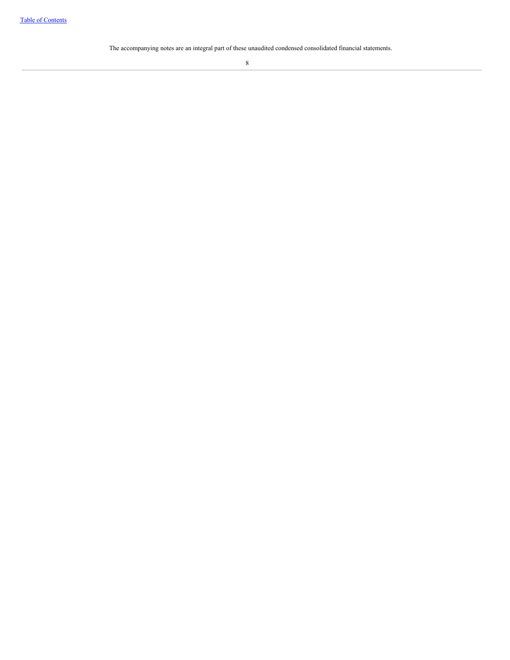# The accompanying notes are an integral part of these unaudited condensed consolidated financial statements.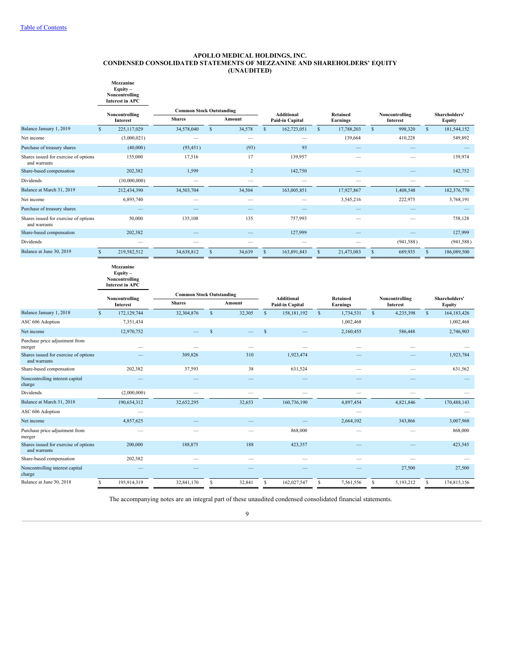#### <span id="page-8-0"></span>**APOLLO MEDICAL HOLDINGS, INC. CONDENSED CONSOLIDATED STATEMENTS OF MEZZANINE AND SHAREHOLDERS' EQUITY (UNAUDITED)**

| Mezzanine              |
|------------------------|
| $Equity -$             |
| Noncontrolling         |
| <b>Interest in APC</b> |

|                                                       | Noncontrolling |                 | <b>Common Stock Outstanding</b> |   | <b>Additional</b> |                 | Retained |                          | Noncontrolling |            | Shareholders' |             |
|-------------------------------------------------------|----------------|-----------------|---------------------------------|---|-------------------|-----------------|----------|--------------------------|----------------|------------|---------------|-------------|
|                                                       |                | <b>Interest</b> | <b>Shares</b>                   |   | Amount            | Paid-in Capital |          | Earnings                 | Interest       |            | Equity        |             |
| Balance January 1, 2019                               | s              | 225,117,029     | 34,578,040                      | S | 34,578            | 162,723,051     |          | 17,788,203               | S              | 998,320    |               | 181,544,152 |
| Net income                                            |                | (3,000,021)     |                                 |   |                   |                 |          | 139,664                  |                | 410,228    |               | 549,892     |
| Purchase of treasury shares                           |                | (40,000)        | (93, 451)                       |   | (93)              | 93              |          |                          |                |            |               |             |
| Shares issued for exercise of options<br>and warrants |                | 155,000         | 17,516                          |   | 17                | 139,957         |          |                          |                |            |               | 139,974     |
| Share-based compensation                              |                | 202,382         | 1,599                           |   | $\overline{c}$    | 142,750         |          |                          |                |            |               | 142,752     |
| Dividends                                             |                | (10,000,000)    | $\overline{\phantom{a}}$        |   |                   |                 |          | $\overline{\phantom{a}}$ |                |            |               |             |
| Balance at March 31, 2019                             |                | 212,434,390     | 34,503,704                      |   | 34,504            | 163,005,851     |          | 17,927,867               |                | 1,408,548  |               | 182,376,770 |
| Net income                                            |                | 6,895,740       |                                 |   |                   |                 |          | 3,545,216                |                | 222,975    |               | 3,768,191   |
| Purchase of treasury shares                           |                |                 |                                 |   |                   |                 |          | $\overline{\phantom{a}}$ |                |            |               |             |
| Shares issued for exercise of options<br>and warrants |                | 50,000          | 135,108                         |   | 135               | 757,993         |          |                          |                |            |               | 758,128     |
| Share-based compensation                              |                | 202,382         |                                 |   |                   | 127,999         |          |                          |                |            |               | 127,999     |
| Dividends                                             |                |                 |                                 |   |                   |                 |          |                          |                | (941, 588) |               | (941, 588)  |
| Balance at June 30, 2019                              |                | 219,582,512     | 34,638,812                      |   | 34,639            | 163,891,843     |          | 21,473,083               |                | 689,935    |               | 186,089,500 |

**Mezzanine Equity – Noncontrolling Interest in APC**

|                                                       | Noncontrolling |                 | <b>Common Stock Outstanding</b> |  |    | <b>Additional</b> |    | Retained        |              | Noncontrolling           |                 | Shareholders' |               |               |
|-------------------------------------------------------|----------------|-----------------|---------------------------------|--|----|-------------------|----|-----------------|--------------|--------------------------|-----------------|---------------|---------------|---------------|
|                                                       |                | <b>Interest</b> | <b>Shares</b>                   |  |    | Amount            |    | Paid-in Capital |              | Earnings                 | <b>Interest</b> |               | <b>Equity</b> |               |
| Balance January 1, 2018                               | S              | 172,129,744     | 32,304,876                      |  | \$ | 32,305            | S. | 158, 181, 192   | $\mathbb{S}$ | 1,734,531                | S               | 4,235,398     |               | 164, 183, 426 |
| ASC 606 Adoption                                      |                | 7,351,434       |                                 |  |    |                   |    |                 |              | 1,002,468                |                 |               |               | 1,002,468     |
| Net income                                            |                | 12,970,752      |                                 |  | S  |                   | S  |                 |              | 2,160,455                |                 | 586,448       |               | 2,746,903     |
| Purchase price adjustment from<br>merger              |                |                 |                                 |  |    |                   |    |                 |              |                          |                 |               |               |               |
| Shares issued for exercise of options<br>and warrants |                |                 | 309,826                         |  |    | 310               |    | 1,923,474       |              |                          |                 |               |               | 1,923,784     |
| Share-based compensation                              |                | 202,382         | 37,593                          |  |    | 38                |    | 631,524         |              |                          |                 |               |               | 631,562       |
| Noncontrolling interest capital<br>charge             |                |                 |                                 |  |    |                   |    |                 |              |                          |                 |               |               |               |
| Dividends                                             |                | (2,000,000)     |                                 |  |    |                   |    |                 |              |                          |                 |               |               |               |
| Balance at March 31, 2018                             |                | 190,654,312     | 32,652,295                      |  |    | 32,653            |    | 160,736,190     |              | 4,897,454                |                 | 4,821,846     |               | 170,488,143   |
| ASC 606 Adoption                                      |                |                 |                                 |  |    |                   |    |                 |              | $\overline{\phantom{a}}$ |                 |               |               |               |
| Net income                                            |                | 4,857,625       |                                 |  |    |                   |    |                 |              | 2,664,102                |                 | 343,866       |               | 3,007,968     |
| Purchase price adjustment from<br>merger              |                |                 |                                 |  |    |                   |    | 868,000         |              |                          |                 |               |               | 868,000       |
| Shares issued for exercise of options<br>and warrants |                | 200,000         | 188,875                         |  |    | 188               |    | 423,357         |              |                          |                 |               |               | 423,545       |
| Share-based compensation                              |                | 202,382         |                                 |  |    |                   |    |                 |              |                          |                 |               |               |               |
| Noncontrolling interest capital<br>charge             |                |                 |                                 |  |    |                   |    |                 |              |                          |                 | 27,500        |               | 27,500        |
| Balance at June 30, 2018                              |                | 195,914,319     | 32,841,170                      |  | \$ | 32,841            | S  | 162,027,547     | S            | 7,561,556                | s               | 5,193,212     |               | 174,815,156   |

The accompanying notes are an integral part of these unaudited condensed consolidated financial statements.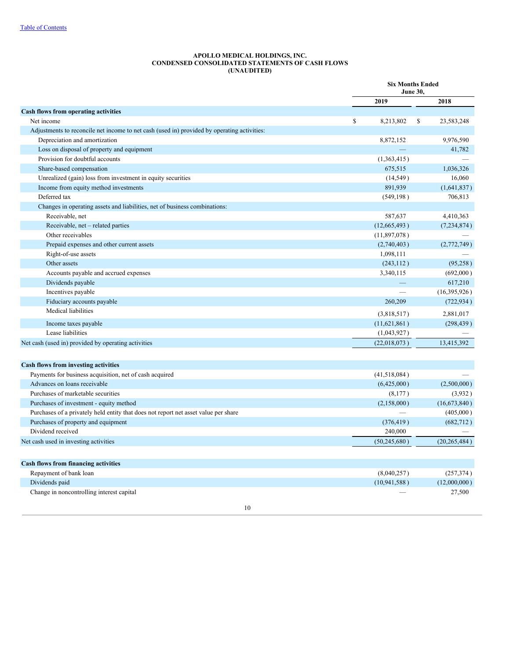#### **APOLLO MEDICAL HOLDINGS, INC. CONDENSED CONSOLIDATED STATEMENTS OF CASH FLOWS (UNAUDITED)**

<span id="page-9-0"></span>

|                                                                                             |              | <b>Six Months Ended</b> | <b>June 30,</b> |                |
|---------------------------------------------------------------------------------------------|--------------|-------------------------|-----------------|----------------|
|                                                                                             |              | 2019                    |                 | 2018           |
| <b>Cash flows from operating activities</b>                                                 |              |                         |                 |                |
| Net income                                                                                  | $\mathbb{S}$ | 8,213,802               | \$              | 23,583,248     |
| Adjustments to reconcile net income to net cash (used in) provided by operating activities: |              |                         |                 |                |
| Depreciation and amortization                                                               |              | 8,872,152               |                 | 9,976,590      |
| Loss on disposal of property and equipment                                                  |              |                         |                 | 41,782         |
| Provision for doubtful accounts                                                             |              | (1,363,415)             |                 |                |
| Share-based compensation                                                                    |              | 675,515                 |                 | 1,036,326      |
| Unrealized (gain) loss from investment in equity securities                                 |              | (14, 549)               |                 | 16,060         |
| Income from equity method investments                                                       |              | 891,939                 |                 | (1,641,837)    |
| Deferred tax                                                                                |              | (549, 198)              |                 | 706,813        |
| Changes in operating assets and liabilities, net of business combinations:                  |              |                         |                 |                |
| Receivable, net                                                                             |              | 587,637                 |                 | 4,410,363      |
| Receivable, net – related parties                                                           |              | (12,665,493)            |                 | (7, 234, 874)  |
| Other receivables                                                                           |              | (11,897,078)            |                 |                |
| Prepaid expenses and other current assets                                                   |              | (2,740,403)             |                 | (2,772,749)    |
| Right-of-use assets                                                                         |              | 1,098,111               |                 |                |
| Other assets                                                                                |              | (243, 112)              |                 | (95,258)       |
| Accounts payable and accrued expenses                                                       |              | 3,340,115               |                 | (692,000)      |
| Dividends payable                                                                           |              |                         |                 | 617,210        |
| Incentives payable                                                                          |              | ÷.                      |                 | (16,395,926)   |
| Fiduciary accounts payable                                                                  |              | 260,209                 |                 | (722, 934)     |
| Medical liabilities                                                                         |              | (3,818,517)             |                 | 2,881,017      |
| Income taxes payable                                                                        |              | (11,621,861)            |                 | (298, 439)     |
| Lease liabilities                                                                           |              | (1,043,927)             |                 |                |
| Net cash (used in) provided by operating activities                                         |              | (22,018,073)            |                 | 13,415,392     |
|                                                                                             |              |                         |                 |                |
| Cash flows from investing activities                                                        |              |                         |                 |                |
| Payments for business acquisition, net of cash acquired                                     |              | (41,518,084)            |                 |                |
| Advances on loans receivable                                                                |              | (6,425,000)             |                 | (2,500,000)    |
| Purchases of marketable securities                                                          |              | (8,177)                 |                 | (3,932)        |
| Purchases of investment - equity method                                                     |              | (2,158,000)             |                 | (16, 673, 840) |
| Purchases of a privately held entity that does not report net asset value per share         |              |                         |                 | (405,000)      |
| Purchases of property and equipment                                                         |              | (376, 419)              |                 | (682, 712)     |
| Dividend received                                                                           |              | 240,000                 |                 |                |
| Net cash used in investing activities                                                       |              | (50, 245, 680)          |                 | (20, 265, 484) |
|                                                                                             |              |                         |                 |                |
| <b>Cash flows from financing activities</b>                                                 |              |                         |                 |                |
| Repayment of bank loan                                                                      |              | (8,040,257)             |                 | (257, 374)     |
| Dividends paid                                                                              |              | (10, 941, 588)          |                 | (12,000,000)   |
| Change in noncontrolling interest capital                                                   |              |                         |                 | 27,500         |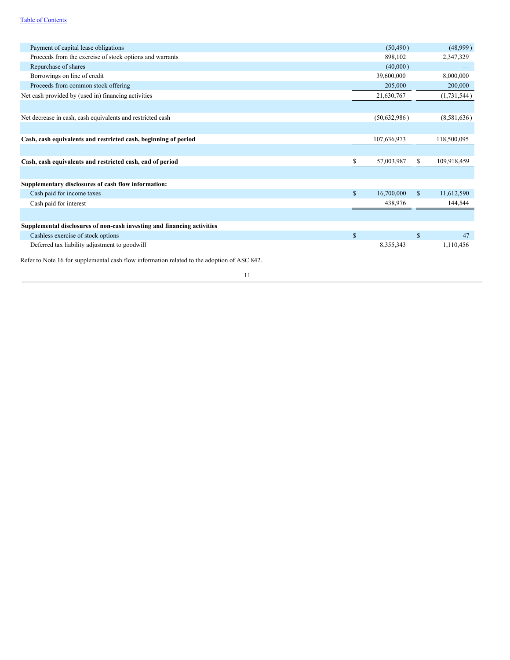| Payment of capital lease obligations                                                        |               | (50, 490)    |              | (48,999)    |
|---------------------------------------------------------------------------------------------|---------------|--------------|--------------|-------------|
| Proceeds from the exercise of stock options and warrants                                    |               | 898,102      |              | 2,347,329   |
| Repurchase of shares                                                                        |               | (40,000)     |              |             |
| Borrowings on line of credit                                                                |               | 39,600,000   |              | 8,000,000   |
| Proceeds from common stock offering                                                         |               | 205,000      |              | 200,000     |
| Net cash provided by (used in) financing activities                                         |               | 21,630,767   |              | (1,731,544) |
|                                                                                             |               |              |              |             |
| Net decrease in cash, cash equivalents and restricted cash                                  |               | (50,632,986) |              | (8,581,636) |
|                                                                                             |               |              |              |             |
| Cash, cash equivalents and restricted cash, beginning of period                             |               | 107,636,973  |              | 118,500,095 |
|                                                                                             |               |              |              |             |
| Cash, cash equivalents and restricted cash, end of period                                   | S             | 57,003,987   | S            | 109,918,459 |
|                                                                                             |               |              |              |             |
| Supplementary disclosures of cash flow information:                                         |               |              |              |             |
| Cash paid for income taxes                                                                  | $\mathsf{\$}$ | 16,700,000   | $\mathbb{S}$ | 11,612,590  |
| Cash paid for interest                                                                      |               | 438,976      |              | 144,544     |
|                                                                                             |               |              |              |             |
| Supplemental disclosures of non-cash investing and financing activities                     |               |              |              |             |
| Cashless exercise of stock options                                                          | $\mathbb{S}$  |              | $\mathbb{S}$ | 47          |
| Deferred tax liability adjustment to goodwill                                               |               | 8,355,343    |              | 1,110,456   |
| Refer to Note 16 for supplemental cash flow information related to the adoption of ASC 842. |               |              |              |             |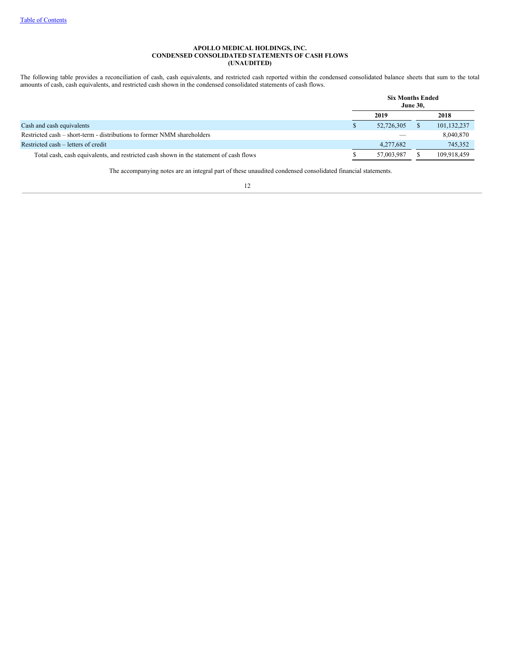### **APOLLO MEDICAL HOLDINGS, INC. CONDENSED CONSOLIDATED STATEMENTS OF CASH FLOWS (UNAUDITED)**

The following table provides a reconciliation of cash, cash equivalents, and restricted cash reported within the condensed consolidated balance sheets that sum to the total amounts of cash, cash equivalents, and restricted cash shown in the condensed consolidated statements of cash flows.

|                                                                                        | <b>Six Months Ended</b> | <b>June 30.</b> |             |
|----------------------------------------------------------------------------------------|-------------------------|-----------------|-------------|
|                                                                                        | 2019                    |                 | 2018        |
| Cash and cash equivalents                                                              | 52,726,305              |                 | 101,132,237 |
| Restricted cash – short-term - distributions to former NMM shareholders                |                         |                 | 8,040,870   |
| Restricted cash – letters of credit                                                    | 4,277,682               |                 | 745,352     |
| Total cash, cash equivalents, and restricted cash shown in the statement of cash flows | 57,003,987              |                 | 109,918,459 |

The accompanying notes are an integral part of these unaudited condensed consolidated financial statements.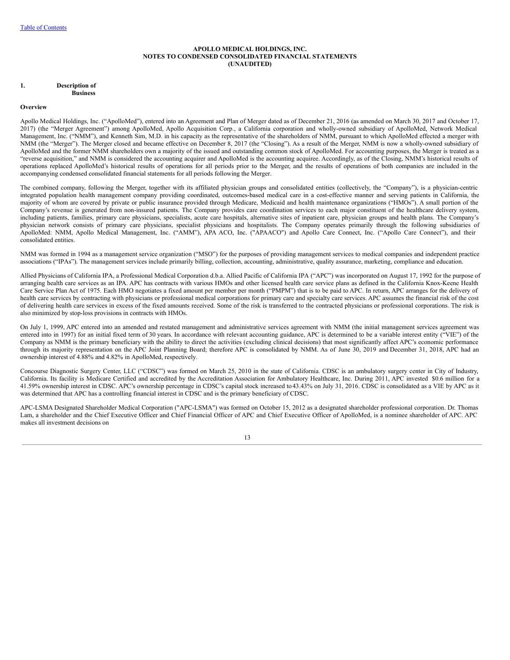### **APOLLO MEDICAL HOLDINGS, INC. NOTES TO CONDENSED CONSOLIDATED FINANCIAL STATEMENTS (UNAUDITED)**

#### <span id="page-12-0"></span>**1. Description of Business**

#### **Overview**

Apollo Medical Holdings, Inc. ("ApolloMed"), entered into an Agreement and Plan of Merger dated as of December 21, 2016 (as amended on March 30, 2017 and October 17, 2017) (the "Merger Agreement") among ApolloMed, Apollo Acquisition Corp., a California corporation and wholly-owned subsidiary of ApolloMed, Network Medical Management, Inc. ("NMM"), and Kenneth Sim, M.D. in his capacity as the representative of the shareholders of NMM, pursuant to which ApolloMed effected a merger with NMM (the "Merger"). The Merger closed and became effective on December 8, 2017 (the "Closing"). As a result of the Merger, NMM is now a wholly-owned subsidiary of ApolloMed and the former NMM shareholders own a majority of the issued and outstanding common stock of ApolloMed. For accounting purposes, the Merger is treated as a "reverse acquisition," and NMM is considered the accounting acquirer and ApolloMed is the accounting acquiree. Accordingly, as of the Closing, NMM's historical results of operations replaced ApolloMed's historical results of operations for all periods prior to the Merger, and the results of operations of both companies are included in the accompanying condensed consolidated financial statements for all periods following the Merger.

The combined company, following the Merger, together with its affiliated physician groups and consolidated entities (collectively, the "Company"), is a physician-centric integrated population health management company providing coordinated, outcomes-based medical care in a cost-effective manner and serving patients in California, the majority of whom are covered by private or public insurance provided through Medicare, Medicaid and health maintenance organizations ("HMOs"). A small portion of the Company's revenue is generated from non-insured patients. The Company provides care coordination services to each major constituent of the healthcare delivery system, including patients, families, primary care physicians, specialists, acute care hospitals, alternative sites of inpatient care, physician groups and health plans. The Company's physician network consists of primary care physicians, specialist physicians and hospitalists. The Company operates primarily through the following subsidiaries of ApolloMed: NMM, Apollo Medical Management, Inc. ("AMM"), APA ACO, Inc. ("APAACO") and Apollo Care Connect, Inc. ("Apollo Care Connect"), and their consolidated entities.

NMM was formed in 1994 as a management service organization ("MSO") for the purposes of providing management services to medical companies and independent practice associations ("IPAs"). The management services include primarily billing, collection, accounting, administrative, quality assurance, marketing, compliance and education.

Allied Physicians of California IPA, a Professional Medical Corporation d.b.a. Allied Pacific of California IPA ("APC") was incorporated on August 17, 1992 for the purpose of arranging health care services as an IPA. APC has contracts with various HMOs and other licensed health care service plans as defined in the California Knox-Keene Health Care Service Plan Act of 1975. Each HMO negotiates a fixed amount per member per month ("PMPM") that is to be paid to APC. In return, APC arranges for the delivery of health care services by contracting with physicians or professional medical corporations for primary care and specialty care services. APC assumes the financial risk of the cost of delivering health care services in excess of the fixed amounts received. Some of the risk is transferred to the contracted physicians or professional corporations. The risk is also minimized by stop-loss provisions in contracts with HMOs.

On July 1, 1999, APC entered into an amended and restated management and administrative services agreement with NMM (the initial management services agreement was entered into in 1997) for an initial fixed term of 30 years. In accordance with relevant accounting guidance, APC is determined to be a variable interest entity ("VIE") of the Company as NMM is the primary beneficiary with the ability to direct the activities (excluding clinical decisions) that most significantly affect APC's economic performance through its majority representation on the APC Joint Planning Board; therefore APC is consolidated by NMM. As of June 30, 2019 and December 31, 2018, APC had an ownership interest of 4.88% and 4.82% in ApolloMed, respectively.

Concourse Diagnostic Surgery Center, LLC ("CDSC") was formed on March 25, 2010 in the state of California. CDSC is an ambulatory surgery center in City of Industry, California. Its facility is Medicare Certified and accredited by the Accreditation Association for Ambulatory Healthcare, Inc. During 2011, APC invested \$0.6 million for a 41.59% ownership interest in CDSC. APC's ownership percentage in CDSC's capital stock increased to43.43% on July 31, 2016. CDSC is consolidated as a VIE by APC as it was determined that APC has a controlling financial interest in CDSC and is the primary beneficiary of CDSC.

APC-LSMA Designated Shareholder Medical Corporation ("APC-LSMA") was formed on October 15, 2012 as a designated shareholder professional corporation. Dr. Thomas Lam, a shareholder and the Chief Executive Officer and Chief Financial Officer of APC and Chief Executive Officer of ApolloMed, is a nominee shareholder of APC. APC makes all investment decisions on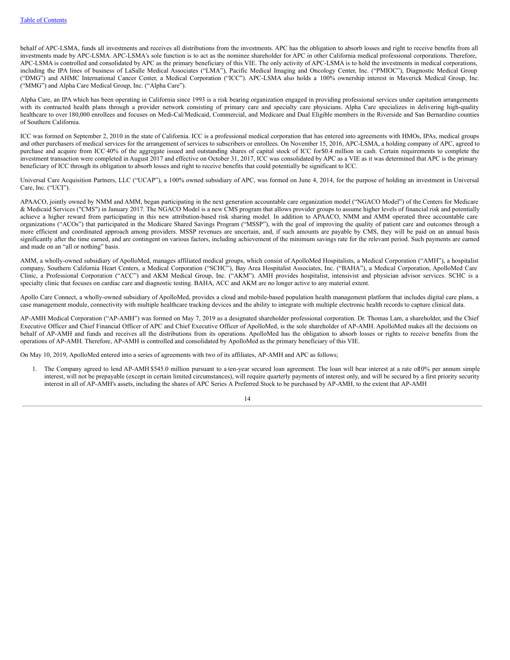behalf of APC-LSMA, funds all investments and receives all distributions from the investments. APC has the obligation to absorb losses and right to receive benefits from all investments made by APC-LSMA. APC-LSMA's sole function is to act as the nominee shareholder for APC in other California medical professional corporations. Therefore, APC-LSMA is controlled and consolidated by APC as the primary beneficiary of this VIE. The only activity of APC-LSMA is to hold the investments in medical corporations, including the IPA lines of business of LaSalle Medical Associates ("LMA"), Pacific Medical Imaging and Oncology Center, Inc. ("PMIOC"), Diagnostic Medical Group ("DMG") and AHMC International Cancer Center, a Medical Corporation ("ICC"). APC-LSMA also holds a 100% ownership interest in Maverick Medical Group, Inc. ("MMG") and Alpha Care Medical Group, Inc. ("Alpha Care").

Alpha Care, an IPA which has been operating in California since 1993 is a risk bearing organization engaged in providing professional services under capitation arrangements with its contracted health plans through a provider network consisting of primary care and specialty care physicians. Alpha Care specializes in delivering high-quality healthcare to over 180,000 enrollees and focuses on Medi-Cal/Medicaid, Commercial, and Medicare and Dual Eligible members in the Riverside and San Bernardino counties of Southern California.

ICC was formed on September 2, 2010 in the state of California. ICC is a professional medical corporation that has entered into agreements with HMOs, IPAs, medical groups and other purchasers of medical services for the arrangement of services to subscribers or enrollees. On November 15, 2016, APC-LSMA, a holding company of APC, agreed to purchase and acquire from ICC 40% of the aggregate issued and outstanding shares of capital stock of ICC for\$0.4 million in cash. Certain requirements to complete the investment transaction were completed in August 2017 and effective on October 31, 2017, ICC was consolidated by APC as a VIE as it was determined that APC is the primary beneficiary of ICC through its obligation to absorb losses and right to receive benefits that could potentially be significant to ICC.

Universal Care Acquisition Partners, LLC ("UCAP"), a 100% owned subsidiary of APC, was formed on June 4, 2014, for the purpose of holding an investment in Universal Care, Inc. ("UCI").

APAACO, jointly owned by NMM and AMM, began participating in the next generation accountable care organization model ("NGACO Model") of the Centers for Medicare & Medicaid Services ("CMS") in January 2017. The NGACO Model is a new CMS program that allows provider groups to assume higher levels of financial risk and potentially achieve a higher reward from participating in this new attribution-based risk sharing model. In addition to APAACO, NMM and AMM operated three accountable care organizations ("ACOs") that participated in the Medicare Shared Savings Program ("MSSP"), with the goal of improving the quality of patient care and outcomes through a more efficient and coordinated approach among providers. MSSP revenues are uncertain, and, if such amounts are payable by CMS, they will be paid on an annual basis significantly after the time earned, and are contingent on various factors, including achievement of the minimum savings rate for the relevant period. Such payments are earned and made on an "all or nothing" basis.

AMM, a wholly-owned subsidiary of ApolloMed, manages affiliated medical groups, which consist of ApolloMed Hospitalists, a Medical Corporation ("AMH"), a hospitalist company, Southern California Heart Centers, a Medical Corporation ("SCHC"), Bay Area Hospitalist Associates, Inc. ("BAHA"), a Medical Corporation, ApolloMed Care Clinic, a Professional Corporation ("ACC") and AKM Medical Group, Inc. ("AKM"). AMH provides hospitalist, intensivist and physician advisor services. SCHC is a specialty clinic that focuses on cardiac care and diagnostic testing. BAHA, ACC and AKM are no longer active to any material extent.

Apollo Care Connect, a wholly-owned subsidiary of ApolloMed, provides a cloud and mobile-based population health management platform that includes digital care plans, a case management module, connectivity with multiple healthcare tracking devices and the ability to integrate with multiple electronic health records to capture clinical data.

AP-AMH Medical Corporation ("AP-AMH") was formed on May 7, 2019 as a designated shareholder professional corporation. Dr. Thomas Lam, a shareholder, and the Chief Executive Officer and Chief Financial Officer of APC and Chief Executive Officer of ApolloMed, is the sole shareholder of AP-AMH. ApolloMed makes all the decisions on behalf of AP-AMH and funds and receives all the distributions from its operations. ApolloMed has the obligation to absorb losses or rights to receive benefits from the operations of AP-AMH. Therefore, AP-AMH is controlled and consolidated by ApolloMed as the primary beneficiary of this VIE.

On May 10, 2019, ApolloMed entered into a series of agreements with two of its affiliates, AP-AMH and APC as follows;

1. The Company agreed to lend AP-AMH \$545.0 million pursuant to a ten-year secured loan agreement. The loan will bear interest at a rate of10% per annum simple interest, will not be prepayable (except in certain limited circumstances), will require quarterly payments of interest only, and will be secured by a first priority security interest in all of AP-AMH's assets, including the shares of APC Series A Preferred Stock to be purchased by AP-AMH, to the extent that AP-AMH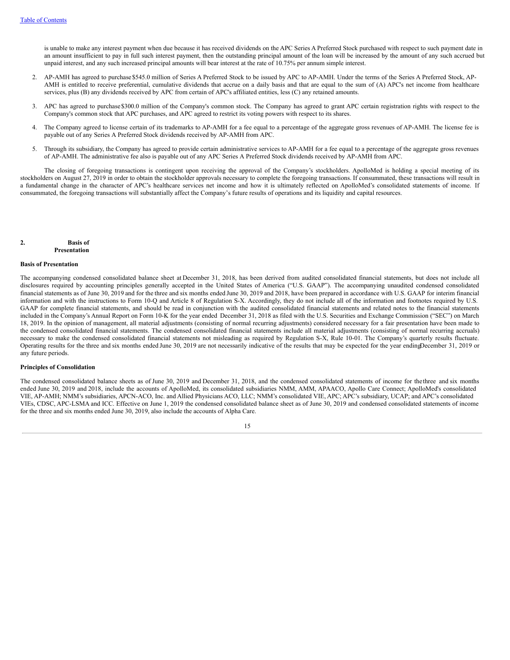is unable to make any interest payment when due because it has received dividends on the APC Series A Preferred Stock purchased with respect to such payment date in an amount insufficient to pay in full such interest payment, then the outstanding principal amount of the loan will be increased by the amount of any such accrued but unpaid interest, and any such increased principal amounts will bear interest at the rate of 10.75% per annum simple interest.

- 2. AP-AMH has agreed to purchase\$545.0 million of Series A Preferred Stock to be issued by APC to AP-AMH. Under the terms of the Series A Preferred Stock, AP-AMH is entitled to receive preferential, cumulative dividends that accrue on a daily basis and that are equal to the sum of (A) APC's net income from healthcare services, plus (B) any dividends received by APC from certain of APC's affiliated entities, less (C) any retained amounts.
- 3. APC has agreed to purchase\$300.0 million of the Company's common stock. The Company has agreed to grant APC certain registration rights with respect to the Company's common stock that APC purchases, and APC agreed to restrict its voting powers with respect to its shares.
- 4. The Company agreed to license certain of its trademarks to AP-AMH for a fee equal to a percentage of the aggregate gross revenues of AP-AMH. The license fee is payable out of any Series A Preferred Stock dividends received by AP-AMH from APC.
- 5. Through its subsidiary, the Company has agreed to provide certain administrative services to AP-AMH for a fee equal to a percentage of the aggregate gross revenues of AP-AMH. The administrative fee also is payable out of any APC Series A Preferred Stock dividends received by AP-AMH from APC.

The closing of foregoing transactions is contingent upon receiving the approval of the Company's stockholders. ApolloMed is holding a special meeting of its stockholders on August 27, 2019 in order to obtain the stockholder approvals necessary to complete the foregoing transactions. If consummated, these transactions will result in a fundamental change in the character of APC's healthcare services net income and how it is ultimately reflected on ApolloMed's consolidated statements of income. If consummated, the foregoing transactions will substantially affect the Company's future results of operations and its liquidity and capital resources.

| 2. | <b>Basis of</b>     |
|----|---------------------|
|    | <b>Presentation</b> |

#### **Basis of Presentation**

The accompanying condensed consolidated balance sheet at December 31, 2018, has been derived from audited consolidated financial statements, but does not include all disclosures required by accounting principles generally accepted in the United States of America ("U.S. GAAP"). The accompanying unaudited condensed consolidated financial statements as of June 30, 2019 and for the three and six months ended June 30, 2019 and 2018, have been prepared in accordance with U.S. GAAP for interim financial information and with the instructions to Form 10-Q and Article 8 of Regulation S-X. Accordingly, they do not include all of the information and footnotes required by U.S. GAAP for complete financial statements, and should be read in conjunction with the audited consolidated financial statements and related notes to the financial statements included in the Company's Annual Report on Form 10-K for the year ended December 31, 2018 as filed with the U.S. Securities and Exchange Commission ("SEC") on March 18, 2019. In the opinion of management, all material adjustments (consisting of normal recurring adjustments) considered necessary for a fair presentation have been made to the condensed consolidated financial statements. The condensed consolidated financial statements include all material adjustments (consisting of normal recurring accruals) necessary to make the condensed consolidated financial statements not misleading as required by Regulation S-X, Rule 10-01. The Company's quarterly results fluctuate. Operating results for the three and six months ended June 30, 2019 are not necessarily indicative of the results that may be expected for the year endingDecember 31, 2019 or any future periods.

### **Principles of Consolidation**

The condensed consolidated balance sheets as of June 30, 2019 and December 31, 2018, and the condensed consolidated statements of income for the three and six months ended June 30, 2019 and 2018, include the accounts of ApolloMed, its consolidated subsidiaries NMM, AMM, APAACO, Apollo Care Connect; ApolloMed's consolidated VIE, AP-AMH; NMM's subsidiaries, APCN-ACO, Inc. and Allied Physicians ACO, LLC; NMM's consolidated VIE, APC; APC's subsidiary, UCAP; and APC's consolidated VIEs, CDSC, APC-LSMA and ICC. Effective on June 1, 2019 the condensed consolidated balance sheet as of June 30, 2019 and condensed consolidated statements of income for the three and six months ended June 30, 2019, also include the accounts of Alpha Care.

15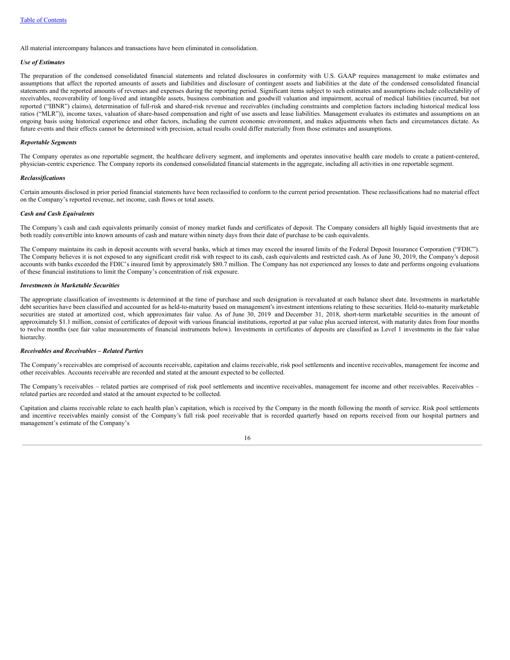All material intercompany balances and transactions have been eliminated in consolidation.

#### *Use of Estimates*

The preparation of the condensed consolidated financial statements and related disclosures in conformity with U.S. GAAP requires management to make estimates and assumptions that affect the reported amounts of assets and liabilities and disclosure of contingent assets and liabilities at the date of the condensed consolidated financial statements and the reported amounts of revenues and expenses during the reporting period. Significant items subject to such estimates and assumptions include collectability of receivables, recoverability of long-lived and intangible assets, business combination and goodwill valuation and impairment, accrual of medical liabilities (incurred, but not reported ("IBNR") claims), determination of full-risk and shared-risk revenue and receivables (including constraints and completion factors including historical medical loss ratios ("MLR")), income taxes, valuation of share-based compensation and right of use assets and lease liabilities. Management evaluates its estimates and assumptions on an ongoing basis using historical experience and other factors, including the current economic environment, and makes adjustments when facts and circumstances dictate. As future events and their effects cannot be determined with precision, actual results could differ materially from those estimates and assumptions.

#### *Reportable Segments*

The Company operates as one reportable segment, the healthcare delivery segment, and implements and operates innovative health care models to create a patient-centered, physician-centric experience. The Company reports its condensed consolidated financial statements in the aggregate, including all activities in one reportable segment.

### *Reclassifications*

Certain amounts disclosed in prior period financial statements have been reclassified to conform to the current period presentation. These reclassifications had no material effect on the Company's reported revenue, net income, cash flows or total assets.

### *Cash and Cash Equivalents*

The Company's cash and cash equivalents primarily consist of money market funds and certificates of deposit. The Company considers all highly liquid investments that are both readily convertible into known amounts of cash and mature within ninety days from their date of purchase to be cash equivalents.

The Company maintains its cash in deposit accounts with several banks, which at times may exceed the insured limits of the Federal Deposit Insurance Corporation ("FDIC"). The Company believes it is not exposed to any significant credit risk with respect to its cash, cash equivalents and restricted cash. As of June 30, 2019, the Company's deposit accounts with banks exceeded the FDIC's insured limit by approximately \$80.7 million. The Company has not experienced any losses to date and performs ongoing evaluations of these financial institutions to limit the Company's concentration of risk exposure.

#### *Investments in Marketable Securities*

The appropriate classification of investments is determined at the time of purchase and such designation is reevaluated at each balance sheet date. Investments in marketable debt securities have been classified and accounted for as held-to-maturity based on management's investment intentions relating to these securities. Held-to-maturity marketable securities are stated at amortized cost, which approximates fair value. As of June 30, 2019 and December 31, 2018, short-term marketable securities in the amount of approximately \$1.1 million, consist of certificates of deposit with various financial institutions, reported at par value plus accrued interest, with maturity dates from four months to twelve months (see fair value measurements of financial instruments below). Investments in certificates of deposits are classified as Level 1 investments in the fair value hierarchy.

#### *Receivables and Receivables – Related Parties*

The Company's receivables are comprised of accounts receivable, capitation and claims receivable, risk pool settlements and incentive receivables, management fee income and other receivables. Accounts receivable are recorded and stated at the amount expected to be collected.

The Company's receivables – related parties are comprised of risk pool settlements and incentive receivables, management fee income and other receivables. Receivables – related parties are recorded and stated at the amount expected to be collected.

Capitation and claims receivable relate to each health plan's capitation, which is received by the Company in the month following the month of service. Risk pool settlements and incentive receivables mainly consist of the Company's full risk pool receivable that is recorded quarterly based on reports received from our hospital partners and management's estimate of the Company's

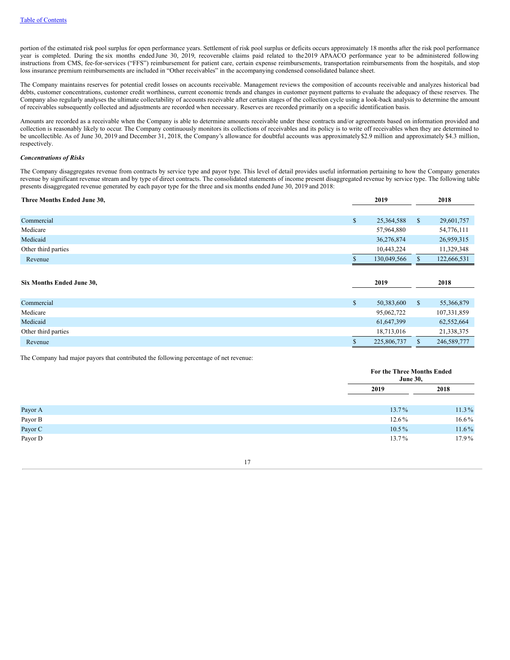portion of the estimated risk pool surplus for open performance years. Settlement of risk pool surplus or deficits occurs approximately 18 months after the risk pool performance year is completed. During the six months ended June 30, 2019, recoverable claims paid related to the2019 APAACO performance year to be administered following instructions from CMS, fee-for-services ("FFS") reimbursement for patient care, certain expense reimbursements, transportation reimbursements from the hospitals, and stop loss insurance premium reimbursements are included in "Other receivables" in the accompanying condensed consolidated balance sheet.

The Company maintains reserves for potential credit losses on accounts receivable. Management reviews the composition of accounts receivable and analyzes historical bad debts, customer concentrations, customer credit worthiness, current economic trends and changes in customer payment patterns to evaluate the adequacy of these reserves. The Company also regularly analyses the ultimate collectability of accounts receivable after certain stages of the collection cycle using a look-back analysis to determine the amount of receivables subsequently collected and adjustments are recorded when necessary. Reserves are recorded primarily on a specific identification basis.

Amounts are recorded as a receivable when the Company is able to determine amounts receivable under these contracts and/or agreements based on information provided and collection is reasonably likely to occur. The Company continuously monitors its collections of receivables and its policy is to write off receivables when they are determined to be uncollectible. As of June 30, 2019 and December 31, 2018, the Company's allowance for doubtful accounts was approximately \$2.9 million and approximately \$4.3 million, respectively.

#### *Concentrations of Risks*

The Company disaggregates revenue from contracts by service type and payor type. This level of detail provides useful information pertaining to how the Company generates revenue by significant revenue stream and by type of direct contracts. The consolidated statements of income present disaggregated revenue by service type. The following table presents disaggregated revenue generated by each payor type for the three and six months ended June 30, 2019 and 2018:

| Three Months Ended June 30, |              | 2019        |              | 2018        |  |  |
|-----------------------------|--------------|-------------|--------------|-------------|--|--|
|                             |              |             |              |             |  |  |
| Commercial                  | $\mathbb{S}$ | 25,364,588  | $\mathbb{S}$ | 29,601,757  |  |  |
| Medicare                    |              | 57,964,880  |              | 54,776,111  |  |  |
| Medicaid                    |              | 36,276,874  |              | 26,959,315  |  |  |
| Other third parties         |              | 10,443,224  |              | 11,329,348  |  |  |
| Revenue                     |              | 130,049,566 | \$           | 122,666,531 |  |  |
|                             |              |             |              |             |  |  |
| Six Months Ended June 30,   |              | 2019        |              | 2018        |  |  |
|                             |              |             |              |             |  |  |
| Commercial                  | $\mathbb{S}$ | 50,383,600  | $\mathbb{S}$ | 55,366,879  |  |  |
| Medicare                    |              | 95,062,722  |              | 107,331,859 |  |  |
| Medicaid                    |              | 61,647,399  |              | 62,552,664  |  |  |
| Other third parties         |              | 18,713,016  |              | 21,338,375  |  |  |
| Revenue                     | S            | 225,806,737 | \$           | 246,589,777 |  |  |

The Company had major payors that contributed the following percentage of net revenue:

|                    | For the Three Months Ended<br><b>June 30,</b> |          |
|--------------------|-----------------------------------------------|----------|
|                    | 2019                                          | 2018     |
|                    | $13.7\%$                                      | 11.3%    |
| Payor A<br>Payor B | $12.6\%$                                      | $16.6\%$ |
| Payor C            | $10.5\%$                                      | $11.6\%$ |
| Payor D            | $13.7\%$                                      | 17.9%    |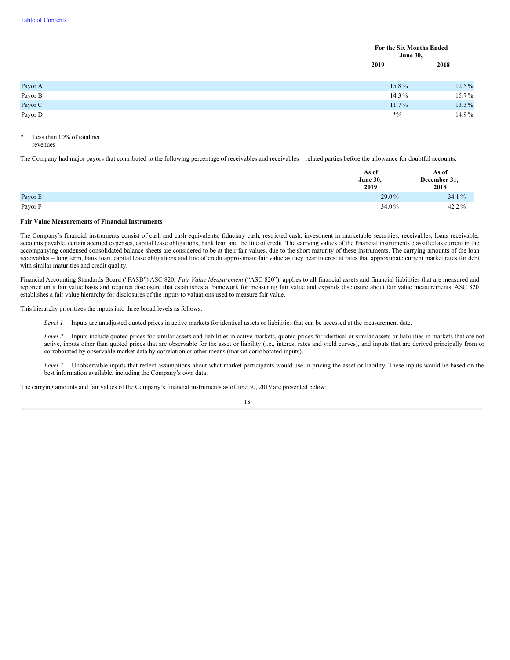|         | For the Six Months Ended<br><b>June 30,</b> |          |
|---------|---------------------------------------------|----------|
|         | 2019                                        | 2018     |
| Payor A | 15.8%                                       | 12.5%    |
| Payor B | $14.3\%$                                    | $15.7\%$ |
| Payor C | $11.7\%$                                    | 13.3%    |
| Payor D | $*9/0$                                      | 14.9%    |

### Less than  $10\%$  of total net revenues

The Company had major payors that contributed to the following percentage of receivables and receivables – related parties before the allowance for doubtful accounts:

|         | As of<br><b>June 30,</b><br>2019 | As of<br>December 31,<br>2018 |
|---------|----------------------------------|-------------------------------|
| Payor E | 29.0%                            | $34.1\%$                      |
| Payor F | 34.0%                            | 42.2%                         |

#### **Fair Value Measurements of Financial Instruments**

The Company's financial instruments consist of cash and cash equivalents, fiduciary cash, restricted cash, investment in marketable securities, receivables, loans receivable, accounts payable, certain accrued expenses, capital lease obligations, bank loan and the line of credit. The carrying values of the financial instruments classified as current in the accompanying condensed consolidated balance sheets are considered to be at their fair values, due to the short maturity of these instruments. The carrying amounts of the loan receivables – long term, bank loan, capital lease obligations and line of credit approximate fair value as they bear interest at rates that approximate current market rates for debt with similar maturities and credit quality.

Financial Accounting Standards Board ("FASB") ASC 820, *Fair Value Measurement* ("ASC 820"), applies to all financial assets and financial liabilities that are measured and reported on a fair value basis and requires disclosure that establishes a framework for measuring fair value and expands disclosure about fair value measurements. ASC 820 establishes a fair value hierarchy for disclosures of the inputs to valuations used to measure fair value.

This hierarchy prioritizes the inputs into three broad levels as follows:

*Level 1* —Inputs are unadjusted quoted prices in active markets for identical assets or liabilities that can be accessed at the measurement date.

*Level 2* —Inputs include quoted prices for similar assets and liabilities in active markets, quoted prices for identical or similar assets or liabilities in markets that are not active, inputs other than quoted prices that are observable for the asset or liability (i.e., interest rates and yield curves), and inputs that are derived principally from or corroborated by observable market data by correlation or other means (market corroborated inputs).

*Level 3* —Unobservable inputs that reflect assumptions about what market participants would use in pricing the asset or liability. These inputs would be based on the best information available, including the Company's own data.

The carrying amounts and fair values of the Company's financial instruments as ofJune 30, 2019 are presented below: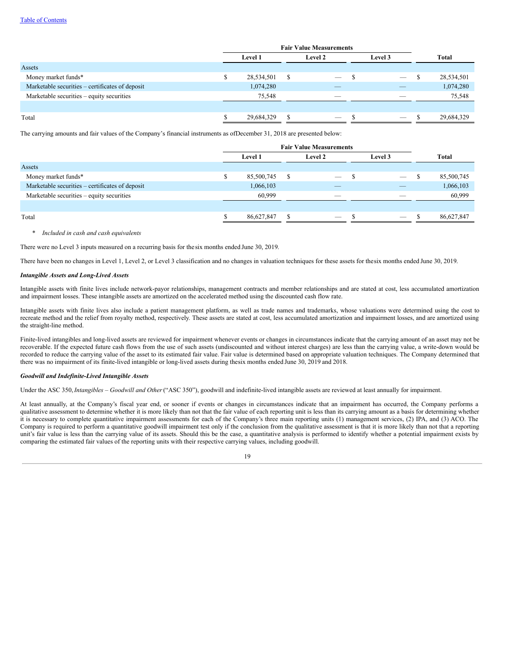|                                                 | <b>Fair Value Measurements</b> |                |   |                                 |  |                                 |   |            |
|-------------------------------------------------|--------------------------------|----------------|---|---------------------------------|--|---------------------------------|---|------------|
|                                                 |                                | <b>Level 1</b> |   | Level 2                         |  | Level 3                         |   | Total      |
| Assets                                          |                                |                |   |                                 |  |                                 |   |            |
| Money market funds*                             |                                | 28,534,501     | S | $\overline{\phantom{m}}$        |  | $\hspace{0.1mm}-\hspace{0.1mm}$ | ъ | 28,534,501 |
| Marketable securities – certificates of deposit |                                | 1,074,280      |   |                                 |  |                                 |   | 1,074,280  |
| Marketable securities – equity securities       |                                | 75,548         |   | -                               |  | _                               |   | 75,548     |
|                                                 |                                |                |   |                                 |  |                                 |   |            |
| Total                                           |                                | 29,684,329     | S | $\hspace{0.1mm}-\hspace{0.1mm}$ |  |                                 |   | 29,684,329 |

The carrying amounts and fair values of the Company's financial instruments as ofDecember 31, 2018 are presented below:

|                                                 | <b>Fair Value Measurements</b> |            |   |                          |  |                                 |   |            |
|-------------------------------------------------|--------------------------------|------------|---|--------------------------|--|---------------------------------|---|------------|
|                                                 |                                | Level 1    |   | Level 2                  |  | Level 3                         |   | Total      |
| Assets                                          |                                |            |   |                          |  |                                 |   |            |
| Money market funds*                             |                                | 85,500,745 | S | $\overline{\phantom{0}}$ |  | $\hspace{0.1mm}-\hspace{0.1mm}$ | ъ | 85,500,745 |
| Marketable securities – certificates of deposit |                                | 1,066,103  |   | $\overline{\phantom{a}}$ |  | $-$                             |   | 1,066,103  |
| Marketable securities – equity securities       |                                | 60,999     |   | _                        |  | $\overline{\phantom{a}}$        |   | 60,999     |
|                                                 |                                |            |   |                          |  |                                 |   |            |
| Total                                           |                                | 86,627,847 | S |                          |  | $\overline{\phantom{a}}$        | ъ | 86,627,847 |

### \* *Included in cash and cash equivalents*

There were no Level 3 inputs measured on a recurring basis for the six months ended June 30, 2019.

There have been no changes in Level 1, Level 2, or Level 3 classification and no changes in valuation techniques for these assets for thesix months ended June 30, 2019.

### *Intangible Assets and Long-Lived Assets*

Intangible assets with finite lives include network-payor relationships, management contracts and member relationships and are stated at cost, less accumulated amortization and impairment losses. These intangible assets are amortized on the accelerated method using the discounted cash flow rate.

Intangible assets with finite lives also include a patient management platform, as well as trade names and trademarks, whose valuations were determined using the cost to recreate method and the relief from royalty method, respectively. These assets are stated at cost, less accumulated amortization and impairment losses, and are amortized using the straight-line method.

Finite-lived intangibles and long-lived assets are reviewed for impairment whenever events or changes in circumstances indicate that the carrying amount of an asset may not be recoverable. If the expected future cash flows from the use of such assets (undiscounted and without interest charges) are less than the carrying value, a write-down would be recorded to reduce the carrying value of the asset to its estimated fair value. Fair value is determined based on appropriate valuation techniques. The Company determined that there was no impairment of its finite-lived intangible or long-lived assets during thesix months ended June 30, 2019 and 2018.

### *Goodwill and Indefinite-Lived Intangible Assets*

Under the ASC 350,*Intangibles – Goodwill and Other*("ASC 350"), goodwill and indefinite-lived intangible assets are reviewed at least annually for impairment.

At least annually, at the Company's fiscal year end, or sooner if events or changes in circumstances indicate that an impairment has occurred, the Company performs a qualitative assessment to determine whether it is more likely than not that the fair value of each reporting unit is less than its carrying amount as a basis for determining whether it is necessary to complete quantitative impairment assessments for each of the Company's three main reporting units (1) management services, (2) IPA, and (3) ACO. The Company is required to perform a quantitative goodwill impairment test only if the conclusion from the qualitative assessment is that it is more likely than not that a reporting unit's fair value is less than the carrying value of its assets. Should this be the case, a quantitative analysis is performed to identify whether a potential impairment exists by comparing the estimated fair values of the reporting units with their respective carrying values, including goodwill.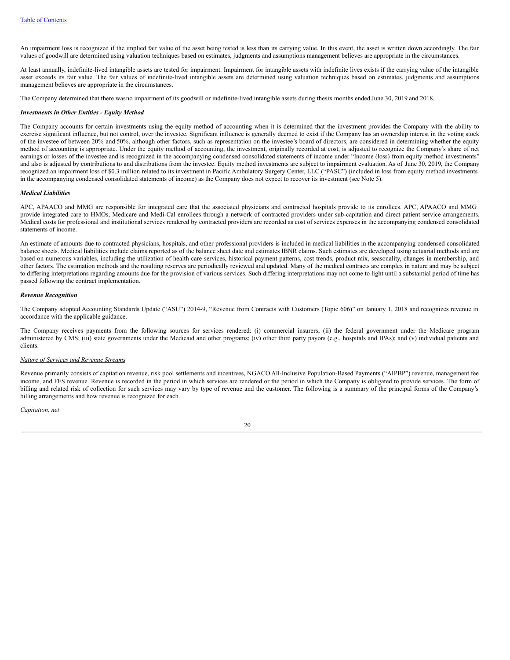An impairment loss is recognized if the implied fair value of the asset being tested is less than its carrying value. In this event, the asset is written down accordingly. The fair values of goodwill are determined using valuation techniques based on estimates, judgments and assumptions management believes are appropriate in the circumstances.

At least annually, indefinite-lived intangible assets are tested for impairment. Impairment for intangible assets with indefinite lives exists if the carrying value of the intangible asset exceeds its fair value. The fair values of indefinite-lived intangible assets are determined using valuation techniques based on estimates, judgments and assumptions management believes are appropriate in the circumstances.

The Company determined that there wasno impairment of its goodwill or indefinite-lived intangible assets during thesix months ended June 30, 2019 and 2018.

#### *Investments in Other Entities - Equity Method*

The Company accounts for certain investments using the equity method of accounting when it is determined that the investment provides the Company with the ability to exercise significant influence, but not control, over the investee. Significant influence is generally deemed to exist if the Company has an ownership interest in the voting stock of the investee of between 20% and 50%, although other factors, such as representation on the investee's board of directors, are considered in determining whether the equity method of accounting is appropriate. Under the equity method of accounting, the investment, originally recorded at cost, is adjusted to recognize the Company's share of net earnings or losses of the investee and is recognized in the accompanying condensed consolidated statements of income under "Income (loss) from equity method investments" and also is adjusted by contributions to and distributions from the investee. Equity method investments are subject to impairment evaluation. As of June 30, 2019, the Company recognized an impairment loss of \$0.3 million related to its investment in Pacific Ambulatory Surgery Center, LLC ("PASC") (included in loss from equity method investments in the accompanying condensed consolidated statements of income) as the Company does not expect to recover its investment (see Note 5).

#### *Medical Liabilities*

APC, APAACO and MMG are responsible for integrated care that the associated physicians and contracted hospitals provide to its enrollees. APC, APAACO and MMG provide integrated care to HMOs, Medicare and Medi-Cal enrollees through a network of contracted providers under sub-capitation and direct patient service arrangements. Medical costs for professional and institutional services rendered by contracted providers are recorded as cost of services expenses in the accompanying condensed consolidated statements of income.

An estimate of amounts due to contracted physicians, hospitals, and other professional providers is included in medical liabilities in the accompanying condensed consolidated balance sheets. Medical liabilities include claims reported as of the balance sheet date and estimates IBNR claims. Such estimates are developed using actuarial methods and are based on numerous variables, including the utilization of health care services, historical payment patterns, cost trends, product mix, seasonality, changes in membership, and other factors. The estimation methods and the resulting reserves are periodically reviewed and updated. Many of the medical contracts are complex in nature and may be subject to differing interpretations regarding amounts due for the provision of various services. Such differing interpretations may not come to light until a substantial period of time has passed following the contract implementation.

### *Revenue Recognition*

The Company adopted Accounting Standards Update ("ASU") 2014-9, "Revenue from Contracts with Customers (Topic 606)" on January 1, 2018 and recognizes revenue in accordance with the applicable guidance.

The Company receives payments from the following sources for services rendered: (i) commercial insurers; (ii) the federal government under the Medicare program administered by CMS; (iii) state governments under the Medicaid and other programs; (iv) other third party payors (e.g., hospitals and IPAs); and (v) individual patients and clients.

#### *Nature of Services and Revenue Streams*

Revenue primarily consists of capitation revenue, risk pool settlements and incentives, NGACO All-Inclusive Population-Based Payments ("AIPBP") revenue, management fee income, and FFS revenue. Revenue is recorded in the period in which services are rendered or the period in which the Company is obligated to provide services. The form of billing and related risk of collection for such services may vary by type of revenue and the customer. The following is a summary of the principal forms of the Company's billing arrangements and how revenue is recognized for each.

*Capitation, net*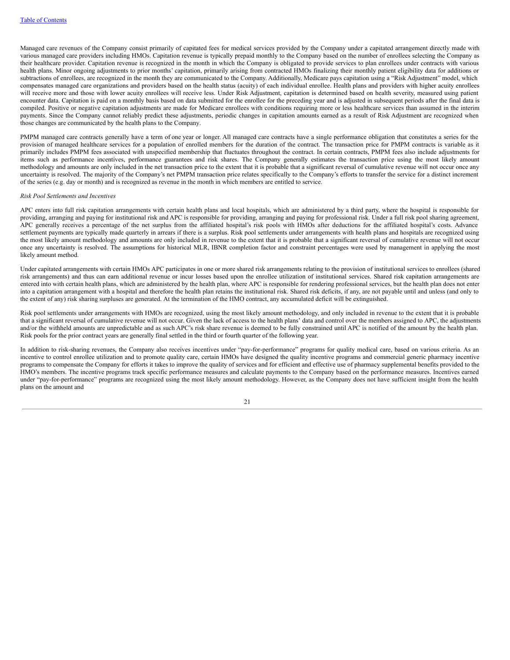Managed care revenues of the Company consist primarily of capitated fees for medical services provided by the Company under a capitated arrangement directly made with various managed care providers including HMOs. Capitation revenue is typically prepaid monthly to the Company based on the number of enrollees selecting the Company as their healthcare provider. Capitation revenue is recognized in the month in which the Company is obligated to provide services to plan enrollees under contracts with various health plans. Minor ongoing adjustments to prior months' capitation, primarily arising from contracted HMOs finalizing their monthly patient eligibility data for additions or subtractions of enrollees, are recognized in the month they are communicated to the Company. Additionally, Medicare pays capitation using a "Risk Adjustment" model, which compensates managed care organizations and providers based on the health status (acuity) of each individual enrollee. Health plans and providers with higher acuity enrollees will receive more and those with lower acuity enrollees will receive less. Under Risk Adjustment, capitation is determined based on health severity, measured using patient encounter data. Capitation is paid on a monthly basis based on data submitted for the enrollee for the preceding year and is adjusted in subsequent periods after the final data is compiled. Positive or negative capitation adjustments are made for Medicare enrollees with conditions requiring more or less healthcare services than assumed in the interim payments. Since the Company cannot reliably predict these adjustments, periodic changes in capitation amounts earned as a result of Risk Adjustment are recognized when those changes are communicated by the health plans to the Company.

PMPM managed care contracts generally have a term of one year or longer. All managed care contracts have a single performance obligation that constitutes a series for the provision of managed healthcare services for a population of enrolled members for the duration of the contract. The transaction price for PMPM contracts is variable as it primarily includes PMPM fees associated with unspecified membership that fluctuates throughout the contract. In certain contracts, PMPM fees also include adjustments for items such as performance incentives, performance guarantees and risk shares. The Company generally estimates the transaction price using the most likely amount methodology and amounts are only included in the net transaction price to the extent that it is probable that a significant reversal of cumulative revenue will not occur once any uncertainty is resolved. The majority of the Company's net PMPM transaction price relates specifically to the Company's efforts to transfer the service for a distinct increment of the series (e.g. day or month) and is recognized as revenue in the month in which members are entitled to service.

### *Risk Pool Settlements and Incentives*

APC enters into full risk capitation arrangements with certain health plans and local hospitals, which are administered by a third party, where the hospital is responsible for providing, arranging and paying for institutional risk and APC is responsible for providing, arranging and paying for professional risk. Under a full risk pool sharing agreement, APC generally receives a percentage of the net surplus from the affiliated hospital's risk pools with HMOs after deductions for the affiliated hospital's costs. Advance settlement payments are typically made quarterly in arrears if there is a surplus. Risk pool settlements under arrangements with health plans and hospitals are recognized using the most likely amount methodology and amounts are only included in revenue to the extent that it is probable that a significant reversal of cumulative revenue will not occur once any uncertainty is resolved. The assumptions for historical MLR, IBNR completion factor and constraint percentages were used by management in applying the most likely amount method.

Under capitated arrangements with certain HMOs APC participates in one or more shared risk arrangements relating to the provision of institutional services to enrollees (shared risk arrangements) and thus can earn additional revenue or incur losses based upon the enrollee utilization of institutional services. Shared risk capitation arrangements are entered into with certain health plans, which are administered by the health plan, where APC is responsible for rendering professional services, but the health plan does not enter into a capitation arrangement with a hospital and therefore the health plan retains the institutional risk. Shared risk deficits, if any, are not payable until and unless (and only to the extent of any) risk sharing surpluses are generated. At the termination of the HMO contract, any accumulated deficit will be extinguished.

Risk pool settlements under arrangements with HMOs are recognized, using the most likely amount methodology, and only included in revenue to the extent that it is probable that a significant reversal of cumulative revenue will not occur. Given the lack of access to the health plans' data and control over the members assigned to APC, the adjustments and/or the withheld amounts are unpredictable and as such APC's risk share revenue is deemed to be fully constrained until APC is notified of the amount by the health plan. Risk pools for the prior contract years are generally final settled in the third or fourth quarter of the following year.

In addition to risk-sharing revenues, the Company also receives incentives under "pay-for-performance" programs for quality medical care, based on various criteria. As an incentive to control enrollee utilization and to promote quality care, certain HMOs have designed the quality incentive programs and commercial generic pharmacy incentive programs to compensate the Company for efforts it takes to improve the quality of services and for efficient and effective use of pharmacy supplemental benefits provided to the HMO's members. The incentive programs track specific performance measures and calculate payments to the Company based on the performance measures. Incentives earned under "pay-for-performance" programs are recognized using the most likely amount methodology. However, as the Company does not have sufficient insight from the health plans on the amount and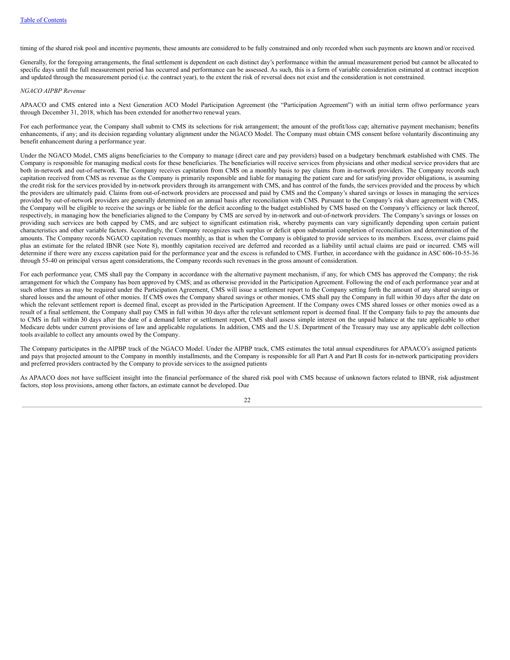timing of the shared risk pool and incentive payments, these amounts are considered to be fully constrained and only recorded when such payments are known and/or received.

Generally, for the foregoing arrangements, the final settlement is dependent on each distinct day's performance within the annual measurement period but cannot be allocated to specific days until the full measurement period has occurred and performance can be assessed. As such, this is a form of variable consideration estimated at contract inception and updated through the measurement period (i.e. the contract year), to the extent the risk of reversal does not exist and the consideration is not constrained.

### *NGACO AIPBP Revenue*

APAACO and CMS entered into a Next Generation ACO Model Participation Agreement (the "Participation Agreement") with an initial term oftwo performance years through December 31, 2018, which has been extended for another two renewal years.

For each performance year, the Company shall submit to CMS its selections for risk arrangement; the amount of the profit/loss cap; alternative payment mechanism; benefits enhancements, if any; and its decision regarding voluntary alignment under the NGACO Model. The Company must obtain CMS consent before voluntarily discontinuing any benefit enhancement during a performance year.

Under the NGACO Model, CMS aligns beneficiaries to the Company to manage (direct care and pay providers) based on a budgetary benchmark established with CMS. The Company is responsible for managing medical costs for these beneficiaries. The beneficiaries will receive services from physicians and other medical service providers that are both in-network and out-of-network. The Company receives capitation from CMS on a monthly basis to pay claims from in-network providers. The Company records such capitation received from CMS as revenue as the Company is primarily responsible and liable for managing the patient care and for satisfying provider obligations, is assuming the credit risk for the services provided by in-network providers through its arrangement with CMS, and has control of the funds, the services provided and the process by which the providers are ultimately paid. Claims from out-of-network providers are processed and paid by CMS and the Company's shared savings or losses in managing the services provided by out-of-network providers are generally determined on an annual basis after reconciliation with CMS. Pursuant to the Company's risk share agreement with CMS, the Company will be eligible to receive the savings or be liable for the deficit according to the budget established by CMS based on the Company's efficiency or lack thereof, respectively, in managing how the beneficiaries aligned to the Company by CMS are served by in-network and out-of-network providers. The Company's savings or losses on providing such services are both capped by CMS, and are subject to significant estimation risk, whereby payments can vary significantly depending upon certain patient characteristics and other variable factors. Accordingly, the Company recognizes such surplus or deficit upon substantial completion of reconciliation and determination of the amounts. The Company records NGACO capitation revenues monthly, as that is when the Company is obligated to provide services to its members. Excess, over claims paid plus an estimate for the related IBNR (see Note 8), monthly capitation received are deferred and recorded as a liability until actual claims are paid or incurred. CMS will determine if there were any excess capitation paid for the performance year and the excess is refunded to CMS. Further, in accordance with the guidance in ASC 606-10-55-36 through 55-40 on principal versus agent considerations, the Company records such revenues in the gross amount of consideration.

For each performance year, CMS shall pay the Company in accordance with the alternative payment mechanism, if any, for which CMS has approved the Company; the risk arrangement for which the Company has been approved by CMS; and as otherwise provided in the Participation Agreement. Following the end of each performance year and at such other times as may be required under the Participation Agreement, CMS will issue a settlement report to the Company setting forth the amount of any shared savings or shared losses and the amount of other monies. If CMS owes the Company shared savings or other monies, CMS shall pay the Company in full within 30 days after the date on which the relevant settlement report is deemed final, except as provided in the Participation Agreement. If the Company owes CMS shared losses or other monies owed as a result of a final settlement, the Company shall pay CMS in full within 30 days after the relevant settlement report is deemed final. If the Company fails to pay the amounts due to CMS in full within 30 days after the date of a demand letter or settlement report, CMS shall assess simple interest on the unpaid balance at the rate applicable to other Medicare debts under current provisions of law and applicable regulations. In addition, CMS and the U.S. Department of the Treasury may use any applicable debt collection tools available to collect any amounts owed by the Company.

The Company participates in the AIPBP track of the NGACO Model. Under the AIPBP track, CMS estimates the total annual expenditures for APAACO's assigned patients and pays that projected amount to the Company in monthly installments, and the Company is responsible for all Part A and Part B costs for in-network participating providers and preferred providers contracted by the Company to provide services to the assigned patients

As APAACO does not have sufficient insight into the financial performance of the shared risk pool with CMS because of unknown factors related to IBNR, risk adjustment factors, stop loss provisions, among other factors, an estimate cannot be developed. Due

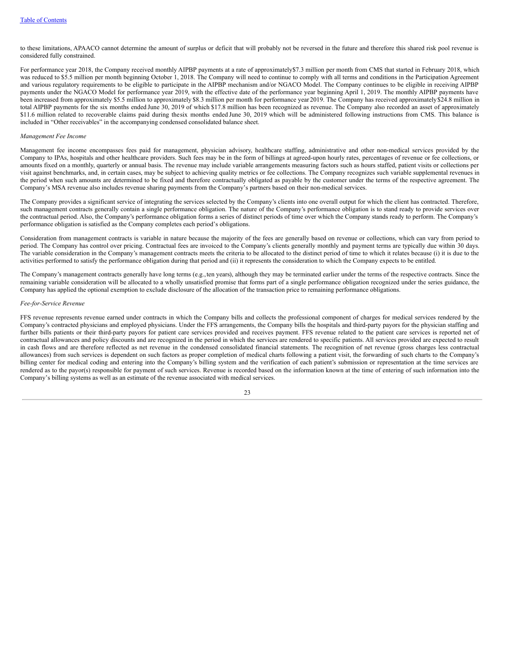to these limitations, APAACO cannot determine the amount of surplus or deficit that will probably not be reversed in the future and therefore this shared risk pool revenue is considered fully constrained.

For performance year 2018, the Company received monthly AIPBP payments at a rate of approximately\$7.3 million per month from CMS that started in February 2018, which was reduced to \$5.5 million per month beginning October 1, 2018. The Company will need to continue to comply with all terms and conditions in the Participation Agreement and various regulatory requirements to be eligible to participate in the AIPBP mechanism and/or NGACO Model. The Company continues to be eligible in receiving AIPBP payments under the NGACO Model for performance year 2019, with the effective date of the performance year beginning April 1, 2019. The monthly AIPBP payments have been increased from approximately \$5.5 million to approximately \$8.3 million per month for performance year 2019. The Company has received approximately \$24.8 million in total AIPBP payments for the six months ended June 30, 2019 of which \$17.8 million has been recognized as revenue. The Company also recorded an asset of approximately \$11.6 million related to recoverable claims paid during thesix months ended June 30, 2019 which will be administered following instructions from CMS. This balance is included in "Other receivables" in the accompanying condensed consolidated balance sheet.

### *Management Fee Income*

Management fee income encompasses fees paid for management, physician advisory, healthcare staffing, administrative and other non-medical services provided by the Company to IPAs, hospitals and other healthcare providers. Such fees may be in the form of billings at agreed-upon hourly rates, percentages of revenue or fee collections, or amounts fixed on a monthly, quarterly or annual basis. The revenue may include variable arrangements measuring factors such as hours staffed, patient visits or collections per visit against benchmarks, and, in certain cases, may be subject to achieving quality metrics or fee collections. The Company recognizes such variable supplemental revenues in the period when such amounts are determined to be fixed and therefore contractually obligated as payable by the customer under the terms of the respective agreement. The Company's MSA revenue also includes revenue sharing payments from the Company's partners based on their non-medical services.

The Company provides a significant service of integrating the services selected by the Company's clients into one overall output for which the client has contracted. Therefore, such management contracts generally contain a single performance obligation. The nature of the Company's performance obligation is to stand ready to provide services over the contractual period. Also, the Company's performance obligation forms a series of distinct periods of time over which the Company stands ready to perform. The Company's performance obligation is satisfied as the Company completes each period's obligations.

Consideration from management contracts is variable in nature because the majority of the fees are generally based on revenue or collections, which can vary from period to period. The Company has control over pricing. Contractual fees are invoiced to the Company's clients generally monthly and payment terms are typically due within 30 days. The variable consideration in the Company's management contracts meets the criteria to be allocated to the distinct period of time to which it relates because (i) it is due to the activities performed to satisfy the performance obligation during that period and (ii) it represents the consideration to which the Company expects to be entitled.

The Company's management contracts generally have long terms (e.g.,ten years), although they may be terminated earlier under the terms of the respective contracts. Since the remaining variable consideration will be allocated to a wholly unsatisfied promise that forms part of a single performance obligation recognized under the series guidance, the Company has applied the optional exemption to exclude disclosure of the allocation of the transaction price to remaining performance obligations.

### *Fee-for-Service Revenue*

FFS revenue represents revenue earned under contracts in which the Company bills and collects the professional component of charges for medical services rendered by the Company's contracted physicians and employed physicians. Under the FFS arrangements, the Company bills the hospitals and third-party payors for the physician staffing and further bills patients or their third-party payors for patient care services provided and receives payment. FFS revenue related to the patient care services is reported net of contractual allowances and policy discounts and are recognized in the period in which the services are rendered to specific patients. All services provided are expected to result in cash flows and are therefore reflected as net revenue in the condensed consolidated financial statements. The recognition of net revenue (gross charges less contractual allowances) from such services is dependent on such factors as proper completion of medical charts following a patient visit, the forwarding of such charts to the Company's billing center for medical coding and entering into the Company's billing system and the verification of each patient's submission or representation at the time services are rendered as to the payor(s) responsible for payment of such services. Revenue is recorded based on the information known at the time of entering of such information into the Company's billing systems as well as an estimate of the revenue associated with medical services.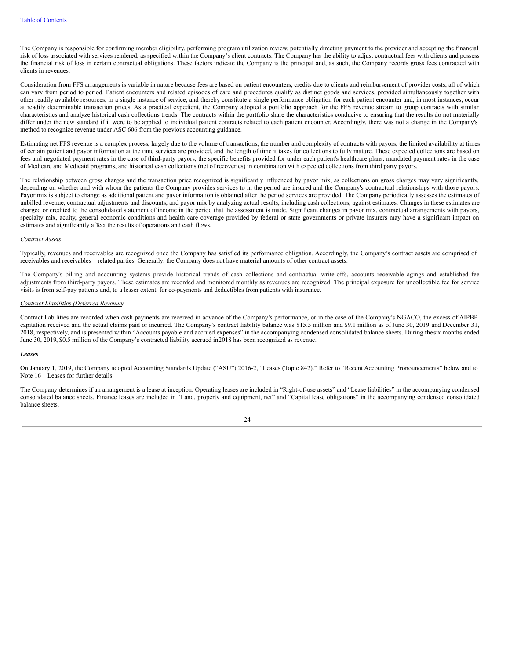The Company is responsible for confirming member eligibility, performing program utilization review, potentially directing payment to the provider and accepting the financial risk of loss associated with services rendered, as specified within the Company's client contracts. The Company has the ability to adjust contractual fees with clients and possess the financial risk of loss in certain contractual obligations. These factors indicate the Company is the principal and, as such, the Company records gross fees contracted with clients in revenues.

Consideration from FFS arrangements is variable in nature because fees are based on patient encounters, credits due to clients and reimbursement of provider costs, all of which can vary from period to period. Patient encounters and related episodes of care and procedures qualify as distinct goods and services, provided simultaneously together with other readily available resources, in a single instance of service, and thereby constitute a single performance obligation for each patient encounter and, in most instances, occur at readily determinable transaction prices. As a practical expedient, the Company adopted a portfolio approach for the FFS revenue stream to group contracts with similar characteristics and analyze historical cash collections trends. The contracts within the portfolio share the characteristics conducive to ensuring that the results do not materially differ under the new standard if it were to be applied to individual patient contracts related to each patient encounter. Accordingly, there was not a change in the Company's method to recognize revenue under ASC 606 from the previous accounting guidance.

Estimating net FFS revenue is a complex process, largely due to the volume of transactions, the number and complexity of contracts with payors, the limited availability at times of certain patient and payor information at the time services are provided, and the length of time it takes for collections to fully mature. These expected collections are based on fees and negotiated payment rates in the case of third-party payors, the specific benefits provided for under each patient's healthcare plans, mandated payment rates in the case of Medicare and Medicaid programs, and historical cash collections (net of recoveries) in combination with expected collections from third party payors.

The relationship between gross charges and the transaction price recognized is significantly influenced by payor mix, as collections on gross charges may vary significantly, depending on whether and with whom the patients the Company provides services to in the period are insured and the Company's contractual relationships with those payors. Payor mix is subject to change as additional patient and payor information is obtained after the period services are provided. The Company periodically assesses the estimates of unbilled revenue, contractual adjustments and discounts, and payor mix by analyzing actual results, including cash collections, against estimates. Changes in these estimates are charged or credited to the consolidated statement of income in the period that the assessment is made. Significant changes in payor mix, contractual arrangements with payors, specialty mix, acuity, general economic conditions and health care coverage provided by federal or state governments or private insurers may have a significant impact on estimates and significantly affect the results of operations and cash flows.

#### *Contract Assets*

Typically, revenues and receivables are recognized once the Company has satisfied its performance obligation. Accordingly, the Company's contract assets are comprised of receivables and receivables – related parties. Generally, the Company does not have material amounts of other contract assets.

The Company's billing and accounting systems provide historical trends of cash collections and contractual write-offs, accounts receivable agings and established fee adjustments from third-party payors. These estimates are recorded and monitored monthly as revenues are recognized. The principal exposure for uncollectible fee for service visits is from self-pay patients and, to a lesser extent, for co-payments and deductibles from patients with insurance.

#### *Contract Liabilities (Deferred Revenue)*

Contract liabilities are recorded when cash payments are received in advance of the Company's performance, or in the case of the Company's NGACO, the excess of AIPBP capitation received and the actual claims paid or incurred. The Company's contract liability balance was \$15.5 million and \$9.1 million as of June 30, 2019 and December 31, 2018, respectively, and is presented within "Accounts payable and accrued expenses" in the accompanying condensed consolidated balance sheets. During thesix months ended June 30, 2019, \$0.5 million of the Company's contracted liability accrued in2018 has been recognized as revenue.

#### *Leases*

On January 1, 2019, the Company adopted Accounting Standards Update ("ASU") 2016-2, "Leases (Topic 842)." Refer to "Recent Accounting Pronouncements" below and to Note 16 – Leases for further details.

The Company determines if an arrangement is a lease at inception. Operating leases are included in "Right-of-use assets" and "Lease liabilities" in the accompanying condensed consolidated balance sheets. Finance leases are included in "Land, property and equipment, net" and "Capital lease obligations" in the accompanying condensed consolidated balance sheets.

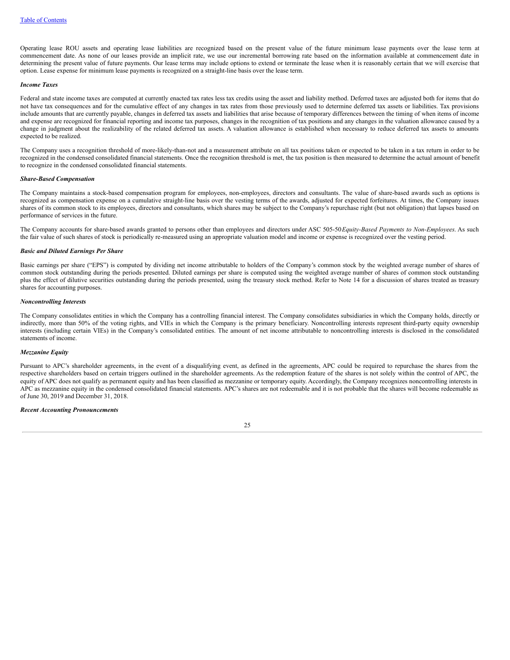Operating lease ROU assets and operating lease liabilities are recognized based on the present value of the future minimum lease payments over the lease term at commencement date. As none of our leases provide an implicit rate, we use our incremental borrowing rate based on the information available at commencement date in determining the present value of future payments. Our lease terms may include options to extend or terminate the lease when it is reasonably certain that we will exercise that option. Lease expense for minimum lease payments is recognized on a straight-line basis over the lease term.

#### *Income Taxes*

Federal and state income taxes are computed at currently enacted tax rates less tax credits using the asset and liability method. Deferred taxes are adjusted both for items that do not have tax consequences and for the cumulative effect of any changes in tax rates from those previously used to determine deferred tax assets or liabilities. Tax provisions include amounts that are currently payable, changes in deferred tax assets and liabilities that arise because of temporary differences between the timing of when items of income and expense are recognized for financial reporting and income tax purposes, changes in the recognition of tax positions and any changes in the valuation allowance caused by a change in judgment about the realizability of the related deferred tax assets. A valuation allowance is established when necessary to reduce deferred tax assets to amounts expected to be realized.

The Company uses a recognition threshold of more-likely-than-not and a measurement attribute on all tax positions taken or expected to be taken in a tax return in order to be recognized in the condensed consolidated financial statements. Once the recognition threshold is met, the tax position is then measured to determine the actual amount of benefit to recognize in the condensed consolidated financial statements.

#### *Share-Based Compensation*

The Company maintains a stock-based compensation program for employees, non-employees, directors and consultants. The value of share-based awards such as options is recognized as compensation expense on a cumulative straight-line basis over the vesting terms of the awards, adjusted for expected forfeitures. At times, the Company issues shares of its common stock to its employees, directors and consultants, which shares may be subject to the Company's repurchase right (but not obligation) that lapses based on performance of services in the future.

The Company accounts for share-based awards granted to persons other than employees and directors under ASC 505-50*Equity-Based Payments to Non-Employees*. As such the fair value of such shares of stock is periodically re-measured using an appropriate valuation model and income or expense is recognized over the vesting period.

### *Basic and Diluted Earnings Per Share*

Basic earnings per share ("EPS") is computed by dividing net income attributable to holders of the Company's common stock by the weighted average number of shares of common stock outstanding during the periods presented. Diluted earnings per share is computed using the weighted average number of shares of common stock outstanding plus the effect of dilutive securities outstanding during the periods presented, using the treasury stock method. Refer to Note 14 for a discussion of shares treated as treasury shares for accounting purposes.

### *Noncontrolling Interests*

The Company consolidates entities in which the Company has a controlling financial interest. The Company consolidates subsidiaries in which the Company holds, directly or indirectly, more than 50% of the voting rights, and VIEs in which the Company is the primary beneficiary. Noncontrolling interests represent third-party equity ownership interests (including certain VIEs) in the Company's consolidated entities. The amount of net income attributable to noncontrolling interests is disclosed in the consolidated statements of income.

#### *Mezzanine Equity*

Pursuant to APC's shareholder agreements, in the event of a disqualifying event, as defined in the agreements, APC could be required to repurchase the shares from the respective shareholders based on certain triggers outlined in the shareholder agreements. As the redemption feature of the shares is not solely within the control of APC, the equity of APC does not qualify as permanent equity and has been classified as mezzanine or temporary equity. Accordingly, the Company recognizes noncontrolling interests in APC as mezzanine equity in the condensed consolidated financial statements. APC's shares are not redeemable and it is not probable that the shares will become redeemable as of June 30, 2019 and December 31, 2018.

#### *Recent Accounting Pronouncements*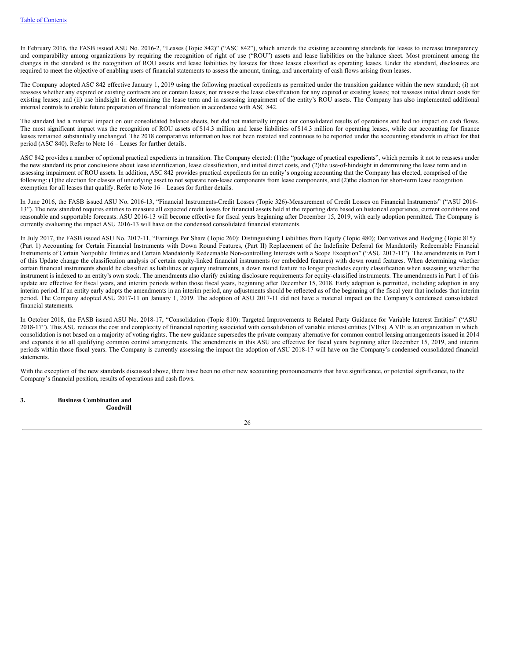In February 2016, the FASB issued ASU No. 2016-2, "Leases (Topic 842)" ("ASC 842"), which amends the existing accounting standards for leases to increase transparency and comparability among organizations by requiring the recognition of right of use ("ROU") assets and lease liabilities on the balance sheet. Most prominent among the changes in the standard is the recognition of ROU assets and lease liabilities by lessees for those leases classified as operating leases. Under the standard, disclosures are required to meet the objective of enabling users of financial statements to assess the amount, timing, and uncertainty of cash flows arising from leases.

The Company adopted ASC 842 effective January 1, 2019 using the following practical expedients as permitted under the transition guidance within the new standard; (i) not reassess whether any expired or existing contracts are or contain leases; not reassess the lease classification for any expired or existing leases; not reassess initial direct costs for existing leases; and (ii) use hindsight in determining the lease term and in assessing impairment of the entity's ROU assets. The Company has also implemented additional internal controls to enable future preparation of financial information in accordance with ASC 842.

The standard had a material impact on our consolidated balance sheets, but did not materially impact our consolidated results of operations and had no impact on cash flows. The most significant impact was the recognition of ROU assets of \$14.3 million and lease liabilities of \$14.3 million for operating leases, while our accounting for finance leases remained substantially unchanged. The 2018 comparative information has not been restated and continues to be reported under the accounting standards in effect for that period (ASC 840). Refer to Note 16 – Leases for further details.

ASC 842 provides a number of optional practical expedients in transition. The Company elected: (1)the "package of practical expedients", which permits it not to reassess under the new standard its prior conclusions about lease identification, lease classification, and initial direct costs, and (2)the use-of-hindsight in determining the lease term and in assessing impairment of ROU assets. In addition, ASC 842 provides practical expedients for an entity's ongoing accounting that the Company has elected, comprised of the following: (1)the election for classes of underlying asset to not separate non-lease components from lease components, and (2)the election for short-term lease recognition exemption for all leases that qualify. Refer to Note 16 – Leases for further details.

In June 2016, the FASB issued ASU No. 2016-13, "Financial Instruments-Credit Losses (Topic 326)-Measurement of Credit Losses on Financial Instruments" ("ASU 2016- 13"). The new standard requires entities to measure all expected credit losses for financial assets held at the reporting date based on historical experience, current conditions and reasonable and supportable forecasts. ASU 2016-13 will become effective for fiscal years beginning after December 15, 2019, with early adoption permitted. The Company is currently evaluating the impact ASU 2016-13 will have on the condensed consolidated financial statements.

In July 2017, the FASB issued ASU No. 2017-11, "Earnings Per Share (Topic 260): Distinguishing Liabilities from Equity (Topic 480); Derivatives and Hedging (Topic 815): (Part 1) Accounting for Certain Financial Instruments with Down Round Features, (Part II) Replacement of the Indefinite Deferral for Mandatorily Redeemable Financial Instruments of Certain Nonpublic Entities and Certain Mandatorily Redeemable Non-controlling Interests with a Scope Exception" ("ASU 2017-11"). The amendments in Part I of this Update change the classification analysis of certain equity-linked financial instruments (or embedded features) with down round features. When determining whether certain financial instruments should be classified as liabilities or equity instruments, a down round feature no longer precludes equity classification when assessing whether the instrument is indexed to an entity's own stock. The amendments also clarify existing disclosure requirements for equity-classified instruments. The amendments in Part 1 of this update are effective for fiscal years, and interim periods within those fiscal years, beginning after December 15, 2018. Early adoption is permitted, including adoption in any interim period. If an entity early adopts the amendments in an interim period, any adjustments should be reflected as of the beginning of the fiscal year that includes that interim period. The Company adopted ASU 2017-11 on January 1, 2019. The adoption of ASU 2017-11 did not have a material impact on the Company's condensed consolidated financial statements.

In October 2018, the FASB issued ASU No. 2018-17, "Consolidation (Topic 810): Targeted Improvements to Related Party Guidance for Variable Interest Entities" ("ASU 2018-17"). This ASU reduces the cost and complexity of financial reporting associated with consolidation of variable interest entities (VIEs). A VIE is an organization in which consolidation is not based on a majority of voting rights. The new guidance supersedes the private company alternative for common control leasing arrangements issued in 2014 and expands it to all qualifying common control arrangements. The amendments in this ASU are effective for fiscal years beginning after December 15, 2019, and interim periods within those fiscal years. The Company is currently assessing the impact the adoption of ASU 2018-17 will have on the Company's condensed consolidated financial statements.

With the exception of the new standards discussed above, there have been no other new accounting pronouncements that have significance, or potential significance, to the Company's financial position, results of operations and cash flows.

**3. Business Combination and Goodwill**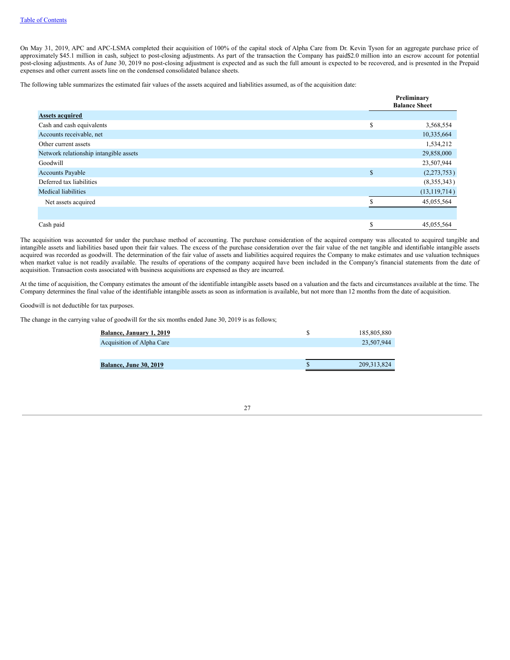On May 31, 2019, APC and APC-LSMA completed their acquisition of 100% of the capital stock of Alpha Care from Dr. Kevin Tyson for an aggregate purchase price of approximately \$45.1 million in cash, subject to post-closing adjustments. As part of the transaction the Company has paid\$2.0 million into an escrow account for potential post-closing adjustments. As of June 30, 2019 no post-closing adjustment is expected and as such the full amount is expected to be recovered, and is presented in the Prepaid expenses and other current assets line on the condensed consolidated balance sheets.

The following table summarizes the estimated fair values of the assets acquired and liabilities assumed, as of the acquisition date:

|                                        |          | Preliminary<br><b>Balance Sheet</b> |
|----------------------------------------|----------|-------------------------------------|
| <b>Assets acquired</b>                 |          |                                     |
| Cash and cash equivalents              | S        | 3,568,554                           |
| Accounts receivable, net               |          | 10,335,664                          |
| Other current assets                   |          | 1,534,212                           |
| Network relationship intangible assets |          | 29,858,000                          |
| Goodwill                               |          | 23,507,944                          |
| <b>Accounts Payable</b>                | \$       | (2,273,753)                         |
| Deferred tax liabilities               |          | (8,355,343)                         |
| <b>Medical liabilities</b>             |          | (13, 119, 714)                      |
| Net assets acquired                    |          | 45,055,564                          |
|                                        |          |                                     |
| Cash paid                              | $\sigma$ | 45,055,564                          |

The acquisition was accounted for under the purchase method of accounting. The purchase consideration of the acquired company was allocated to acquired tangible and intangible assets and liabilities based upon their fair values. The excess of the purchase consideration over the fair value of the net tangible and identifiable intangible assets acquired was recorded as goodwill. The determination of the fair value of assets and liabilities acquired requires the Company to make estimates and use valuation techniques when market value is not readily available. The results of operations of the company acquired have been included in the Company's financial statements from the date of acquisition. Transaction costs associated with business acquisitions are expensed as they are incurred.

At the time of acquisition, the Company estimates the amount of the identifiable intangible assets based on a valuation and the facts and circumstances available at the time. The Company determines the final value of the identifiable intangible assets as soon as information is available, but not more than 12 months from the date of acquisition.

Goodwill is not deductible for tax purposes.

The change in the carrying value of goodwill for the six months ended June 30, 2019 is as follows;

| Balance, January 1, 2019      | 185,805,880 |
|-------------------------------|-------------|
| Acquisition of Alpha Care     | 23,507,944  |
|                               |             |
| <b>Balance, June 30, 2019</b> | 209.313.824 |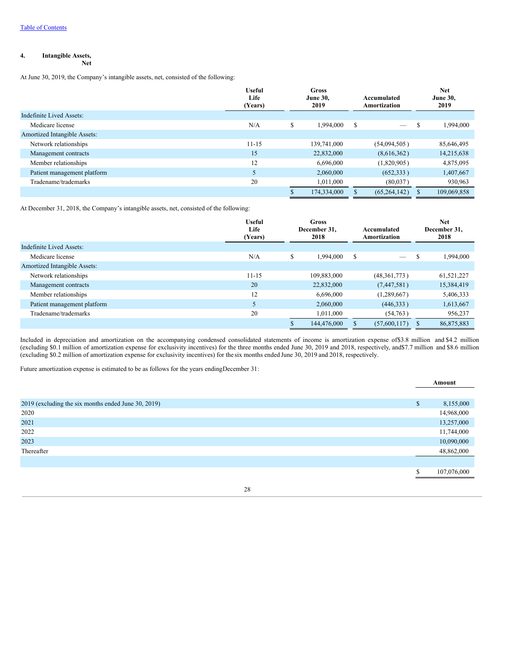### **4. Intangible Assets, Net**

At June 30, 2019, the Company's intangible assets, net, consisted of the following:

|                              | <b>Useful</b><br>Life<br>(Years) | <b>Gross</b><br><b>June 30,</b><br>2019 |             | Accumulated<br>Amortization |                          |        | <b>Net</b><br><b>June 30,</b><br>2019 |
|------------------------------|----------------------------------|-----------------------------------------|-------------|-----------------------------|--------------------------|--------|---------------------------------------|
| Indefinite Lived Assets:     |                                  |                                         |             |                             |                          |        |                                       |
| Medicare license             | N/A                              | \$                                      | 1,994,000   | S                           | $\overline{\phantom{m}}$ | ø<br>Э | 1,994,000                             |
| Amortized Intangible Assets: |                                  |                                         |             |                             |                          |        |                                       |
| Network relationships        | $11 - 15$                        |                                         | 139,741,000 |                             | (54,094,505)             |        | 85,646,495                            |
| Management contracts         | 15                               |                                         | 22,832,000  |                             | (8,616,362)              |        | 14,215,638                            |
| Member relationships         | 12                               |                                         | 6,696,000   |                             | (1,820,905)              |        | 4,875,095                             |
| Patient management platform  | 5                                |                                         | 2,060,000   |                             | (652, 333)               |        | 1,407,667                             |
| Tradename/trademarks         | 20                               |                                         | 1,011,000   |                             | (80,037)                 |        | 930,963                               |
|                              |                                  | ъ                                       | 174,334,000 |                             | (65, 264, 142)           |        | 109,069,858                           |

At December 31, 2018, the Company's intangible assets, net, consisted of the following:

|                              | <b>Useful</b><br>Life<br>(Years) |    | <b>Gross</b><br>December 31.<br>2018 |   | Accumulated<br>Amortization |          | <b>Net</b><br>December 31,<br>2018 |
|------------------------------|----------------------------------|----|--------------------------------------|---|-----------------------------|----------|------------------------------------|
| Indefinite Lived Assets:     |                                  |    |                                      |   |                             |          |                                    |
| Medicare license             | N/A                              | S  | 1.994.000                            | S |                             |          | 1,994,000                          |
| Amortized Intangible Assets: |                                  |    |                                      |   |                             |          |                                    |
| Network relationships        | $11 - 15$                        |    | 109,883,000                          |   | (48,361,773)                |          | 61,521,227                         |
| Management contracts         | 20                               |    | 22,832,000                           |   | (7,447,581)                 |          | 15,384,419                         |
| Member relationships         | 12                               |    | 6.696.000                            |   | (1,289,667)                 |          | 5,406,333                          |
| Patient management platform  | 5                                |    | 2,060,000                            |   | (446,333)                   |          | 1,613,667                          |
| Tradename/trademarks         | 20                               |    | 1,011,000                            |   | (54,763)                    |          | 956,237                            |
|                              |                                  | \$ | 144,476,000                          |   | (57,600,117)                | <b>S</b> | 86,875,883                         |

Included in depreciation and amortization on the accompanying condensed consolidated statements of income is amortization expense of\$3.8 million and \$4.2 million (excluding \$0.1 million of amortization expense for exclusivity incentives) for the three months ended June 30, 2019 and 2018, respectively, and\$7.7 million and \$8.6 million (excluding \$0.2 million of amortization expense for exclusivity incentives) for the six months ended June 30, 2019 and 2018, respectively.

Future amortization expense is estimated to be as follows for the years endingDecember 31:

|                                                     | Amount       |             |
|-----------------------------------------------------|--------------|-------------|
|                                                     |              |             |
| 2019 (excluding the six months ended June 30, 2019) | $\mathbf{D}$ | 8,155,000   |
| 2020                                                |              | 14,968,000  |
| 2021                                                |              | 13,257,000  |
| 2022                                                |              | 11,744,000  |
| 2023                                                |              | 10,090,000  |
| Thereafter                                          |              | 48,862,000  |
|                                                     |              |             |
|                                                     |              | 107,076,000 |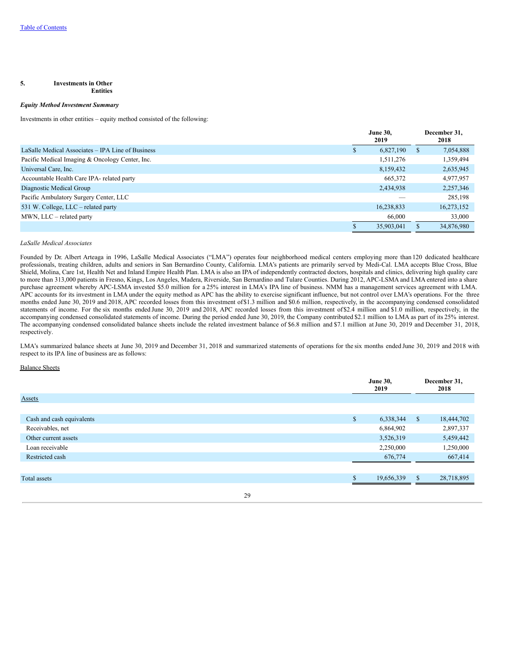#### **5. Investments in Other Entities**

### *Equity Method Investment Summary*

Investments in other entities – equity method consisted of the following:

|                                                   | <b>June 30.</b><br>2019 |   | December 31,<br>2018 |
|---------------------------------------------------|-------------------------|---|----------------------|
| LaSalle Medical Associates – IPA Line of Business | 6,827,190               | S | 7,054,888            |
| Pacific Medical Imaging & Oncology Center, Inc.   | 1,511,276               |   | 1,359,494            |
| Universal Care, Inc.                              | 8,159,432               |   | 2,635,945            |
| Accountable Health Care IPA- related party        | 665,372                 |   | 4,977,957            |
| Diagnostic Medical Group                          | 2,434,938               |   | 2,257,346            |
| Pacific Ambulatory Surgery Center, LLC            |                         |   | 285,198              |
| 531 W. College, LLC – related party               | 16,238,833              |   | 16,273,152           |
| MWN, LLC – related party                          | 66,000                  |   | 33,000               |
|                                                   | 35,903,041              |   | 34,876,980           |

### *LaSalle Medical Associates*

Founded by Dr. Albert Arteaga in 1996, LaSalle Medical Associates ("LMA") operates four neighborhood medical centers employing more than 120 dedicated healthcare professionals, treating children, adults and seniors in San Bernardino County, California. LMA's patients are primarily served by Medi-Cal. LMA accepts Blue Cross, Blue Shield, Molina, Care 1st, Health Net and Inland Empire Health Plan. LMA is also an IPA of independently contracted doctors, hospitals and clinics, delivering high quality care to more than 313,000 patients in Fresno, Kings, Los Angeles, Madera, Riverside, San Bernardino and Tulare Counties. During 2012, APC-LSMA and LMA entered into a share purchase agreement whereby APC-LSMA invested \$5.0 million for a 25% interest in LMA's IPA line of business. NMM has a management services agreement with LMA. APC accounts for its investment in LMA under the equity method as APC has the ability to exercise significant influence, but not control over LMA's operations. For the three months ended June 30, 2019 and 2018, APC recorded losses from this investment of \$1.3 million and \$0.6 million, respectively, in the accompanying condensed consolidated statements of income. For the six months ended June 30, 2019 and 2018, APC recorded losses from this investment of\$2.4 million and \$1.0 million, respectively, in the accompanying condensed consolidated statements of income. During the period ended June 30, 2019, the Company contributed \$2.1 million to LMA as part of its 25% interest. The accompanying condensed consolidated balance sheets include the related investment balance of \$6.8 million and \$7.1 million atJune 30, 2019 and December 31, 2018, respectively.

LMA's summarized balance sheets at June 30, 2019 and December 31, 2018 and summarized statements of operations for the six months ended June 30, 2019 and 2018 with respect to its IPA line of business are as follows:

### Balance Sheets

|                           |    |              | <b>June 30,</b><br>2019 |              | December 31,<br>2018 |
|---------------------------|----|--------------|-------------------------|--------------|----------------------|
| Assets                    |    |              |                         |              |                      |
|                           |    |              |                         |              |                      |
| Cash and cash equivalents |    | $\mathbb{S}$ | 6,338,344               | $\mathbb{S}$ | 18,444,702           |
| Receivables, net          |    |              | 6,864,902               |              | 2,897,337            |
| Other current assets      |    |              | 3,526,319               |              | 5,459,442            |
| Loan receivable           |    |              | 2,250,000               |              | 1,250,000            |
| Restricted cash           |    |              | 676,774                 |              | 667,414              |
|                           |    |              |                         |              |                      |
| Total assets              |    |              | 19,656,339              | \$.          | 28,718,895           |
|                           | 29 |              |                         |              |                      |
|                           |    |              |                         |              |                      |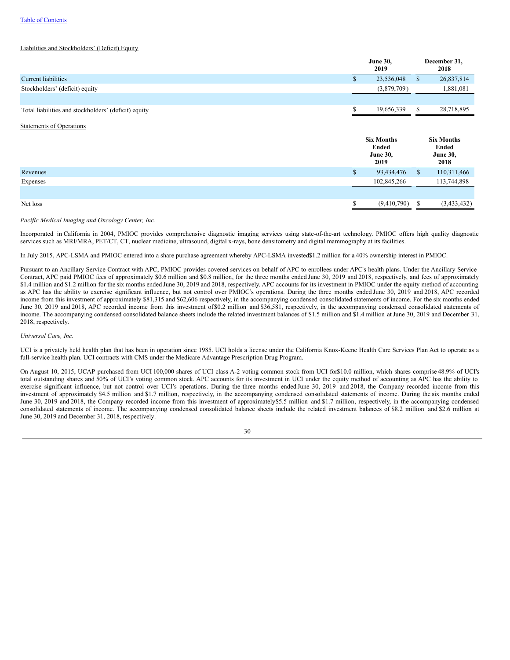### Liabilities and Stockholders' (Deficit) Equity

|                                                      | <b>June 30,</b><br>2019 |                                                       | December 31,<br>2018 |                                                       |
|------------------------------------------------------|-------------------------|-------------------------------------------------------|----------------------|-------------------------------------------------------|
| Current liabilities                                  | \$                      | 23,536,048                                            | $\mathbb{S}$         | 26,837,814                                            |
| Stockholders' (deficit) equity                       |                         | (3,879,709)                                           |                      | 1,881,081                                             |
|                                                      |                         |                                                       |                      |                                                       |
| Total liabilities and stockholders' (deficit) equity |                         | 19,656,339                                            | \$                   | 28,718,895                                            |
| <b>Statements of Operations</b>                      |                         |                                                       |                      |                                                       |
|                                                      |                         |                                                       |                      |                                                       |
|                                                      |                         | <b>Six Months</b><br>Ended<br><b>June 30,</b><br>2019 |                      | <b>Six Months</b><br>Ended<br><b>June 30,</b><br>2018 |
| Revenues                                             | \$.                     | 93,434,476                                            | $\mathbb{S}$         | 110,311,466                                           |
| Expenses                                             |                         | 102,845,266                                           |                      | 113,744,898                                           |
|                                                      |                         |                                                       |                      |                                                       |

### *Pacific Medical Imaging and Oncology Center, Inc.*

Incorporated in California in 2004, PMIOC provides comprehensive diagnostic imaging services using state-of-the-art technology. PMIOC offers high quality diagnostic services such as MRI/MRA, PET/CT, CT, nuclear medicine, ultrasound, digital x-rays, bone densitometry and digital mammography at its facilities.

In July 2015, APC-LSMA and PMIOC entered into a share purchase agreement whereby APC-LSMA invested\$1.2 million for a 40% ownership interest in PMIOC.

Pursuant to an Ancillary Service Contract with APC, PMIOC provides covered services on behalf of APC to enrollees under APC's health plans. Under the Ancillary Service Contract, APC paid PMIOC fees of approximately \$0.6 million and \$0.8 million, for the three months ended June 30, 2019 and 2018, respectively, and fees of approximately \$1.4 million and \$1.2 million for the six months ended June 30, 2019 and 2018, respectively. APC accounts for its investment in PMIOC under the equity method of accounting as APC has the ability to exercise significant influence, but not control over PMIOC's operations. During the three months ended June 30, 2019 and 2018, APC recorded income from this investment of approximately \$81,315 and \$62,606 respectively, in the accompanying condensed consolidated statements of income. For the six months ended June 30, 2019 and 2018, APC recorded income from this investment of \$0.2 million and \$36,581, respectively, in the accompanying condensed consolidated statements of income. The accompanying condensed consolidated balance sheets include the related investment balances of \$1.5 million and \$1.4 million at June 30, 2019 and December 31, 2018, respectively.

#### *Universal Care, Inc.*

UCI is a privately held health plan that has been in operation since 1985. UCI holds a license under the California Knox-Keene Health Care Services Plan Act to operate as a full-service health plan. UCI contracts with CMS under the Medicare Advantage Prescription Drug Program.

On August 10, 2015, UCAP purchased from UCI 100,000 shares of UCI class A-2 voting common stock from UCI for\$10.0 million, which shares comprise 48.9% of UCI's total outstanding shares and 50% of UCI's voting common stock. APC accounts for its investment in UCI under the equity method of accounting as APC has the ability to exercise significant influence, but not control over UCI's operations. During the three months ended June 30, 2019 and 2018, the Company recorded income from this investment of approximately \$4.5 million and \$1.7 million, respectively, in the accompanying condensed consolidated statements of income. During the six months ended June 30, 2019 and 2018, the Company recorded income from this investment of approximately\$5.5 million and \$1.7 million, respectively, in the accompanying condensed consolidated statements of income. The accompanying condensed consolidated balance sheets include the related investment balances of \$8.2 million and \$2.6 million at June 30, 2019 and December 31, 2018, respectively.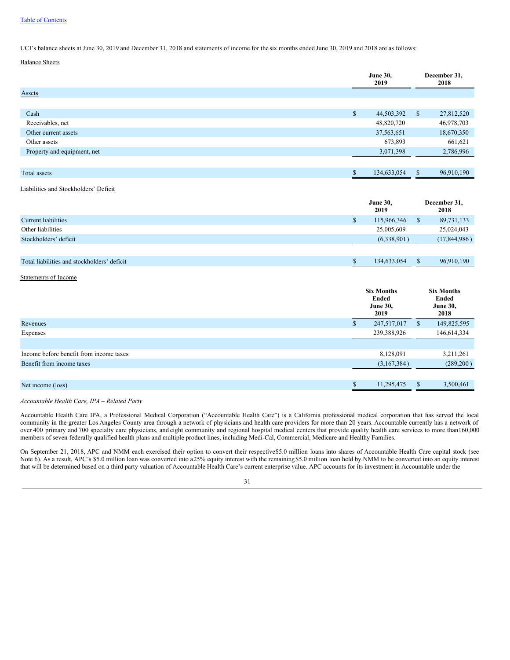UCI's balance sheets at June 30, 2019 and December 31, 2018 and statements of income for the six months ended June 30, 2019 and 2018 are as follows:

# Balance Sheets

|                             | <b>June 30,</b><br>2019 |               | December 31,<br>2018 |
|-----------------------------|-------------------------|---------------|----------------------|
| <b>Assets</b>               |                         |               |                      |
|                             |                         |               |                      |
| Cash                        | \$<br>44,503,392        | $\mathbb{S}$  | 27,812,520           |
| Receivables, net            | 48,820,720              |               | 46,978,703           |
| Other current assets        | 37,563,651              |               | 18,670,350           |
| Other assets                | 673,893                 |               | 661,621              |
| Property and equipment, net | 3,071,398               |               | 2,786,996            |
|                             |                         |               |                      |
| Total assets                | \$<br>134,633,054       | <sup>\$</sup> | 96,910,190           |

### Liabilities and Stockholders' Deficit

|                                             | <b>June 30,</b><br>2019 |   | December 31,<br>2018 |
|---------------------------------------------|-------------------------|---|----------------------|
| <b>Current liabilities</b>                  | 115,966,346             | S | 89,731,133           |
| Other liabilities                           | 25,005,609              |   | 25,024,043           |
| Stockholders' deficit                       | (6,338,901)             |   | (17, 844, 986)       |
|                                             |                         |   |                      |
| Total liabilities and stockholders' deficit | 134,633,054             |   | 96,910,190           |

### Statements of Income

|                                         |    | <b>Six Months</b><br>Ended<br><b>June 30,</b><br>2019 |               | <b>Six Months</b><br>Ended<br><b>June 30,</b><br>2018 |
|-----------------------------------------|----|-------------------------------------------------------|---------------|-------------------------------------------------------|
| Revenues                                | Ъ. | 247,517,017                                           | S             | 149,825,595                                           |
| Expenses                                |    | 239,388,926                                           |               | 146,614,334                                           |
|                                         |    |                                                       |               |                                                       |
| Income before benefit from income taxes |    | 8,128,091                                             |               | 3,211,261                                             |
| Benefit from income taxes               |    | (3,167,384)                                           |               | (289, 200)                                            |
|                                         |    |                                                       |               |                                                       |
| Net income (loss)                       |    | 11,295,475                                            | $\mathcal{S}$ | 3,500,461                                             |
|                                         |    |                                                       |               |                                                       |

*Accountable Health Care, IPA – Related Party*

Accountable Health Care IPA, a Professional Medical Corporation ("Accountable Health Care") is a California professional medical corporation that has served the local community in the greater Los Angeles County area through a network of physicians and health care providers for more than 20 years. Accountable currently has a network of over 400 primary and 700 specialty care physicians, and eight community and regional hospital medical centers that provide quality health care services to more than160,000 members of seven federally qualified health plans and multiple product lines, including Medi-Cal, Commercial, Medicare and Healthy Families.

On September 21, 2018, APC and NMM each exercised their option to convert their respective\$5.0 million loans into shares of Accountable Health Care capital stock (see Note 6). As a result, APC's \$5.0 million loan was converted into a25% equity interest with the remaining \$5.0 million loan held by NMM to be converted into an equity interest that will be determined based on a third party valuation of Accountable Health Care's current enterprise value. APC accounts for its investment in Accountable under the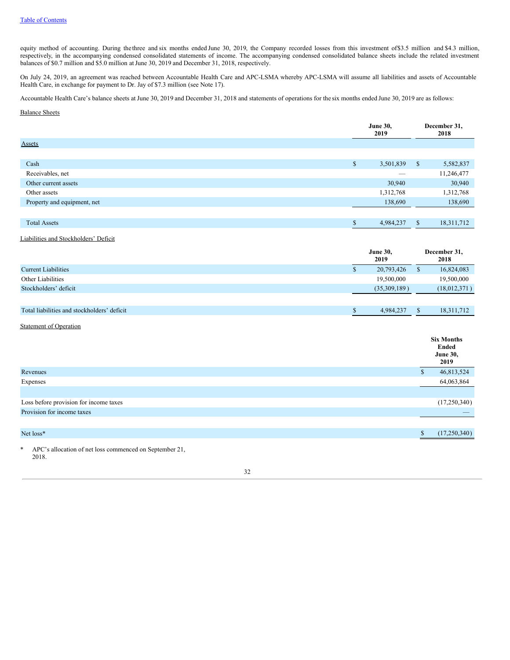equity method of accounting. During the three and six months ended June 30, 2019, the Company recorded losses from this investment of \$3.5 million and \$4.3 million, respectively, in the accompanying condensed consolidated statements of income. The accompanying condensed consolidated balance sheets include the related investment balances of \$0.7 million and \$5.0 million at June 30, 2019 and December 31, 2018, respectively.

On July 24, 2019, an agreement was reached between Accountable Health Care and APC-LSMA whereby APC-LSMA will assume all liabilities and assets of Accountable Health Care, in exchange for payment to Dr. Jay of \$7.3 million (see Note 17).

Accountable Health Care's balance sheets at June 30, 2019 and December 31, 2018 and statements of operations for the six months ended June 30, 2019 are as follows:

### Balance Sheets

|                             |               | <b>June 30,</b><br>2019 |              | December 31,<br>2018 |  |
|-----------------------------|---------------|-------------------------|--------------|----------------------|--|
| <b>Assets</b>               |               |                         |              |                      |  |
|                             |               |                         |              |                      |  |
| Cash                        | $\sigma$<br>Ф | 3,501,839               | $\mathbb{S}$ | 5,582,837            |  |
| Receivables, net            |               |                         |              | 11,246,477           |  |
| Other current assets        |               | 30,940                  |              | 30,940               |  |
| Other assets                |               | 1,312,768               |              | 1,312,768            |  |
| Property and equipment, net |               | 138,690                 |              | 138,690              |  |
|                             |               |                         |              |                      |  |
| <b>Total Assets</b>         |               | 4,984,237               | $\mathbf S$  | 18,311,712           |  |

# Liabilities and Stockholders' Deficit

|                                             | <b>June 30,</b><br>2019 | December 31,<br>2018 |
|---------------------------------------------|-------------------------|----------------------|
| <b>Current Liabilities</b>                  | 20,793,426              | 16,824,083           |
| Other Liabilities                           | 19,500,000              | 19,500,000           |
| Stockholders' deficit                       | (35,309,189)            | (18,012,371)         |
|                                             |                         |                      |
| Total liabilities and stockholders' deficit | 4.984.237               | 18, 311, 712         |

## **Statement of Operation**

|                                                          |                 | <b>Six Months</b><br>Ended<br><b>June 30,</b><br>2019 |
|----------------------------------------------------------|-----------------|-------------------------------------------------------|
| Revenues                                                 | S               | 46,813,524                                            |
| Expenses                                                 |                 | 64,063,864                                            |
|                                                          |                 |                                                       |
| Loss before provision for income taxes                   |                 | (17,250,340)                                          |
| Provision for income taxes                               |                 |                                                       |
|                                                          |                 |                                                       |
| Net loss*                                                | $\sigma$<br>аħ. | (17,250,340)                                          |
| * APC's allocation of net loss commenced on September 21 |                 |                                                       |

APC's allocation of net loss commenced on September 21, 2018.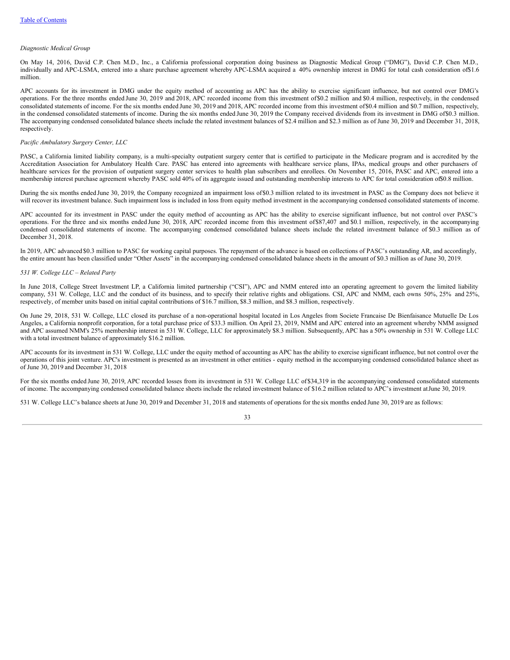#### *Diagnostic Medical Group*

On May 14, 2016, David C.P. Chen M.D., Inc., a California professional corporation doing business as Diagnostic Medical Group ("DMG"), David C.P. Chen M.D., individually and APC-LSMA, entered into a share purchase agreement whereby APC-LSMA acquired a 40% ownership interest in DMG for total cash consideration of\$1.6 million.

APC accounts for its investment in DMG under the equity method of accounting as APC has the ability to exercise significant influence, but not control over DMG's operations. For the three months ended June 30, 2019 and 2018, APC recorded income from this investment of\$0.2 million and \$0.4 million, respectively, in the condensed consolidated statements of income. For the six months ended June 30, 2019 and 2018, APC recorded income from this investment of\$0.4 million and \$0.7 million, respectively, in the condensed consolidated statements of income. During the six months ended June 30, 2019 the Company received dividends from its investment in DMG of\$0.3 million. The accompanying condensed consolidated balance sheets include the related investment balances of \$2.4 million and \$2.3 million as of June 30, 2019 and December 31, 2018, respectively.

### *Pacific Ambulatory Surgery Center, LLC*

PASC, a California limited liability company, is a multi-specialty outpatient surgery center that is certified to participate in the Medicare program and is accredited by the Accreditation Association for Ambulatory Health Care. PASC has entered into agreements with healthcare service plans, IPAs, medical groups and other purchasers of healthcare services for the provision of outpatient surgery center services to health plan subscribers and enrollees. On November 15, 2016, PASC and APC, entered into a membership interest purchase agreement whereby PASC sold 40% of its aggregate issued and outstanding membership interests to APC for total consideration of\$0.8 million.

During the six months ended June 30, 2019, the Company recognized an impairment loss of\$0.3 million related to its investment in PASC as the Company does not believe it will recover its investment balance. Such impairment loss is included in loss from equity method investment in the accompanying condensed consolidated statements of income.

APC accounted for its investment in PASC under the equity method of accounting as APC has the ability to exercise significant influence, but not control over PASC's operations. For the three and six months ended June 30, 2018, APC recorded income from this investment of\$87,407 and \$0.1 million, respectively, in the accompanying condensed consolidated statements of income. The accompanying condensed consolidated balance sheets include the related investment balance of \$0.3 million as of December 31, 2018.

In 2019, APC advanced \$0.3 million to PASC for working capital purposes. The repayment of the advance is based on collections of PASC's outstanding AR, and accordingly, the entire amount has been classified under "Other Assets" in the accompanying condensed consolidated balance sheets in the amount of \$0.3 million as of June 30, 2019.

#### *531 W. College LLC – Related Party*

In June 2018, College Street Investment LP, a California limited partnership ("CSI"), APC and NMM entered into an operating agreement to govern the limited liability company, 531 W. College, LLC and the conduct of its business, and to specify their relative rights and obligations. CSI, APC and NMM, each owns 50%, 25% and 25%, respectively, of member units based on initial capital contributions of \$16.7 million, \$8.3 million, and \$8.3 million, respectively.

On June 29, 2018, 531 W. College, LLC closed its purchase of a non-operational hospital located in Los Angeles from Societe Francaise De Bienfaisance Mutuelle De Los Angeles, a California nonprofit corporation, for a total purchase price of \$33.3 million. On April 23, 2019, NMM and APC entered into an agreement whereby NMM assigned and APC assumed NMM's 25% membership interest in 531 W. College, LLC for approximately \$8.3 million. Subsequently, APC has a 50% ownership in 531 W. College LLC with a total investment balance of approximately \$16.2 million.

APC accounts for its investment in 531 W. College, LLC under the equity method of accounting as APC has the ability to exercise significant influence, but not control over the operations of this joint venture. APC's investment is presented as an investment in other entities - equity method in the accompanying condensed consolidated balance sheet as of June 30, 2019 and December 31, 2018

For the six months ended June 30, 2019, APC recorded losses from its investment in 531 W. College LLC of \$34,319 in the accompanying condensed consolidated statements of income. The accompanying condensed consolidated balance sheets include the related investment balance of \$16.2 million related to APC's investment atJune 30, 2019.

531 W. College LLC's balance sheets atJune 30, 2019 and December 31, 2018 and statements of operations for the six months ended June 30, 2019 are as follows: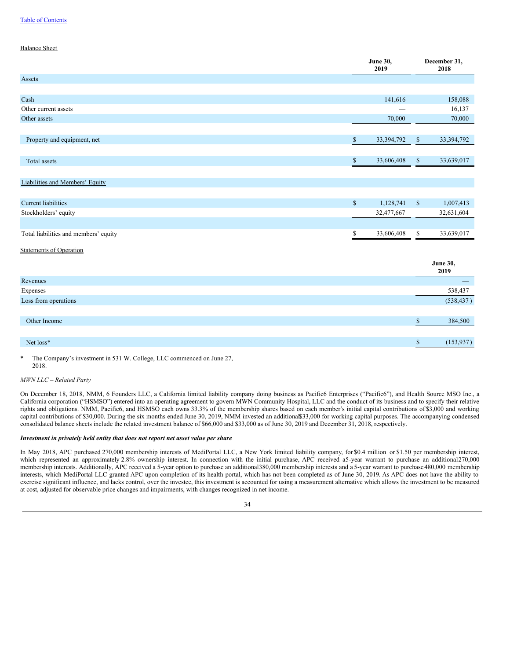#### Table of [Contents](#page-1-0)

Balance Sheet

|                                       |              | <b>June 30,</b><br>2019 |              | December 31,<br>2018 |
|---------------------------------------|--------------|-------------------------|--------------|----------------------|
| <b>Assets</b>                         |              |                         |              |                      |
|                                       |              |                         |              |                      |
| Cash                                  |              | 141,616                 |              | 158,088              |
| Other current assets                  |              |                         |              | 16,137               |
| Other assets                          |              | 70,000                  |              | 70,000               |
|                                       |              |                         |              |                      |
| Property and equipment, net           | $\mathbb{S}$ | 33,394,792              | $\mathbb{S}$ | 33,394,792           |
|                                       |              |                         |              |                      |
| Total assets                          | $\$$         | 33,606,408              | $\mathbb{S}$ | 33,639,017           |
|                                       |              |                         |              |                      |
| Liabilities and Members' Equity       |              |                         |              |                      |
|                                       |              |                         |              |                      |
| <b>Current liabilities</b>            | $\mathbb{S}$ | 1,128,741               | $\mathbb{S}$ | 1,007,413            |
| Stockholders' equity                  |              | 32,477,667              |              | 32,631,604           |
|                                       |              |                         |              |                      |
| Total liabilities and members' equity | \$           | 33,606,408              | \$           | 33,639,017           |
|                                       |              |                         |              |                      |
| <b>Statements of Operation</b>        |              |                         |              |                      |
|                                       |              |                         |              | June 30,<br>2019     |
| Revenues                              |              |                         |              |                      |
| Expenses                              |              |                         |              | 538,437              |
| Loss from operations                  |              |                         |              | (538, 437)           |
|                                       |              |                         |              |                      |
| Other Income                          |              |                         | $\$$         | 384,500              |
|                                       |              |                         |              |                      |
| Net loss*                             |              |                         | $\$$         | (153, 937)           |

The Company's investment in 531 W. College, LLC commenced on June 27, 2018.

### *MWN LLC – Related Party*

On December 18, 2018, NMM, 6 Founders LLC, a California limited liability company doing business as Pacific6 Enterprises ("Pacific6"), and Health Source MSO Inc., a California corporation ("HSMSO") entered into an operating agreement to govern MWN Community Hospital, LLC and the conduct of its business and to specify their relative rights and obligations. NMM, Pacific6, and HSMSO each owns 33.3% of the membership shares based on each member's initial capital contributions of \$3,000 and working capital contributions of \$30,000. During the six months ended June 30, 2019, NMM invested an additional \$33,000 for working capital purposes. The accompanying condensed consolidated balance sheets include the related investment balance of \$66,000 and \$33,000 as of June 30, 2019 and December 31, 2018, respectively.

### *Investment in privately held entity that does not report net asset value per share*

In May 2018, APC purchased 270,000 membership interests of MediPortal LLC, a New York limited liability company, for \$0.4 million or \$1.50 per membership interest, which represented an approximately 2.8% ownership interest. In connection with the initial purchase, APC received a5-year warrant to purchase an additional270,000 membership interests. Additionally, APC received a 5-year option to purchase an additional380,000 membership interests and a 5-year warrant to purchase 480,000 membership interests, which MediPortal LLC granted APC upon completion of its health portal, which has not been completed as of June 30, 2019. As APC does not have the ability to exercise significant influence, and lacks control, over the investee, this investment is accounted for using a measurement alternative which allows the investment to be measured at cost, adjusted for observable price changes and impairments, with changes recognized in net income.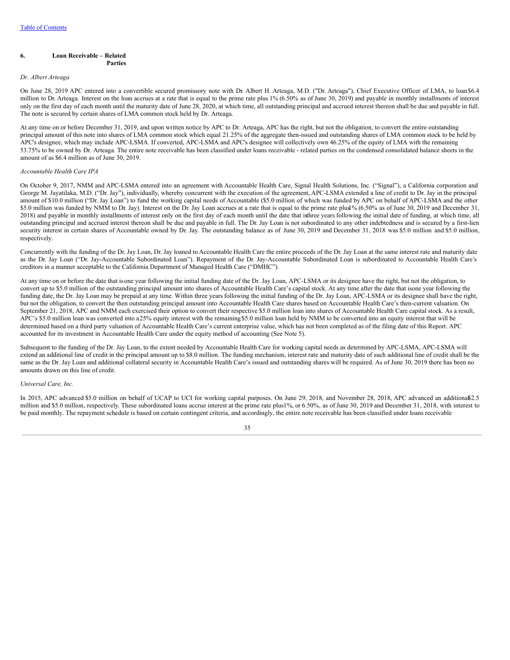#### **6. Loan Receivable – Related Parties**

### *Dr. Albert Arteaga*

On June 28, 2019 APC entered into a convertible secured promissory note with Dr. Albert H. Arteaga, M.D. ("Dr. Arteaga"), Chief Executive Officer of LMA, to loan\$6.4 million to Dr. Arteaga. Interest on the loan accrues at a rate that is equal to the prime rate plus 1% (6.50% as of June 30, 2019) and payable in monthly installments of interest only on the first day of each month until the maturity date of June 28, 2020, at which time, all outstanding principal and accrued interest thereon shall be due and payable in full. The note is secured by certain shares of LMA common stock held by Dr. Arteaga.

At any time on or before December 31, 2019, and upon written notice by APC to Dr. Arteaga, APC has the right, but not the obligation, to convert the entire outstanding principal amount of this note into shares of LMA common stock which equal 21.25% of the aggregate then-issued and outstanding shares of LMA common stock to be held by APC's designee, which may include APC-LSMA. If converted, APC-LSMA and APC's designee will collectively own 46.25% of the equity of LMA with the remaining 53.75% to be owned by Dr. Arteaga. The entire note receivable has been classified under loans receivable - related parties on the condensed consolidated balance sheets in the amount of as \$6.4 million as of June 30, 2019.

### *Accountable Health Care IPA*

On October 9, 2017, NMM and APC-LSMA entered into an agreement with Accountable Health Care, Signal Health Solutions, Inc. ("Signal"), a California corporation and George M. Jayatilaka, M.D. ("Dr. Jay"), individually, whereby concurrent with the execution of the agreement, APC-LSMA extended a line of credit to Dr. Jay in the principal amount of \$10.0 million ("Dr. Jay Loan") to fund the working capital needs of Accountable (\$5.0 million of which was funded by APC on behalf of APC-LSMA and the other \$5.0 million was funded by NMM to Dr. Jay). Interest on the Dr. Jay Loan accrues at a rate that is equal to the prime rate plus!% (6.50% as of June 30, 2019 and December 31, 2018) and payable in monthly installments of interest only on the first day of each month until the date that isthree years following the initial date of funding, at which time, all outstanding principal and accrued interest thereon shall be due and payable in full. The Dr. Jay Loan is not subordinated to any other indebtedness and is secured by a first-lien security interest in certain shares of Accountable owned by Dr. Jay. The outstanding balance as of June 30, 2019 and December 31, 2018 was \$5.0 million and \$5.0 million, respectively.

Concurrently with the funding of the Dr. Jay Loan, Dr. Jay loaned to Accountable Health Care the entire proceeds of the Dr. Jay Loan at the same interest rate and maturity date as the Dr. Jay Loan ("Dr. Jay-Accountable Subordinated Loan"). Repayment of the Dr. Jay-Accountable Subordinated Loan is subordinated to Accountable Health Care's creditors in a manner acceptable to the California Department of Managed Health Care ("DMHC").

At any time on or before the date that isone year following the initial funding date of the Dr. Jay Loan, APC-LSMA or its designee have the right, but not the obligation, to convert up to \$5.0 million of the outstanding principal amount into shares of Accountable Health Care's capital stock. At any time after the date that isone year following the funding date, the Dr. Jay Loan may be prepaid at any time. Within three years following the initial funding of the Dr. Jay Loan, APC-LSMA or its designee shall have the right, but not the obligation, to convert the then outstanding principal amount into Accountable Health Care shares based on Accountable Health Care's then-current valuation. On September 21, 2018, APC and NMM each exercised their option to convert their respective \$5.0 million loan into shares of Accountable Health Care capital stock. As a result, APC's \$5.0 million loan was converted into a25% equity interest with the remaining\$5.0 million loan held by NMM to be converted into an equity interest that will be determined based on a third party valuation of Accountable Health Care's current enterprise value, which has not been completed as of the filing date of this Report. APC accounted for its investment in Accountable Health Care under the equity method of accounting (See Note 5).

Subsequent to the funding of the Dr. Jay Loan, to the extent needed by Accountable Health Care for working capital needs as determined by APC-LSMA, APC-LSMA will extend an additional line of credit in the principal amount up to \$8.0 million. The funding mechanism, interest rate and maturity date of such additional line of credit shall be the same as the Dr. Jay Loan and additional collateral security in Accountable Health Care's issued and outstanding shares will be required. As of June 30, 2019 there has been no amounts drawn on this line of credit.

### *Universal Care, Inc.*

In 2015, APC advanced \$5.0 million on behalf of UCAP to UCI for working capital purposes. On June 29, 2018, and November 28, 2018, APC advanced an additional \$2.5 million and \$5.0 million, respectively. These subordinated loans accrue interest at the prime rate plus1%, or 6.50%, as of June 30, 2019 and December 31, 2018, with interest to be paid monthly. The repayment schedule is based on certain contingent criteria, and accordingly, the entire note receivable has been classified under loans receivable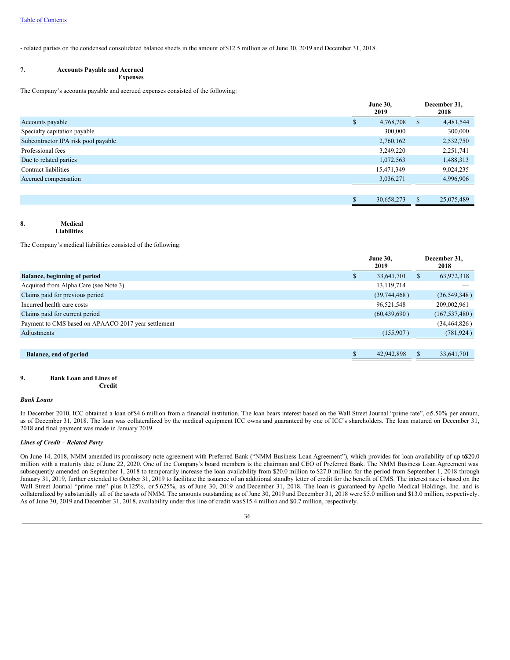- related parties on the condensed consolidated balance sheets in the amount of\$12.5 million as of June 30, 2019 and December 31, 2018.

### **7. Accounts Payable and Accrued Expenses**

The Company's accounts payable and accrued expenses consisted of the following:

|                                     |    | <b>June 30,</b><br>2019 | December 31,<br>2018 |
|-------------------------------------|----|-------------------------|----------------------|
| Accounts payable                    | ۰D | 4,768,708               | \$<br>4,481,544      |
| Specialty capitation payable        |    | 300,000                 | 300,000              |
| Subcontractor IPA risk pool payable |    | 2,760,162               | 2,532,750            |
| Professional fees                   |    | 3,249,220               | 2,251,741            |
| Due to related parties              |    | 1,072,563               | 1,488,313            |
| Contract liabilities                |    | 15,471,349              | 9,024,235            |
| Accrued compensation                |    | 3,036,271               | 4,996,906            |
|                                     |    |                         |                      |
|                                     |    | 30,658,273              | \$<br>25,075,489     |

#### **8. Medical Liabilities**

The Company's medical liabilities consisted of the following:

|                                                     | <b>June 30.</b><br>2019  |   | December 31,<br>2018 |
|-----------------------------------------------------|--------------------------|---|----------------------|
| <b>Balance, beginning of period</b>                 | 33,641,701               | S | 63,972,318           |
| Acquired from Alpha Care (see Note 3)               | 13,119,714               |   |                      |
| Claims paid for previous period                     | (39, 744, 468)           |   | (36, 549, 348)       |
| Incurred health care costs                          | 96,521,548               |   | 209,002,961          |
| Claims paid for current period                      | (60, 439, 690)           |   | (167, 537, 480)      |
| Payment to CMS based on APAACO 2017 year settlement | $\overline{\phantom{a}}$ |   | (34, 464, 826)       |
| Adjustments                                         | (155,907)                |   | (781, 924)           |
|                                                     |                          |   |                      |
| <b>Balance, end of period</b>                       | 42,942,898               |   | 33,641,701           |

### **9. Bank Loan and Lines of**

**Credit**

#### *Bank Loans*

In December 2010, ICC obtained a loan of\$4.6 million from a financial institution. The loan bears interest based on the Wall Street Journal "prime rate", or5.50% per annum, as of December 31, 2018. The loan was collateralized by the medical equipment ICC owns and guaranteed by one of ICC's shareholders. The loan matured on December 31, 2018 and final payment was made in January 2019.

### *Lines of Credit – Related Party*

On June 14, 2018, NMM amended its promissory note agreement with Preferred Bank ("NMM Business Loan Agreement"), which provides for loan availability of up t\$20.0 million with a maturity date ofJune 22, 2020. One of the Company's board members is the chairman and CEO of Preferred Bank. The NMM Business Loan Agreement was subsequently amended on September 1, 2018 to temporarily increase the loan availability from \$20.0 million to \$27.0 million for the period from September 1, 2018 through January 31, 2019, further extended to October 31, 2019 to facilitate the issuance of an additional standby letter of credit for the benefit of CMS. The interest rate is based on the Wall Street Journal "prime rate" plus 0.125%, or 5.625%, as of June 30, 2019 and December 31, 2018. The loan is guaranteed by Apollo Medical Holdings, Inc. and is collateralized by substantially all of the assets of NMM. The amounts outstanding as of June 30, 2019 and December 31, 2018 were \$5.0 million and \$13.0 million, respectively. As of June 30, 2019 and December 31, 2018, availability under this line of credit was\$15.4 million and \$0.7 million, respectively.

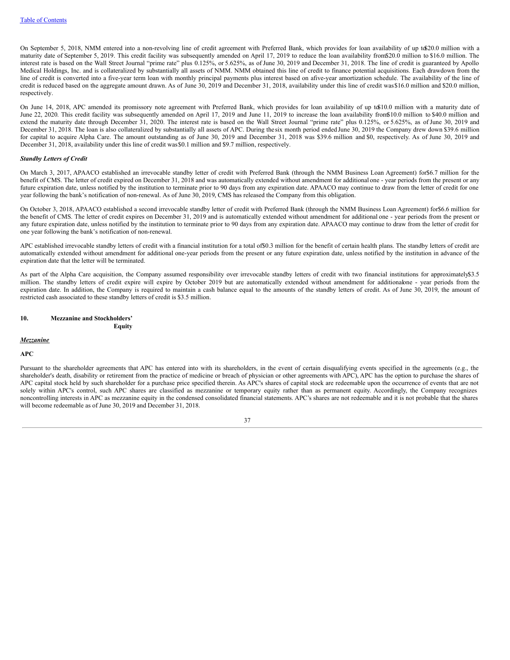On September 5, 2018, NMM entered into a non-revolving line of credit agreement with Preferred Bank, which provides for loan availability of up to\$20.0 million with a maturity date of September 5, 2019. This credit facility was subsequently amended on April 17, 2019 to reduce the loan availability from\$20.0 million to \$16.0 million. The interest rate is based on the Wall Street Journal "prime rate" plus 0.125%, or 5.625%, as of June 30, 2019 and December 31, 2018. The line of credit is guaranteed by Apollo Medical Holdings, Inc. and is collateralized by substantially all assets of NMM. NMM obtained this line of credit to finance potential acquisitions. Each drawdown from the line of credit is converted into a five-year term loan with monthly principal payments plus interest based on afive-year amortization schedule. The availability of the line of credit is reduced based on the aggregate amount drawn. As of June 30, 2019 and December 31, 2018, availability under this line of credit was\$16.0 million and \$20.0 million, respectively.

On June 14, 2018, APC amended its promissory note agreement with Preferred Bank, which provides for loan availability of up to\$10.0 million with a maturity date of June 22, 2020. This credit facility was subsequently amended on April 17, 2019 and June 11, 2019 to increase the loan availability from\$10.0 million to \$40.0 million and extend the maturity date through December 31, 2020. The interest rate is based on the Wall Street Journal "prime rate" plus 0.125%, or 5.625%, as of June 30, 2019 and December 31, 2018. The loan is also collateralized by substantially all assets of APC. During the six month period ended June 30, 2019 the Company drew down \$39.6 million for capital to acquire Alpha Care. The amount outstanding as of June 30, 2019 and December 31, 2018 was \$39.6 million and \$0, respectively. As of June 30, 2019 and December 31, 2018, availability under this line of credit was\$0.1 million and \$9.7 million, respectively.

#### *Standby Letters of Credit*

On March 3, 2017, APAACO established an irrevocable standby letter of credit with Preferred Bank (through the NMM Business Loan Agreement) for \$6.7 million for the benefit of CMS. The letter of credit expired on December 31, 2018 and was automatically extended without amendment for additional one - year periods from the present or any future expiration date, unless notified by the institution to terminate prior to 90 days from any expiration date. APAACO may continue to draw from the letter of credit for one year following the bank's notification of non-renewal. As of June 30, 2019, CMS has released the Company from this obligation.

On October 3, 2018, APAACO established a second irrevocable standby letter of credit with Preferred Bank (through the NMM Business Loan Agreement) for\$6.6 million for the benefit of CMS. The letter of credit expires on December 31, 2019 and is automatically extended without amendment for additional one - year periods from the present or any future expiration date, unless notified by the institution to terminate prior to 90 days from any expiration date. APAACO may continue to draw from the letter of credit for one year following the bank's notification of non-renewal.

APC established irrevocable standby letters of credit with a financial institution for a total of\$0.3 million for the benefit of certain health plans. The standby letters of credit are automatically extended without amendment for additional one-year periods from the present or any future expiration date, unless notified by the institution in advance of the expiration date that the letter will be terminated.

As part of the Alpha Care acquisition, the Company assumed responsibility over irrevocable standby letters of credit with two financial institutions for approximately\$3.5 million. The standby letters of credit expire will expire by October 2019 but are automatically extended without amendment for additionalone - year periods from the expiration date. In addition, the Company is required to maintain a cash balance equal to the amounts of the standby letters of credit. As of June 30, 2019, the amount of restricted cash associated to these standby letters of credit is \$3.5 million.

#### **10. Mezzanine and Stockholders' Equity**

# *Mezzanine*

## **APC**

Pursuant to the shareholder agreements that APC has entered into with its shareholders, in the event of certain disqualifying events specified in the agreements (e.g., the shareholder's death, disability or retirement from the practice of medicine or breach of physician or other agreements with APC), APC has the option to purchase the shares of APC capital stock held by such shareholder for a purchase price specified therein. As APC's shares of capital stock are redeemable upon the occurrence of events that are not solely within APC's control, such APC shares are classified as mezzanine or temporary equity rather than as permanent equity. Accordingly, the Company recognizes noncontrolling interests in APC as mezzanine equity in the condensed consolidated financial statements. APC's shares are not redeemable and it is not probable that the shares will become redeemable as of June 30, 2019 and December 31, 2018.

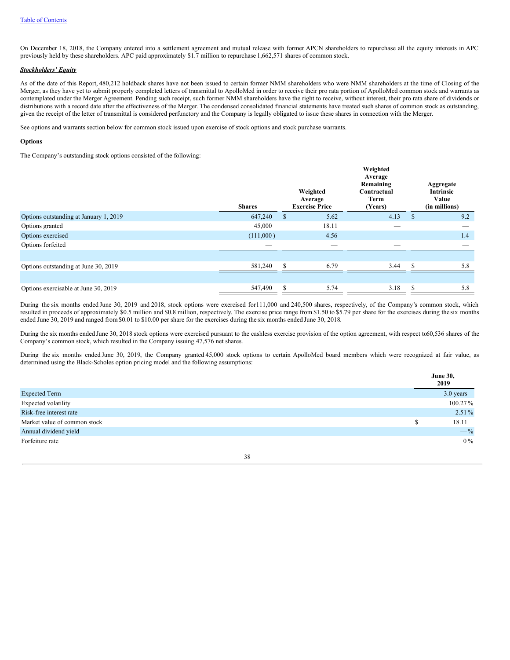On December 18, 2018, the Company entered into a settlement agreement and mutual release with former APCN shareholders to repurchase all the equity interests in APC previously held by these shareholders. APC paid approximately \$1.7 million to repurchase 1,662,571 shares of common stock.

### *Stockholders' Equity*

As of the date of this Report, 480,212 holdback shares have not been issued to certain former NMM shareholders who were NMM shareholders at the time of Closing of the Merger, as they have yet to submit properly completed letters of transmittal to ApolloMed in order to receive their pro rata portion of ApolloMed common stock and warrants as contemplated under the Merger Agreement. Pending such receipt, such former NMM shareholders have the right to receive, without interest, their pro rata share of dividends or distributions with a record date after the effectiveness of the Merger. The condensed consolidated financial statements have treated such shares of common stock as outstanding, given the receipt of the letter of transmittal is considered perfunctory and the Company is legally obligated to issue these shares in connection with the Merger.

See options and warrants section below for common stock issued upon exercise of stock options and stock purchase warrants.

#### **Options**

The Company's outstanding stock options consisted of the following:

|                                        | <b>Shares</b>            |               | Weighted<br>Average<br><b>Exercise Price</b> | Weighted<br>Average<br>Remaining<br>Contractual<br>Term<br>(Years) |               | Aggregate<br><b>Intrinsic</b><br>Value<br>(in millions) |
|----------------------------------------|--------------------------|---------------|----------------------------------------------|--------------------------------------------------------------------|---------------|---------------------------------------------------------|
| Options outstanding at January 1, 2019 | 647,240                  | <sup>\$</sup> | 5.62                                         | 4.13                                                               | $\mathcal{S}$ | 9.2                                                     |
| Options granted                        | 45,000                   |               | 18.11                                        | --                                                                 |               |                                                         |
| Options exercised                      | (111,000)                |               | 4.56                                         | _                                                                  |               | 1.4                                                     |
| Options forfeited                      | $\overline{\phantom{a}}$ |               |                                              | __                                                                 |               |                                                         |
|                                        |                          |               |                                              |                                                                    |               |                                                         |
| Options outstanding at June 30, 2019   | 581,240                  | \$.           | 6.79                                         | 3.44                                                               | £.            | 5.8                                                     |
|                                        |                          |               |                                              |                                                                    |               |                                                         |
| Options exercisable at June 30, 2019   | 547,490                  | \$            | 5.74                                         | 3.18                                                               | <sup>\$</sup> | 5.8                                                     |
|                                        |                          |               |                                              |                                                                    |               |                                                         |

During the six months ended June 30, 2019 and 2018, stock options were exercised for111,000 and 240,500 shares, respectively, of the Company's common stock, which resulted in proceeds of approximately \$0.5 million and \$0.8 million, respectively. The exercise price range from \$1.50 to \$5.79 per share for the exercises during the six months ended June 30, 2019 and ranged from\$0.01 to \$10.00 per share for the exercises during the six months ended June 30, 2018.

During the six months ended June 30, 2018 stock options were exercised pursuant to the cashless exercise provision of the option agreement, with respect to60,536 shares of the Company's common stock, which resulted in the Company issuing 47,576 net shares.

During the six months ended June 30, 2019, the Company granted 45,000 stock options to certain ApolloMed board members which were recognized at fair value, as determined using the Black-Scholes option pricing model and the following assumptions:

|                              | <b>June 30,</b><br>2019 |          |
|------------------------------|-------------------------|----------|
| <b>Expected Term</b>         | 3.0 years               |          |
| Expected volatility          | 100.27%                 |          |
| Risk-free interest rate      |                         | $2.51\%$ |
| Market value of common stock | 18.11                   |          |
| Annual dividend yield        |                         | $-$ %    |
| Forfeiture rate              |                         | $0\%$    |
|                              |                         |          |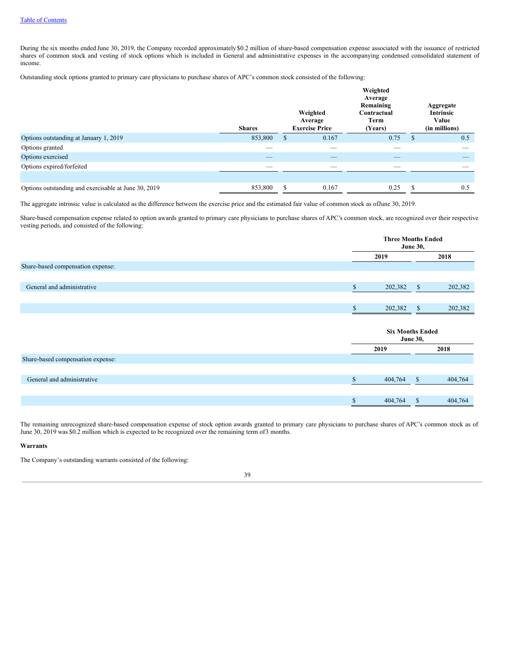During the six months ended June 30, 2019, the Company recorded approximately \$0.2 million of share-based compensation expense associated with the issuance of restricted shares of common stock and vesting of stock options which is included in General and administrative expenses in the accompanying condensed consolidated statement of income.

Outstanding stock options granted to primary care physicians to purchase shares of APC's common stock consisted of the following:

|                                                      | <b>Shares</b>            |   | Weighted<br>Average<br><b>Exercise Price</b> | Weighted<br>Average<br>Remaining<br>Contractual<br>Term<br>(Years) |          | Aggregate<br>Intrinsic<br>Value<br>(in millions) |
|------------------------------------------------------|--------------------------|---|----------------------------------------------|--------------------------------------------------------------------|----------|--------------------------------------------------|
| Options outstanding at January 1, 2019               | 853,800                  | S | 0.167                                        | 0.75                                                               | <b>S</b> | 0.5                                              |
| Options granted                                      |                          |   |                                              |                                                                    |          |                                                  |
| Options exercised                                    | _                        |   | _                                            | $\overline{\phantom{a}}$                                           |          |                                                  |
| Options expired/forfeited                            | $\overline{\phantom{a}}$ |   | $\overline{\phantom{a}}$                     | $\overline{\phantom{a}}$                                           |          |                                                  |
|                                                      |                          |   |                                              |                                                                    |          |                                                  |
| Options outstanding and exercisable at June 30, 2019 | 853,800                  | S | 0.167                                        | 0.25                                                               |          | 0.5                                              |

The aggregate intrinsic value is calculated as the difference between the exercise price and the estimated fair value of common stock as ofJune 30, 2019.

Share-based compensation expense related to option awards granted to primary care physicians to purchase shares of APC's common stock, are recognized over their respective vesting periods, and consisted of the following:

|                                   | <b>Three Months Ended</b><br><b>June 30,</b> |               |         |  |
|-----------------------------------|----------------------------------------------|---------------|---------|--|
|                                   | 2019                                         |               | 2018    |  |
| Share-based compensation expense: |                                              |               |         |  |
|                                   |                                              |               |         |  |
| General and administrative        | 202,382                                      | <sup>\$</sup> | 202,382 |  |
|                                   |                                              |               |         |  |
|                                   | 202,382                                      | <b>S</b>      | 202,382 |  |
|                                   |                                              |               |         |  |

|                                   | <b>Six Months Ended</b><br><b>June 30,</b> |  |         |  |  |
|-----------------------------------|--------------------------------------------|--|---------|--|--|
|                                   | 2019                                       |  | 2018    |  |  |
| Share-based compensation expense: |                                            |  |         |  |  |
|                                   |                                            |  |         |  |  |
| General and administrative        | 404,764                                    |  | 404,764 |  |  |
|                                   |                                            |  |         |  |  |
|                                   | 404,764                                    |  | 404,764 |  |  |
|                                   |                                            |  |         |  |  |

The remaining unrecognized share-based compensation expense of stock option awards granted to primary care physicians to purchase shares of APC's common stock as of June 30, 2019 was \$0.2 million which is expected to be recognized over the remaining term of3 months.

### **Warrants**

The Company's outstanding warrants consisted of the following: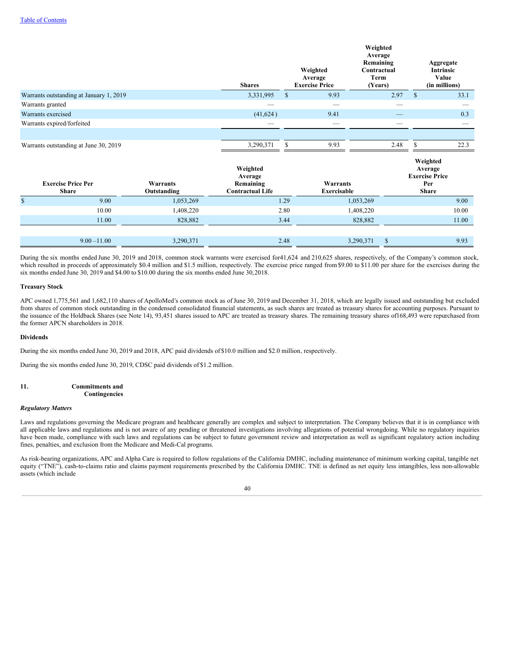|                            |                                           |                         | <b>Shares</b>                                               | Weighted<br>Average<br><b>Exercise Price</b> |                                | Weighted<br>Average<br>Remaining<br>Contractual<br>Term<br>(Years) |      |                                                                     | Aggregate<br>Intrinsic<br>Value<br>(in millions) |
|----------------------------|-------------------------------------------|-------------------------|-------------------------------------------------------------|----------------------------------------------|--------------------------------|--------------------------------------------------------------------|------|---------------------------------------------------------------------|--------------------------------------------------|
|                            | Warrants outstanding at January 1, 2019   |                         | 3,331,995                                                   | $\mathcal{S}$                                | 9.93                           |                                                                    | 2.97 | $\mathsf{\$}$                                                       | 33.1                                             |
| Warrants granted           |                                           |                         | -                                                           |                                              | -                              |                                                                    | -    |                                                                     |                                                  |
| Warrants exercised         |                                           |                         | (41, 624)                                                   |                                              | 9.41                           |                                                                    |      |                                                                     | 0.3                                              |
| Warrants expired/forfeited |                                           |                         |                                                             |                                              |                                |                                                                    |      |                                                                     |                                                  |
|                            |                                           |                         |                                                             |                                              |                                |                                                                    |      |                                                                     |                                                  |
|                            | Warrants outstanding at June 30, 2019     |                         | 3,290,371                                                   | \$                                           | 9.93                           |                                                                    | 2.48 | \$                                                                  | 22.3                                             |
|                            | <b>Exercise Price Per</b><br><b>Share</b> | Warrants<br>Outstanding | Weighted<br>Average<br>Remaining<br><b>Contractual Life</b> |                                              | Warrants<br><b>Exercisable</b> |                                                                    |      | Weighted<br>Average<br><b>Exercise Price</b><br>Per<br><b>Share</b> |                                                  |
| $\mathbf S$                | 9.00                                      | 1,053,269               |                                                             | 1.29                                         |                                | 1,053,269                                                          |      |                                                                     | 9.00                                             |
|                            | 10.00                                     | 1,408,220               |                                                             | 2.80                                         |                                | 1,408,220                                                          |      |                                                                     | 10.00                                            |
|                            | 11.00                                     | 828,882                 |                                                             | 3.44                                         |                                | 828,882                                                            |      |                                                                     | 11.00                                            |
|                            |                                           |                         |                                                             |                                              |                                |                                                                    |      |                                                                     |                                                  |
|                            | $9.00 - 11.00$                            | 3,290,371               |                                                             | 2.48                                         |                                | 3,290,371                                                          | \$   |                                                                     | 9.93                                             |

During the six months ended June 30, 2019 and 2018, common stock warrants were exercised for41,624 and 210,625 shares, respectively, of the Company's common stock, which resulted in proceeds of approximately \$0.4 million and \$1.5 million, respectively. The exercise price ranged from \$9.00 to \$11.00 per share for the exercises during the six months ended June 30, 2019 and \$4.00 to \$10.00 during the six months ended June 30,2018.

### **Treasury Stock**

APC owned 1,775,561 and 1,682,110 shares of ApolloMed's common stock as ofJune 30, 2019 and December 31, 2018, which are legally issued and outstanding but excluded from shares of common stock outstanding in the condensed consolidated financial statements, as such shares are treated as treasury shares for accounting purposes. Pursuant to the issuance of the Holdback Shares (see Note 14), 93,451 shares issued to APC are treated as treasury shares. The remaining treasury shares of168,493 were repurchased from the former APCN shareholders in 2018.

### **Dividends**

During the six months ended June 30, 2019 and 2018, APC paid dividends of \$10.0 million and \$2.0 million, respectively.

During the six months ended June 30, 2019, CDSC paid dividends of \$1.2 million.

**11. Commitments and Contingencies**

# *Regulatory Matters*

Laws and regulations governing the Medicare program and healthcare generally are complex and subject to interpretation. The Company believes that it is in compliance with all applicable laws and regulations and is not aware of any pending or threatened investigations involving allegations of potential wrongdoing. While no regulatory inquiries have been made, compliance with such laws and regulations can be subject to future government review and interpretation as well as significant regulatory action including fines, penalties, and exclusion from the Medicare and Medi-Cal programs.

As risk-bearing organizations, APC and Alpha Care is required to follow regulations of the California DMHC, including maintenance of minimum working capital, tangible net equity ("TNE"), cash-to-claims ratio and claims payment requirements prescribed by the California DMHC. TNE is defined as net equity less intangibles, less non-allowable assets (which include

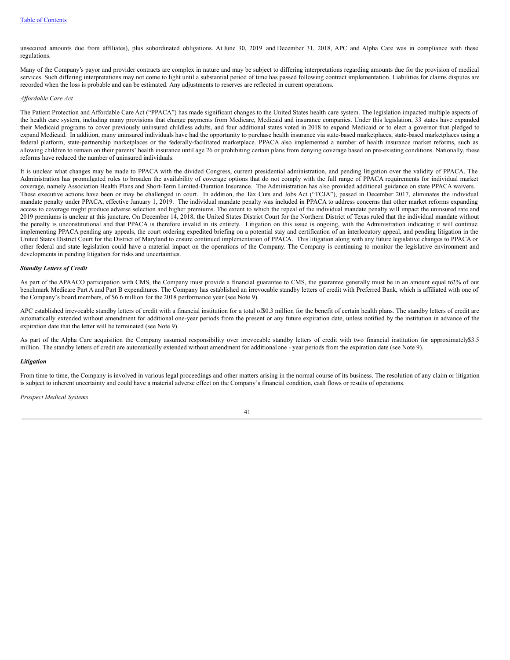unsecured amounts due from affiliates), plus subordinated obligations. AtJune 30, 2019 and December 31, 2018, APC and Alpha Care was in compliance with these regulations.

Many of the Company's payor and provider contracts are complex in nature and may be subject to differing interpretations regarding amounts due for the provision of medical services. Such differing interpretations may not come to light until a substantial period of time has passed following contract implementation. Liabilities for claims disputes are recorded when the loss is probable and can be estimated. Any adjustments to reserves are reflected in current operations.

#### *Af ordable Care Act*

The Patient Protection and Affordable Care Act ("PPACA") has made significant changes to the United States health care system. The legislation impacted multiple aspects of the health care system, including many provisions that change payments from Medicare, Medicaid and insurance companies. Under this legislation, 33 states have expanded their Medicaid programs to cover previously uninsured childless adults, and four additional states voted in 2018 to expand Medicaid or to elect a governor that pledged to expand Medicaid. In addition, many uninsured individuals have had the opportunity to purchase health insurance via state-based marketplaces, state-based marketplaces using a federal platform, state-partnership marketplaces or the federally-facilitated marketplace. PPACA also implemented a number of health insurance market reforms, such as allowing children to remain on their parents' health insurance until age 26 or prohibiting certain plans from denying coverage based on pre-existing conditions. Nationally, these reforms have reduced the number of uninsured individuals.

It is unclear what changes may be made to PPACA with the divided Congress, current presidential administration, and pending litigation over the validity of PPACA. The Administration has promulgated rules to broaden the availability of coverage options that do not comply with the full range of PPACA requirements for individual market coverage, namely Association Health Plans and Short-Term Limited-Duration Insurance. The Administration has also provided additional guidance on state PPACA waivers. These executive actions have been or may be challenged in court. In addition, the Tax Cuts and Jobs Act ("TCJA"), passed in December 2017, eliminates the individual mandate penalty under PPACA, effective January 1, 2019. The individual mandate penalty was included in PPACA to address concerns that other market reforms expanding access to coverage might produce adverse selection and higher premiums. The extent to which the repeal of the individual mandate penalty will impact the uninsured rate and 2019 premiums is unclear at this juncture. On December 14, 2018, the United States District Court for the Northern District of Texas ruled that the individual mandate without the penalty is unconstitutional and that PPACA is therefore invalid in its entirety. Litigation on this issue is ongoing, with the Administration indicating it will continue implementing PPACA pending any appeals, the court ordering expedited briefing on a potential stay and certification of an interlocutory appeal, and pending litigation in the United States District Court for the District of Maryland to ensure continued implementation of PPACA. This litigation along with any future legislative changes to PPACA or other federal and state legislation could have a material impact on the operations of the Company. The Company is continuing to monitor the legislative environment and developments in pending litigation for risks and uncertainties.

#### *Standby Letters of Credit*

As part of the APAACO participation with CMS, the Company must provide a financial guarantee to CMS, the guarantee generally must be in an amount equal to2% of our benchmark Medicare Part A and Part B expenditures. The Company has established an irrevocable standby letters of credit with Preferred Bank, which is affiliated with one of the Company's board members, of \$6.6 million for the 2018 performance year (see Note 9).

APC established irrevocable standby letters of credit with a financial institution for a total of\$0.3 million for the benefit of certain health plans. The standby letters of credit are automatically extended without amendment for additional one-year periods from the present or any future expiration date, unless notified by the institution in advance of the expiration date that the letter will be terminated (see Note 9).

As part of the Alpha Care acquisition the Company assumed responsibility over irrevocable standby letters of credit with two financial institution for approximately\$3.5 million. The standby letters of credit are automatically extended without amendment for additionalone - year periods from the expiration date (see Note 9).

#### *Litigation*

From time to time, the Company is involved in various legal proceedings and other matters arising in the normal course of its business. The resolution of any claim or litigation is subject to inherent uncertainty and could have a material adverse effect on the Company's financial condition, cash flows or results of operations.

*Prospect Medical Systems*

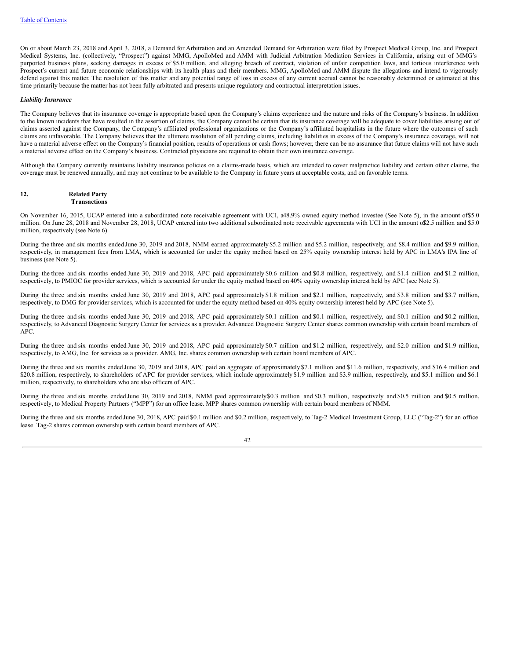On or about March 23, 2018 and April 3, 2018, a Demand for Arbitration and an Amended Demand for Arbitration were filed by Prospect Medical Group, Inc. and Prospect Medical Systems, Inc. (collectively, "Prospect") against MMG, ApolloMed and AMM with Judicial Arbitration Mediation Services in California, arising out of MMG's purported business plans, seeking damages in excess of \$5.0 million, and alleging breach of contract, violation of unfair competition laws, and tortious interference with Prospect's current and future economic relationships with its health plans and their members. MMG, ApolloMed and AMM dispute the allegations and intend to vigorously defend against this matter. The resolution of this matter and any potential range of loss in excess of any current accrual cannot be reasonably determined or estimated at this time primarily because the matter has not been fully arbitrated and presents unique regulatory and contractual interpretation issues.

### *Liability Insurance*

The Company believes that its insurance coverage is appropriate based upon the Company's claims experience and the nature and risks of the Company's business. In addition to the known incidents that have resulted in the assertion of claims, the Company cannot be certain that its insurance coverage will be adequate to cover liabilities arising out of claims asserted against the Company, the Company's affiliated professional organizations or the Company's affiliated hospitalists in the future where the outcomes of such claims are unfavorable. The Company believes that the ultimate resolution of all pending claims, including liabilities in excess of the Company's insurance coverage, will not have a material adverse effect on the Company's financial position, results of operations or cash flows; however, there can be no assurance that future claims will not have such a material adverse effect on the Company's business. Contracted physicians are required to obtain their own insurance coverage.

Although the Company currently maintains liability insurance policies on a claims-made basis, which are intended to cover malpractice liability and certain other claims, the coverage must be renewed annually, and may not continue to be available to the Company in future years at acceptable costs, and on favorable terms.

#### **12. Related Party Transactions**

On November 16, 2015, UCAP entered into a subordinated note receivable agreement with UCI, a48.9% owned equity method investee (See Note 5), in the amount of \$5.0 million. On June 28, 2018 and November 28, 2018, UCAP entered into two additional subordinated note receivable agreements with UCI in the amount of 2.5 million and \$5.0 million, respectively (see Note 6).

During the three and six months ended June 30, 2019 and 2018, NMM earned approximately \$5.2 million and \$5.2 million, respectively, and \$8.4 million and \$9.9 million, respectively, in management fees from LMA, which is accounted for under the equity method based on 25% equity ownership interest held by APC in LMA's IPA line of business (see Note 5).

During the three and six months ended June 30, 2019 and 2018, APC paid approximately \$0.6 million and \$0.8 million, respectively, and \$1.4 million and \$1.2 million, respectively, to PMIOC for provider services, which is accounted for under the equity method based on 40% equity ownership interest held by APC (see Note 5).

During the three and six months ended June 30, 2019 and 2018, APC paid approximately \$1.8 million and \$2.1 million, respectively, and \$3.8 million and \$3.7 million, respectively, to DMG for provider services, which is accounted for under the equity method based on 40% equity ownership interest held by APC (see Note 5).

During the three and six months ended June 30, 2019 and 2018, APC paid approximately \$0.1 million and \$0.1 million, respectively, and \$0.1 million and \$0.2 million, respectively, to Advanced Diagnostic Surgery Center for services as a provider. Advanced Diagnostic Surgery Center shares common ownership with certain board members of APC.

During the three and six months ended June 30, 2019 and 2018, APC paid approximately \$0.7 million and \$1.2 million, respectively, and \$2.0 million and \$1.9 million, respectively, to AMG, Inc. for services as a provider. AMG, Inc. shares common ownership with certain board members of APC.

During the three and six months ended June 30, 2019 and 2018, APC paid an aggregate of approximately \$7.1 million and \$11.6 million, respectively, and \$16.4 million and \$20.8 million, respectively, to shareholders of APC for provider services, which include approximately \$1.9 million and \$3.9 million, respectively, and \$5.1 million and \$6.1 million, respectively, to shareholders who are also officers of APC.

During the three and six months ended June 30, 2019 and 2018, NMM paid approximately \$0.3 million and \$0.3 million, respectively and \$0.5 million and \$0.5 million, respectively, to Medical Property Partners ("MPP") for an office lease. MPP shares common ownership with certain board members of NMM.

During the three and six months ended June 30, 2018, APC paid \$0.1 million and \$0.2 million, respectively, to Tag-2 Medical Investment Group, LLC ("Tag-2") for an office lease. Tag-2 shares common ownership with certain board members of APC.

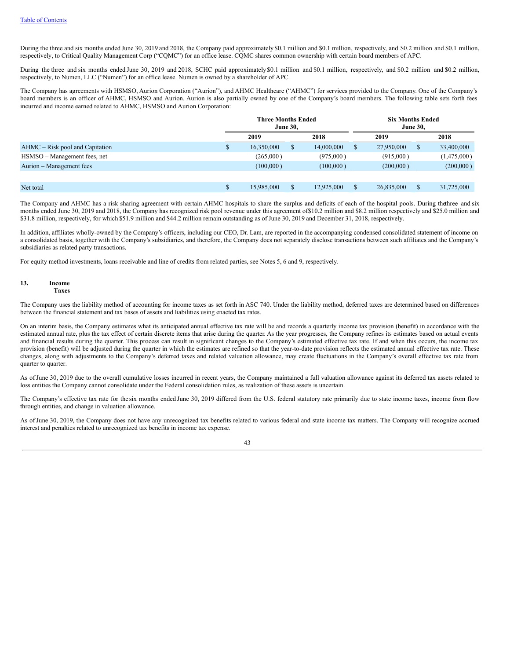During the three and six months ended June 30, 2019 and 2018, the Company paid approximately \$0.1 million and \$0.1 million, respectively, and \$0.2 million and \$0.1 million, respectively, to Critical Quality Management Corp ("CQMC") for an office lease. CQMC shares common ownership with certain board members of APC.

During the three and six months ended June 30, 2019 and 2018, SCHC paid approximately \$0.1 million and \$0.1 million, respectively, and \$0.2 million and \$0.2 million, respectively, to Numen, LLC ("Numen") for an office lease. Numen is owned by a shareholder of APC.

The Company has agreements with HSMSO, Aurion Corporation ("Aurion"), and AHMC Healthcare ("AHMC") for services provided to the Company. One of the Company's board members is an officer of AHMC, HSMSO and Aurion. Aurion is also partially owned by one of the Company's board members. The following table sets forth fees incurred and income earned related to AHMC, HSMSO and Aurion Corporation:

|                                 | <b>Three Months Ended</b><br><b>June 30,</b> |            |  | <b>Six Months Ended</b><br><b>June 30.</b> |  |            |  |             |
|---------------------------------|----------------------------------------------|------------|--|--------------------------------------------|--|------------|--|-------------|
|                                 |                                              | 2019       |  | 2018                                       |  | 2019       |  | 2018        |
| AHMC – Risk pool and Capitation |                                              | 16,350,000 |  | 14,000,000                                 |  | 27,950,000 |  | 33,400,000  |
| HSMSO – Management fees, net    |                                              | (265,000)  |  | (975,000)                                  |  | (915,000)  |  | (1,475,000) |
| Aurion – Management fees        |                                              | (100,000)  |  | (100,000)                                  |  | (200,000)  |  | (200,000)   |
|                                 |                                              |            |  |                                            |  |            |  |             |
| Net total                       |                                              | 15,985,000 |  | 12,925,000                                 |  | 26,835,000 |  | 31,725,000  |

The Company and AHMC has a risk sharing agreement with certain AHMC hospitals to share the surplus and deficits of each of the hospital pools. During thethree and six months ended June 30, 2019 and 2018, the Company has recognized risk pool revenue under this agreement of\$10.2 million and \$8.2 million respectively and \$25.0 million and \$31.8 million, respectively, for which \$51.9 million and \$44.2 million remain outstanding as of June 30, 2019 and December 31, 2018, respectively.

In addition, affiliates wholly-owned by the Company's officers, including our CEO, Dr. Lam, are reported in the accompanying condensed consolidated statement of income on a consolidated basis, together with the Company's subsidiaries, and therefore, the Company does not separately disclose transactions between such affiliates and the Company's subsidiaries as related party transactions.

For equity method investments, loans receivable and line of credits from related parties, see Notes 5, 6 and 9, respectively.

### **13. Income Taxes**

The Company uses the liability method of accounting for income taxes as set forth in ASC 740. Under the liability method, deferred taxes are determined based on differences between the financial statement and tax bases of assets and liabilities using enacted tax rates.

On an interim basis, the Company estimates what its anticipated annual effective tax rate will be and records a quarterly income tax provision (benefit) in accordance with the estimated annual rate, plus the tax effect of certain discrete items that arise during the quarter. As the year progresses, the Company refines its estimates based on actual events and financial results during the quarter. This process can result in significant changes to the Company's estimated effective tax rate. If and when this occurs, the income tax provision (benefit) will be adjusted during the quarter in which the estimates are refined so that the year-to-date provision reflects the estimated annual effective tax rate. These changes, along with adjustments to the Company's deferred taxes and related valuation allowance, may create fluctuations in the Company's overall effective tax rate from quarter to quarter.

As of June 30, 2019 due to the overall cumulative losses incurred in recent years, the Company maintained a full valuation allowance against its deferred tax assets related to loss entities the Company cannot consolidate under the Federal consolidation rules, as realization of these assets is uncertain.

The Company's effective tax rate for the six months ended June 30, 2019 differed from the U.S. federal statutory rate primarily due to state income taxes, income from flow through entities, and change in valuation allowance.

As of June 30, 2019, the Company does not have any unrecognized tax benefits related to various federal and state income tax matters. The Company will recognize accrued interest and penalties related to unrecognized tax benefits in income tax expense.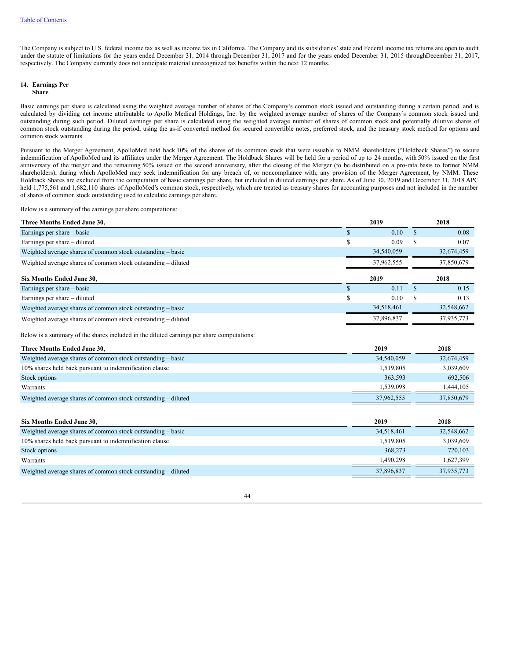The Company is subject to U.S. federal income tax as well as income tax in California. The Company and its subsidiaries' state and Federal income tax returns are open to audit under the statute of limitations for the years ended December 31, 2014 through December 31, 2017 and for the years ended December 31, 2015 throughDecember 31, 2017, respectively. The Company currently does not anticipate material unrecognized tax benefits within the next 12 months.

### **14. Earnings Per Share**

Basic earnings per share is calculated using the weighted average number of shares of the Company's common stock issued and outstanding during a certain period, and is calculated by dividing net income attributable to Apollo Medical Holdings, Inc. by the weighted average number of shares of the Company's common stock issued and outstanding during such period. Diluted earnings per share is calculated using the weighted average number of shares of common stock and potentially dilutive shares of common stock outstanding during the period, using the as-if converted method for secured convertible notes, preferred stock, and the treasury stock method for options and common stock warrants.

Pursuant to the Merger Agreement, ApolloMed held back 10% of the shares of its common stock that were issuable to NMM shareholders ("Holdback Shares") to secure indemnification of ApolloMed and its affiliates under the Merger Agreement. The Holdback Shares will be held for a period of up to 24 months, with 50% issued on the first anniversary of the merger and the remaining 50% issued on the second anniversary, after the closing of the Merger (to be distributed on a pro-rata basis to former NMM shareholders), during which ApolloMed may seek indemnification for any breach of, or noncompliance with, any provision of the Merger Agreement, by NMM. These Holdback Shares are excluded from the computation of basic earnings per share, but included in diluted earnings per share. As of June 30, 2019 and December 31, 2018 APC held 1,775,561 and 1,682,110 shares of ApolloMed's common stock, respectively, which are treated as treasury shares for accounting purposes and not included in the number of shares of common stock outstanding used to calculate earnings per share.

Below is a summary of the earnings per share computations:

| Three Months Ended June 30,                                   | 2019 |            | 2018 |            |
|---------------------------------------------------------------|------|------------|------|------------|
| Earnings per share $-$ basic                                  |      | 0.10       |      | 0.08       |
| Earnings per share – diluted                                  |      | 0.09       |      | 0.07       |
| Weighted average shares of common stock outstanding – basic   |      | 34,540,059 |      | 32,674,459 |
| Weighted average shares of common stock outstanding – diluted |      | 37,962,555 |      | 37,850,679 |
| Six Months Ended June 30,                                     | 2019 |            |      | 2018       |
|                                                               |      |            |      |            |
| Earnings per share $-$ basic                                  |      | 0.11       |      | 0.15       |
| Earnings per share – diluted                                  |      | 0.10       |      | 0.13       |
| Weighted average shares of common stock outstanding – basic   |      | 34,518,461 |      | 32,548,662 |

Below is a summary of the shares included in the diluted earnings per share computations:

| Three Months Ended June 30,                                   | 2019       | 2018       |
|---------------------------------------------------------------|------------|------------|
| Weighted average shares of common stock outstanding – basic   | 34,540,059 | 32,674,459 |
| 10% shares held back pursuant to indemnification clause       | 1.519.805  | 3,039,609  |
| Stock options                                                 | 363.593    | 692,506    |
| Warrants                                                      | 1.539.098  | .444.105   |
| Weighted average shares of common stock outstanding – diluted | 37,962,555 | 37,850,679 |

| Six Months Ended June 30,                                     | 2019       | 2018       |
|---------------------------------------------------------------|------------|------------|
| Weighted average shares of common stock outstanding – basic   | 34,518,461 | 32,548,662 |
| 10% shares held back pursuant to indemnification clause       | 1,519,805  | 3,039,609  |
| Stock options                                                 | 368,273    | 720,103    |
| Warrants                                                      | 1.490.298  | 1,627,399  |
| Weighted average shares of common stock outstanding – diluted | 37,896,837 | 37,935,773 |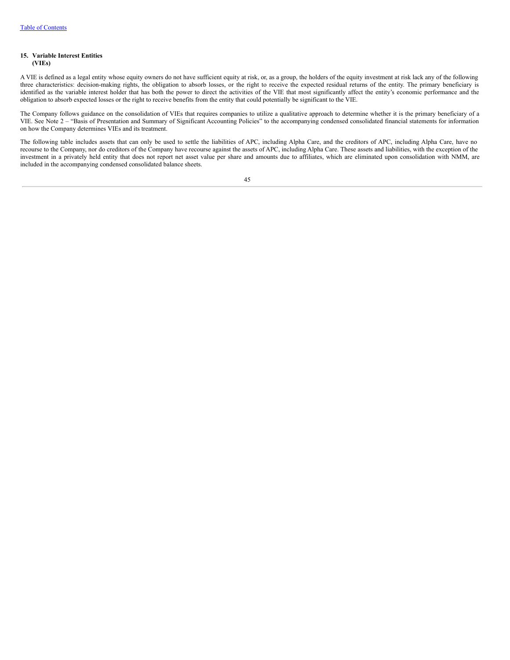### **15. Variable Interest Entities (VIEs)**

A VIE is defined as a legal entity whose equity owners do not have sufficient equity at risk, or, as a group, the holders of the equity investment at risk lack any of the following three characteristics: decision-making rights, the obligation to absorb losses, or the right to receive the expected residual returns of the entity. The primary beneficiary is identified as the variable interest holder that has both the power to direct the activities of the VIE that most significantly affect the entity's economic performance and the obligation to absorb expected losses or the right to receive benefits from the entity that could potentially be significant to the VIE.

The Company follows guidance on the consolidation of VIEs that requires companies to utilize a qualitative approach to determine whether it is the primary beneficiary of a VIE. See Note 2 – "Basis of Presentation and Summary of Significant Accounting Policies" to the accompanying condensed consolidated financial statements for information on how the Company determines VIEs and its treatment.

The following table includes assets that can only be used to settle the liabilities of APC, including Alpha Care, and the creditors of APC, including Alpha Care, have no recourse to the Company, nor do creditors of the Company have recourse against the assets of APC, including Alpha Care. These assets and liabilities, with the exception of the investment in a privately held entity that does not report net asset value per share and amounts due to affiliates, which are eliminated upon consolidation with NMM, are included in the accompanying condensed consolidated balance sheets.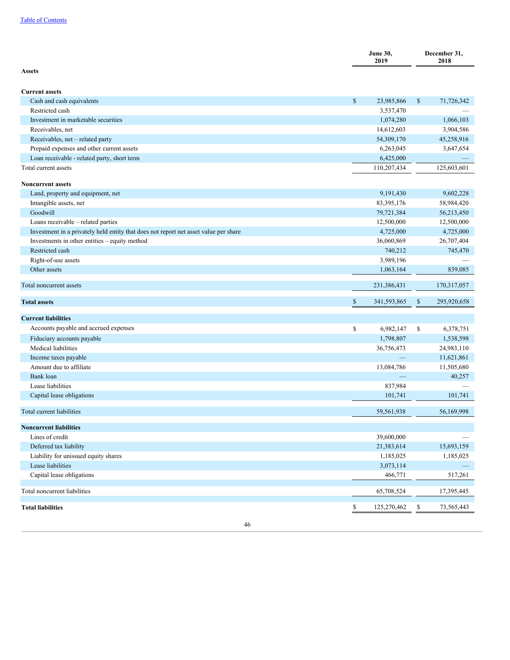|                                                                                      |              | <b>June 30,</b><br>2019 |              | December 31,<br>2018 |
|--------------------------------------------------------------------------------------|--------------|-------------------------|--------------|----------------------|
| <b>Assets</b>                                                                        |              |                         |              |                      |
| <b>Current assets</b>                                                                |              |                         |              |                      |
| Cash and cash equivalents                                                            | $\mathbb{S}$ | 23,985,866              | $\mathbb{S}$ | 71,726,342           |
| Restricted cash                                                                      |              | 3,537,470               |              |                      |
| Investment in marketable securities                                                  |              | 1,074,280               |              | 1,066,103            |
| Receivables, net                                                                     |              | 14,612,603              |              | 3,904,586            |
| Receivables, net - related party                                                     |              | 54,309,170              |              | 45,258,916           |
| Prepaid expenses and other current assets                                            |              | 6,263,045               |              | 3,647,654            |
| Loan receivable - related party, short term                                          |              | 6,425,000               |              |                      |
| Total current assets                                                                 |              | 110,207,434             |              | 125,603,601          |
|                                                                                      |              |                         |              |                      |
| <b>Noncurrent assets</b>                                                             |              |                         |              |                      |
| Land, property and equipment, net                                                    |              | 9,191,430               |              | 9,602,228            |
| Intangible assets, net                                                               |              | 83,395,176              |              | 58,984,420           |
| Goodwill                                                                             |              | 79,721,384              |              | 56,213,450           |
| Loans receivable - related parties                                                   |              | 12,500,000              |              | 12,500,000           |
| Investment in a privately held entity that does not report net asset value per share |              | 4,725,000               |              | 4,725,000            |
| Investments in other entities - equity method                                        |              | 36,060,869              |              | 26,707,404           |
| Restricted cash                                                                      |              | 740,212                 |              | 745,470              |
| Right-of-use assets                                                                  |              | 3,989,196               |              |                      |
| Other assets                                                                         |              | 1,063,164               |              | 839,085              |
| Total noncurrent assets                                                              |              | 231,386,431             |              | 170,317,057          |
| <b>Total assets</b>                                                                  | \$           | 341,593,865             | \$           | 295,920,658          |
| <b>Current liabilities</b>                                                           |              |                         |              |                      |
| Accounts payable and accrued expenses                                                | \$           | 6,982,147               | \$           | 6,378,751            |
| Fiduciary accounts payable                                                           |              | 1,798,807               |              | 1,538,598            |
| Medical liabilities                                                                  |              | 36,756,473              |              | 24,983,110           |
| Income taxes payable                                                                 |              |                         |              | 11,621,861           |
| Amount due to affiliate                                                              |              | 13,084,786              |              | 11,505,680           |
| Bank loan                                                                            |              |                         |              | 40,257               |
| Lease liabilities                                                                    |              | 837,984                 |              |                      |
| Capital lease obligations                                                            |              | 101,741                 |              | 101,741              |
| Total current liabilities                                                            |              | 59,561,938              |              | 56,169,998           |
|                                                                                      |              |                         |              |                      |
| <b>Noncurrent liabilities</b>                                                        |              |                         |              |                      |
| Lines of credit                                                                      |              | 39,600,000              |              |                      |
| Deferred tax liability                                                               |              | 21,383,614              |              | 15,693,159           |
| Liability for unissued equity shares                                                 |              | 1,185,025               |              | 1,185,025            |
| Lease liabilities                                                                    |              | 3,073,114               |              |                      |
| Capital lease obligations                                                            |              | 466,771                 |              | 517,261              |
| Total noncurrent liabilities                                                         |              | 65,708,524              |              | 17,395,445           |
| <b>Total liabilities</b>                                                             | S            | 125,270,462             | S            | 73,565,443           |
|                                                                                      |              |                         |              |                      |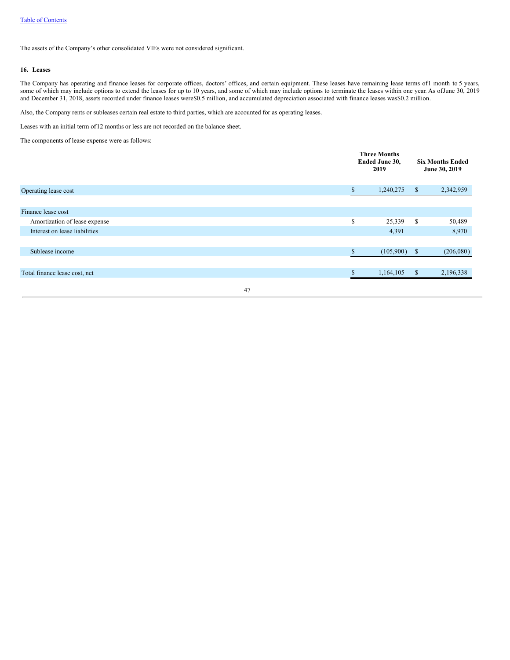The assets of the Company's other consolidated VIEs were not considered significant.

### **16. Leases**

The Company has operating and finance leases for corporate offices, doctors' offices, and certain equipment. These leases have remaining lease terms of1 month to 5 years, some of which may include options to extend the leases for up to 10 years, and some of which may include options to terminate the leases within one year. As ofJune 30, 2019 and December 31, 2018, assets recorded under finance leases were\$0.5 million, and accumulated depreciation associated with finance leases was\$0.2 million.

Also, the Company rents or subleases certain real estate to third parties, which are accounted for as operating leases.

Leases with an initial term of12 months or less are not recorded on the balance sheet.

The components of lease expense were as follows:

|                                                                |    |               | <b>Three Months</b><br>Ended June 30,<br>2019 |              | <b>Six Months Ended</b><br>June 30, 2019 |  |
|----------------------------------------------------------------|----|---------------|-----------------------------------------------|--------------|------------------------------------------|--|
| Operating lease cost                                           |    | <sup>\$</sup> | 1,240,275                                     | $\mathbb{S}$ | 2,342,959                                |  |
| Finance lease cost                                             |    |               |                                               |              |                                          |  |
| Amortization of lease expense<br>Interest on lease liabilities |    | $\mathbb{S}$  | 25,339<br>4,391                               | \$           | 50,489<br>8,970                          |  |
| Sublease income                                                |    |               |                                               |              |                                          |  |
|                                                                |    | <sup>\$</sup> | (105,900)                                     | - \$         | (206,080)                                |  |
| Total finance lease cost, net                                  |    |               | 1,164,105                                     | $\mathbb{S}$ | 2,196,338                                |  |
|                                                                | 47 |               |                                               |              |                                          |  |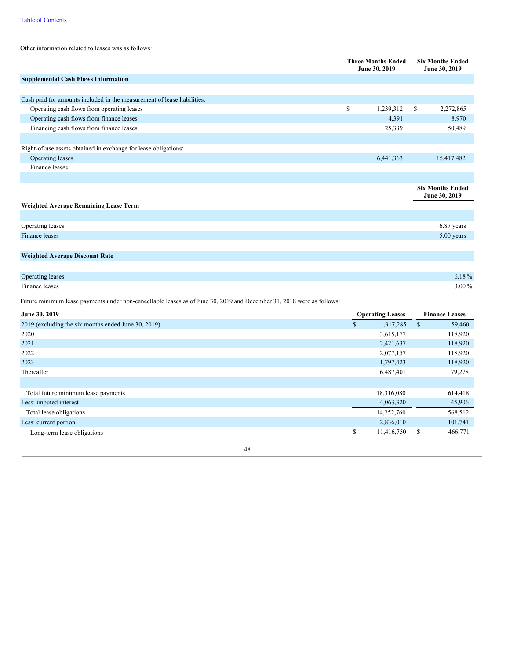Other information related to leases was as follows:

|                                                                         | <b>Three Months Ended</b><br>June 30, 2019 |           | <b>Six Months Ended</b><br>June 30, 2019 |
|-------------------------------------------------------------------------|--------------------------------------------|-----------|------------------------------------------|
| <b>Supplemental Cash Flows Information</b>                              |                                            |           |                                          |
|                                                                         |                                            |           |                                          |
| Cash paid for amounts included in the measurement of lease liabilities: |                                            |           |                                          |
| Operating cash flows from operating leases                              | \$                                         | 1,239,312 | \$<br>2,272,865                          |
| Operating cash flows from finance leases                                |                                            | 4,391     | 8,970                                    |
| Financing cash flows from finance leases                                |                                            | 25,339    | 50,489                                   |
|                                                                         |                                            |           |                                          |
| Right-of-use assets obtained in exchange for lease obligations:         |                                            |           |                                          |
| Operating leases                                                        |                                            | 6,441,363 | 15,417,482                               |
| Finance leases                                                          |                                            |           |                                          |
|                                                                         |                                            |           |                                          |
|                                                                         |                                            |           | <b>Six Months Ended</b><br>June 30, 2019 |
| <b>Weighted Average Remaining Lease Term</b>                            |                                            |           |                                          |
|                                                                         |                                            |           |                                          |
| Operating leases                                                        |                                            |           | 6.87 years                               |
| Finance leases                                                          |                                            |           | $5.00$ years                             |
|                                                                         |                                            |           |                                          |
| <b>Weighted Average Discount Rate</b>                                   |                                            |           |                                          |
|                                                                         |                                            |           |                                          |
| Operating leases                                                        |                                            |           | 6.18%                                    |
| Finance leases                                                          |                                            |           | 3.00%                                    |

Future minimum lease payments under non-cancellable leases as of June 30, 2019 and December 31, 2018 were as follows:

| June 30, 2019                                       | <b>Operating Leases</b> |            | <b>Finance Leases</b> |         |
|-----------------------------------------------------|-------------------------|------------|-----------------------|---------|
| 2019 (excluding the six months ended June 30, 2019) | \$                      | 1,917,285  | \$                    | 59,460  |
| 2020                                                |                         | 3,615,177  |                       | 118,920 |
| 2021                                                |                         | 2,421,637  |                       | 118,920 |
| 2022                                                |                         | 2,077,157  |                       | 118,920 |
| 2023                                                |                         | 1,797,423  |                       | 118,920 |
| Thereafter                                          |                         | 6,487,401  |                       | 79,278  |
|                                                     |                         |            |                       |         |
| Total future minimum lease payments                 |                         | 18,316,080 |                       | 614,418 |
| Less: imputed interest                              |                         | 4,063,320  |                       | 45,906  |
| Total lease obligations                             |                         | 14,252,760 |                       | 568,512 |
| Less: current portion                               |                         | 2,836,010  |                       | 101,741 |
| Long-term lease obligations                         |                         | 11,416,750 |                       | 466,771 |
|                                                     |                         |            |                       |         |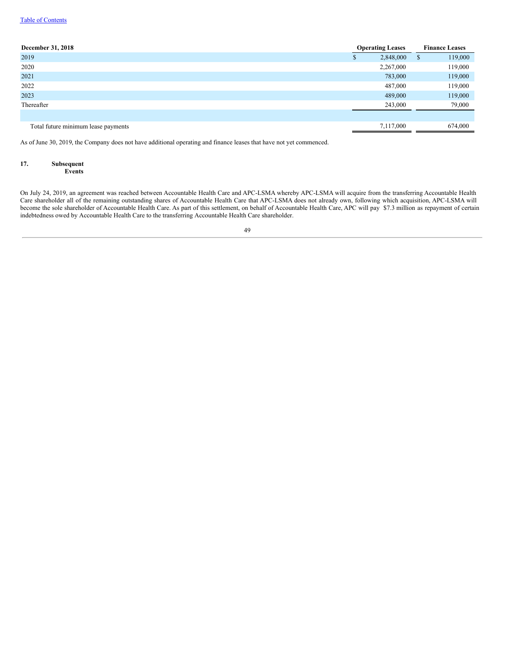| December 31, 2018                   | <b>Operating Leases</b> |      | <b>Finance Leases</b> |
|-------------------------------------|-------------------------|------|-----------------------|
| 2019                                | 2,848,000               | - \$ | 119,000               |
| 2020                                | 2,267,000               |      | 119,000               |
| 2021                                | 783,000                 |      | 119,000               |
| 2022                                | 487,000                 |      | 119,000               |
| 2023                                | 489,000                 |      | 119,000               |
| Thereafter                          | 243,000                 |      | 79,000                |
|                                     |                         |      |                       |
| Total future minimum lease payments | 7,117,000               |      | 674,000               |

As of June 30, 2019, the Company does not have additional operating and finance leases that have not yet commenced.

| 17. | <b>Subsequent</b> |
|-----|-------------------|
|     | Events            |

On July 24, 2019, an agreement was reached between Accountable Health Care and APC-LSMA whereby APC-LSMA will acquire from the transferring Accountable Health Care shareholder all of the remaining outstanding shares of Accountable Health Care that APC-LSMA does not already own, following which acquisition, APC-LSMA will become the sole shareholder of Accountable Health Care. As part of this settlement, on behalf of Accountable Health Care, APC will pay \$7.3 million as repayment of certain indebtedness owed by Accountable Health Care to the transferring Accountable Health Care shareholder.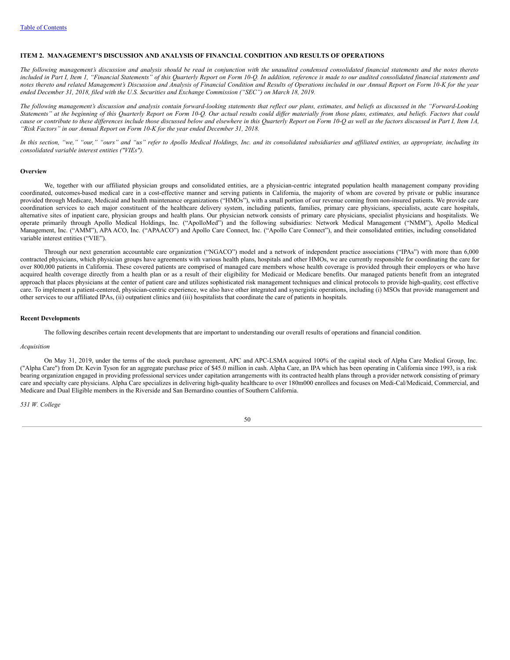### <span id="page-49-0"></span>**ITEM 2. MANAGEMENT'S DISCUSSION AND ANALYSIS OF FINANCIAL CONDITION AND RESULTS OF OPERATIONS**

The following management's discussion and analysis should be read in conjunction with the unaudited condensed consolidated financial statements and the notes thereto included in Part I, Item 1, "Financial Statements" of this Quarterly Report on Form 10-Q. In addition, reference is made to our audited consolidated financial statements and notes thereto and related Management's Discussion and Analysis of Financial Condition and Results of Operations included in our Annual Report on Form 10-K for the year ended December 31, 2018, filed with the U.S. Securities and Exchange Commission ("SEC") on March 18, 2019.

The following management's discussion and analysis contain forward-looking statements that reflect our plans, estimates, and beliefs as discussed in the "Forward-Looking Statements" at the beginning of this Quarterly Report on Form 10-Q. Our actual results could differ materially from those plans, estimates, and beliefs. Factors that could cause or contribute to these differences include those discussed below and elsewhere in this Quarterly Report on Form 10-Q as well as the factors discussed in Part I, Item 1A, *"Risk Factors" in our Annual Report on Form 10-K for the year ended December 31, 2018.*

In this section, "we," "our," "ours" and "us" refer to Apollo Medical Holdings, Inc. and its consolidated subsidiaries and affiliated entities, as appropriate, including its *consolidated variable interest entities ("VIEs").*

### **Overview**

We, together with our affiliated physician groups and consolidated entities, are a physician-centric integrated population health management company providing coordinated, outcomes-based medical care in a cost-effective manner and serving patients in California, the majority of whom are covered by private or public insurance provided through Medicare, Medicaid and health maintenance organizations ("HMOs"), with a small portion of our revenue coming from non-insured patients. We provide care coordination services to each major constituent of the healthcare delivery system, including patients, families, primary care physicians, specialists, acute care hospitals, alternative sites of inpatient care, physician groups and health plans. Our physician network consists of primary care physicians, specialist physicians and hospitalists. We operate primarily through Apollo Medical Holdings, Inc. ("ApolloMed") and the following subsidiaries: Network Medical Management ("NMM"), Apollo Medical Management, Inc. ("AMM"), APA ACO, Inc. ("APAACO") and Apollo Care Connect, Inc. ("Apollo Care Connect"), and their consolidated entities, including consolidated variable interest entities ("VIE").

Through our next generation accountable care organization ("NGACO") model and a network of independent practice associations ("IPAs") with more than 6,000 contracted physicians, which physician groups have agreements with various health plans, hospitals and other HMOs, we are currently responsible for coordinating the care for over 800,000 patients in California. These covered patients are comprised of managed care members whose health coverage is provided through their employers or who have acquired health coverage directly from a health plan or as a result of their eligibility for Medicaid or Medicare benefits. Our managed patients benefit from an integrated approach that places physicians at the center of patient care and utilizes sophisticated risk management techniques and clinical protocols to provide high-quality, cost effective care. To implement a patient-centered, physician-centric experience, we also have other integrated and synergistic operations, including (i) MSOs that provide management and other services to our affiliated IPAs, (ii) outpatient clinics and (iii) hospitalists that coordinate the care of patients in hospitals.

#### **Recent Developments**

The following describes certain recent developments that are important to understanding our overall results of operations and financial condition.

#### *Acquisition*

On May 31, 2019, under the terms of the stock purchase agreement, APC and APC-LSMA acquired 100% of the capital stock of Alpha Care Medical Group, Inc. ("Alpha Care") from Dr. Kevin Tyson for an aggregate purchase price of \$45.0 million in cash. Alpha Care, an IPA which has been operating in California since 1993, is a risk bearing organization engaged in providing professional services under capitation arrangements with its contracted health plans through a provider network consisting of primary care and specialty care physicians. Alpha Care specializes in delivering high-quality healthcare to over 180m000 enrollees and focuses on Medi-Cal/Medicaid, Commercial, and Medicare and Dual Eligible members in the Riverside and San Bernardino counties of Southern California.

*531 W. College*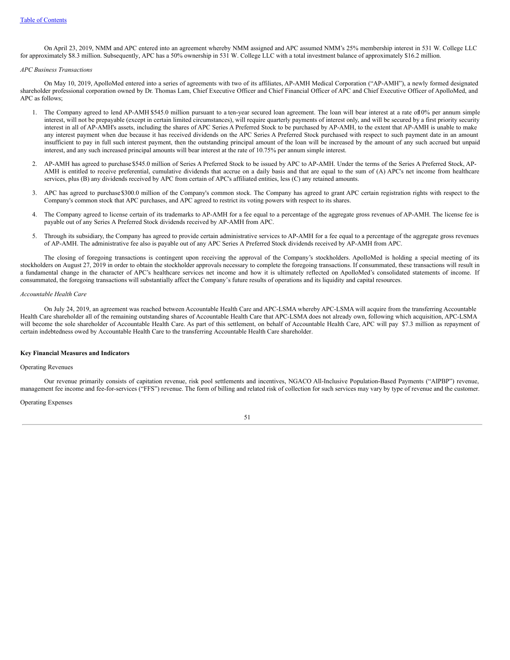On April 23, 2019, NMM and APC entered into an agreement whereby NMM assigned and APC assumed NMM's 25% membership interest in 531 W. College LLC for approximately \$8.3 million. Subsequently, APC has a 50% ownership in 531 W. College LLC with a total investment balance of approximately \$16.2 million.

#### *APC Business Transactions*

On May 10, 2019, ApolloMed entered into a series of agreements with two of its affiliates, AP-AMH Medical Corporation ("AP-AMH"), a newly formed designated shareholder professional corporation owned by Dr. Thomas Lam, Chief Executive Officer and Chief Financial Officer of APC and Chief Executive Officer of ApolloMed, and APC as follows;

- 1. The Company agreed to lend AP-AMH \$545.0 million pursuant to a ten-year secured loan agreement. The loan will bear interest at a rate of10% per annum simple interest, will not be prepayable (except in certain limited circumstances), will require quarterly payments of interest only, and will be secured by a first priority security interest in all of AP-AMH's assets, including the shares of APC Series A Preferred Stock to be purchased by AP-AMH, to the extent that AP-AMH is unable to make any interest payment when due because it has received dividends on the APC Series A Preferred Stock purchased with respect to such payment date in an amount insufficient to pay in full such interest payment, then the outstanding principal amount of the loan will be increased by the amount of any such accrued but unpaid interest, and any such increased principal amounts will bear interest at the rate of 10.75% per annum simple interest.
- 2. AP-AMH has agreed to purchase\$545.0 million of Series A Preferred Stock to be issued by APC to AP-AMH. Under the terms of the Series A Preferred Stock, AP-AMH is entitled to receive preferential, cumulative dividends that accrue on a daily basis and that are equal to the sum of (A) APC's net income from healthcare services, plus (B) any dividends received by APC from certain of APC's affiliated entities, less (C) any retained amounts.
- 3. APC has agreed to purchase\$300.0 million of the Company's common stock. The Company has agreed to grant APC certain registration rights with respect to the Company's common stock that APC purchases, and APC agreed to restrict its voting powers with respect to its shares.
- 4. The Company agreed to license certain of its trademarks to AP-AMH for a fee equal to a percentage of the aggregate gross revenues of AP-AMH. The license fee is payable out of any Series A Preferred Stock dividends received by AP-AMH from APC.
- 5. Through its subsidiary, the Company has agreed to provide certain administrative services to AP-AMH for a fee equal to a percentage of the aggregate gross revenues of AP-AMH. The administrative fee also is payable out of any APC Series A Preferred Stock dividends received by AP-AMH from APC.

The closing of foregoing transactions is contingent upon receiving the approval of the Company's stockholders. ApolloMed is holding a special meeting of its stockholders on August 27, 2019 in order to obtain the stockholder approvals necessary to complete the foregoing transactions. If consummated, these transactions will result in a fundamental change in the character of APC's healthcare services net income and how it is ultimately reflected on ApolloMed's consolidated statements of income. If consummated, the foregoing transactions will substantially affect the Company's future results of operations and its liquidity and capital resources.

### *Accountable Health Care*

On July 24, 2019, an agreement was reached between Accountable Health Care and APC-LSMA whereby APC-LSMA will acquire from the transferring Accountable Health Care shareholder all of the remaining outstanding shares of Accountable Health Care that APC-LSMA does not already own, following which acquisition, APC-LSMA will become the sole shareholder of Accountable Health Care. As part of this settlement, on behalf of Accountable Health Care, APC will pay \$7.3 million as repayment of certain indebtedness owed by Accountable Health Care to the transferring Accountable Health Care shareholder.

### **Key Financial Measures and Indicators**

#### Operating Revenues

Our revenue primarily consists of capitation revenue, risk pool settlements and incentives, NGACO All-Inclusive Population-Based Payments ("AIPBP") revenue, management fee income and fee-for-services ("FFS") revenue. The form of billing and related risk of collection for such services may vary by type of revenue and the customer.

Operating Expenses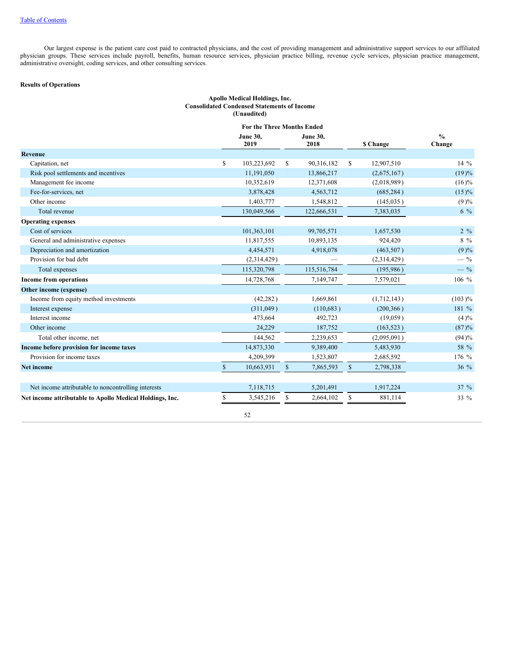Our largest expense is the patient care cost paid to contracted physicians, and the cost of providing management and administrative support services to our affiliated physician groups. These services include payroll, benefits, human resource services, physician practice billing, revenue cycle services, physician practice management, administrative oversight, coding services, and other consulting services.

# **Results of Operations**

### **Apollo Medical Holdings, Inc. Consolidated Condensed Statements of Income (Unaudited)**

|                                                          |              | <b>For the Three Months Ended</b> |               |                         |    |             |                         |
|----------------------------------------------------------|--------------|-----------------------------------|---------------|-------------------------|----|-------------|-------------------------|
|                                                          |              | <b>June 30,</b><br>2019           |               | <b>June 30,</b><br>2018 |    | \$ Change   | $\frac{0}{0}$<br>Change |
| Revenue                                                  |              |                                   |               |                         |    |             |                         |
| Capitation, net                                          | S            | 103,223,692                       | S.            | 90,316,182              | \$ | 12,907,510  | $14\%$                  |
| Risk pool settlements and incentives                     |              | 11,191,050                        |               | 13,866,217              |    | (2,675,167) | (19)%                   |
| Management fee income                                    |              | 10,352,619                        |               | 12,371,608              |    | (2,018,989) | $(16)\%$                |
| Fee-for-services, net                                    |              | 3,878,428                         |               | 4,563,712               |    | (685, 284)  | $(15)\%$                |
| Other income                                             |              | 1,403,777                         |               | 1,548,812               |    | (145, 035)  | (9)%                    |
| Total revenue                                            |              | 130,049,566                       |               | 122,666,531             |    | 7,383,035   | $6\%$                   |
| <b>Operating expenses</b>                                |              |                                   |               |                         |    |             |                         |
| Cost of services                                         |              | 101,363,101                       |               | 99,705,571              |    | 1,657,530   | $2\frac{9}{6}$          |
| General and administrative expenses                      |              | 11,817,555                        |               | 10,893,135              |    | 924,420     | $8\%$                   |
| Depreciation and amortization                            |              | 4,454,571                         |               | 4,918,078               |    | (463, 507)  | (9)%                    |
| Provision for bad debt                                   |              | (2,314,429)                       |               |                         |    | (2,314,429) | $-$ %                   |
| Total expenses                                           |              | 115,320,798                       |               | 115,516,784             |    | (195, 986)  | $-$ %                   |
| <b>Income from operations</b>                            |              | 14,728,768                        |               | 7,149,747               |    | 7,579,021   | 106 %                   |
| Other income (expense)                                   |              |                                   |               |                         |    |             |                         |
| Income from equity method investments                    |              | (42, 282)                         |               | 1,669,861               |    | (1,712,143) | (103)%                  |
| Interest expense                                         |              | (311,049)                         |               | (110,683)               |    | (200, 366)  | 181 %                   |
| Interest income                                          |              | 473,664                           |               | 492,723                 |    | (19,059)    | (4)%                    |
| Other income                                             |              | 24,229                            |               | 187,752                 |    | (163, 523)  | (87)%                   |
| Total other income, net                                  |              | 144,562                           |               | 2,239,653               |    | (2,095,091) | $(94)\%$                |
| Income before provision for income taxes                 |              | 14,873,330                        |               | 9,389,400               |    | 5,483,930   | 58 %                    |
| Provision for income taxes                               |              | 4,209,399                         |               | 1,523,807               |    | 2,685,592   | 176 %                   |
| Net income                                               | $\mathbb{S}$ | 10,663,931                        | $\mathsf{\$}$ | 7,865,593               | \$ | 2,798,338   | $36\%$                  |
|                                                          |              |                                   |               |                         |    |             |                         |
| Net income attributable to noncontrolling interests      |              | 7,118,715                         |               | 5,201,491               |    | 1,917,224   | $37 \%$                 |
| Net income attributable to Apollo Medical Holdings, Inc. | \$           | 3,545,216                         | \$            | 2,664,102               | \$ | 881,114     | 33 %                    |
|                                                          |              | 52                                |               |                         |    |             |                         |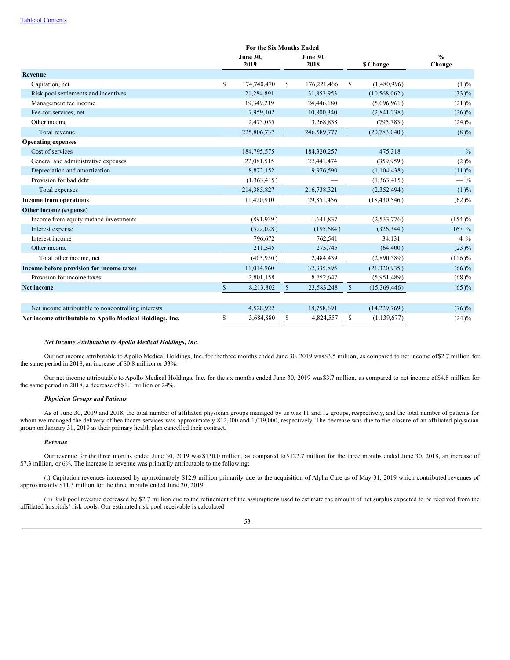|                                                          |              | <b>For the Six Months Ended</b> |                         |              |              |                |                         |
|----------------------------------------------------------|--------------|---------------------------------|-------------------------|--------------|--------------|----------------|-------------------------|
|                                                          |              | <b>June 30,</b><br>2019         | <b>June 30,</b><br>2018 |              |              | \$ Change      | $\frac{0}{0}$<br>Change |
| Revenue                                                  |              |                                 |                         |              |              |                |                         |
| Capitation, net                                          | S            | 174,740,470                     | \$                      | 176,221,466  | S            | (1,480,996)    | (1)%                    |
| Risk pool settlements and incentives                     |              | 21,284,891                      |                         | 31,852,953   |              | (10, 568, 062) | $(33)\%$                |
| Management fee income                                    |              | 19,349,219                      |                         | 24,446,180   |              | (5,096,961)    | $(21)\%$                |
| Fee-for-services, net                                    |              | 7,959,102                       |                         | 10,800,340   |              | (2,841,238)    | $(26)\%$                |
| Other income                                             |              | 2,473,055                       |                         | 3,268,838    |              | (795, 783)     | $(24)\%$                |
| Total revenue                                            |              | 225,806,737                     |                         | 246,589,777  |              | (20, 783, 040) | $(8)\%$                 |
| <b>Operating expenses</b>                                |              |                                 |                         |              |              |                |                         |
| Cost of services                                         |              | 184,795,575                     |                         | 184,320,257  |              | 475,318        | $-$ %                   |
| General and administrative expenses                      |              | 22,081,515                      |                         | 22,441,474   |              | (359.959)      | $(2)\%$                 |
| Depreciation and amortization                            |              | 8,872,152                       |                         | 9,976,590    |              | (1,104,438)    | (11)%                   |
| Provision for bad debt                                   |              | (1,363,415)                     |                         |              |              | (1,363,415)    | $-$ %                   |
| Total expenses                                           |              | 214,385,827                     |                         | 216,738,321  |              | (2,352,494)    | (1)%                    |
| <b>Income from operations</b>                            |              | 11,420,910                      |                         | 29,851,456   |              | (18, 430, 546) | $(62)\%$                |
| Other income (expense)                                   |              |                                 |                         |              |              |                |                         |
| Income from equity method investments                    |              | (891, 939)                      |                         | 1,641,837    |              | (2,533,776)    | $(154)$ %               |
| Interest expense                                         |              | (522, 028)                      |                         | (195, 684)   |              | (326, 344)     | 167 %                   |
| Interest income                                          |              | 796,672                         |                         | 762,541      |              | 34,131         | $4\%$                   |
| Other income                                             |              | 211,345                         |                         | 275,745      |              | (64, 400)      | $(23)\%$                |
| Total other income, net                                  |              | (405, 950)                      |                         | 2,484,439    |              | (2,890,389)    | $(116)\%$               |
| Income before provision for income taxes                 |              | 11,014,960                      |                         | 32, 335, 895 |              | (21,320,935)   | $(66)$ %                |
| Provision for income taxes                               |              | 2,801,158                       |                         | 8,752,647    |              | (5,951,489)    | (68)%                   |
| <b>Net income</b>                                        | $\mathbb{S}$ | 8,213,802                       | $\mathbb{S}$            | 23,583,248   | $\mathbb{S}$ | (15,369,446)   | $(65) \%$               |
|                                                          |              |                                 |                         |              |              |                |                         |
| Net income attributable to noncontrolling interests      |              | 4,528,922                       |                         | 18,758,691   |              | (14, 229, 769) | (76)%                   |
| Net income attributable to Apollo Medical Holdings, Inc. | \$           | 3,684,880                       | \$                      | 4,824,557    | S            | (1, 139, 677)  | $(24)\%$                |

### *Net Income Attributable to Apollo Medical Holdings, Inc.*

Our net income attributable to Apollo Medical Holdings, Inc. for the three months ended June 30, 2019 was\$3.5 million, as compared to net income of\$2.7 million for the same period in 2018, an increase of \$0.8 million or 33%.

Our net income attributable to Apollo Medical Holdings, Inc. for the six months ended June 30, 2019 was\$3.7 million, as compared to net income of\$4.8 million for the same period in 2018, a decrease of \$1.1 million or 24%.

### *Physician Groups and Patients*

As of June 30, 2019 and 2018, the total number of affiliated physician groups managed by us was 11 and 12 groups, respectively, and the total number of patients for whom we managed the delivery of healthcare services was approximately 812,000 and 1,019,000, respectively. The decrease was due to the closure of an affiliated physician group on January 31, 2019 as their primary health plan cancelled their contract.

#### *Revenue*

Our revenue for the three months ended June 30, 2019 was\$130.0 million, as compared to \$122.7 million for the three months ended June 30, 2018, an increase of \$7.3 million, or 6%. The increase in revenue was primarily attributable to the following;

(i) Capitation revenues increased by approximately \$12.9 million primarily due to the acquisition of Alpha Care as of May 31, 2019 which contributed revenues of approximately \$11.5 million for the three months ended June 30, 2019.

(ii) Risk pool revenue decreased by \$2.7 million due to the refinement of the assumptions used to estimate the amount of net surplus expected to be received from the affiliated hospitals' risk pools. Our estimated risk pool receivable is calculated

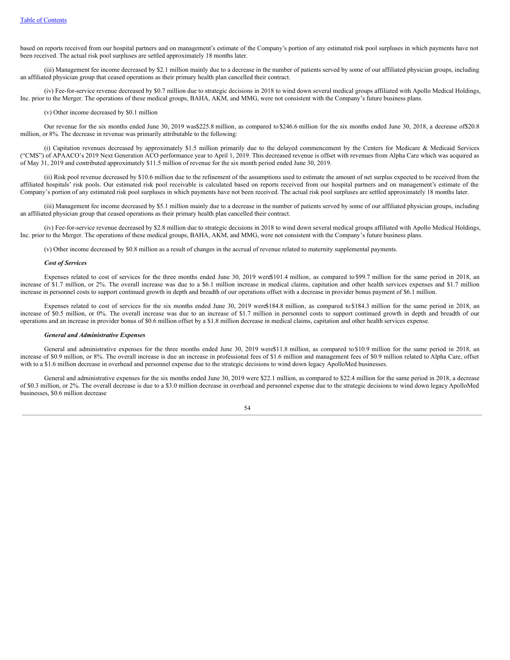based on reports received from our hospital partners and on management's estimate of the Company's portion of any estimated risk pool surpluses in which payments have not been received. The actual risk pool surpluses are settled approximately 18 months later.

(iii) Management fee income decreased by \$2.1 million mainly due to a decrease in the number of patients served by some of our affiliated physician groups, including an affiliated physician group that ceased operations as their primary health plan cancelled their contract.

(iv) Fee-for-service revenue decreased by \$0.7 million due to strategic decisions in 2018 to wind down several medical groups affiliated with Apollo Medical Holdings, Inc. prior to the Merger. The operations of these medical groups, BAHA, AKM, and MMG, were not consistent with the Company's future business plans.

(v) Other income decreased by \$0.1 million

Our revenue for the six months ended June 30, 2019 was\$225.8 million, as compared to \$246.6 million for the six months ended June 30, 2018, a decrease of\$20.8 million, or 8%. The decrease in revenue was primarily attributable to the following:

(i) Capitation revenues decreased by approximately \$1.5 million primarily due to the delayed commencement by the Centers for Medicare & Medicaid Services ("CMS") of APAACO's 2019 Next Generation ACO performance year to April 1, 2019. This decreased revenue is offset with revenues from Alpha Care which was acquired as of May 31, 2019 and contributed approximately \$11.5 million of revenue for the six month period ended June 30, 2019.

(ii) Risk pool revenue decreased by \$10.6 million due to the refinement of the assumptions used to estimate the amount of net surplus expected to be received from the affiliated hospitals' risk pools. Our estimated risk pool receivable is calculated based on reports received from our hospital partners and on management's estimate of the Company's portion of any estimated risk pool surpluses in which payments have not been received. The actual risk pool surpluses are settled approximately 18 months later.

(iii) Management fee income decreased by \$5.1 million mainly due to a decrease in the number of patients served by some of our affiliated physician groups, including an affiliated physician group that ceased operations as their primary health plan cancelled their contract.

(iv) Fee-for-service revenue decreased by \$2.8 million due to strategic decisions in 2018 to wind down several medical groups affiliated with Apollo Medical Holdings, Inc. prior to the Merger. The operations of these medical groups, BAHA, AKM, and MMG, were not consistent with the Company's future business plans.

(v) Other income decreased by \$0.8 million as a result of changes in the accrual of revenue related to maternity supplemental payments.

#### *Cost of Services*

Expenses related to cost of services for the three months ended June 30, 2019 were\$101.4 million, as compared to \$99.7 million for the same period in 2018, an increase of \$1.7 million, or 2%. The overall increase was due to a \$6.1 million increase in medical claims, capitation and other health services expenses and \$1.7 million increase in personnel costs to support continued growth in depth and breadth of our operations offset with a decrease in provider bonus payment of \$6.1 million.

Expenses related to cost of services for the six months ended June 30, 2019 were\$184.8 million, as compared to \$184.3 million for the same period in 2018, an increase of \$0.5 million, or 0%. The overall increase was due to an increase of \$1.7 million in personnel costs to support continued growth in depth and breadth of our operations and an increase in provider bonus of \$0.6 million offset by a \$1.8 million decrease in medical claims, capitation and other health services expense.

#### *General and Administrative Expenses*

General and administrative expenses for the three months ended June 30, 2019 were\$11.8 million, as compared to \$10.9 million for the same period in 2018, an increase of \$0.9 million, or 8%. The overall increase is due an increase in professional fees of \$1.6 million and management fees of \$0.9 million related to Alpha Care, offset with to a \$1.6 million decrease in overhead and personnel expense due to the strategic decisions to wind down legacy ApolloMed businesses.

General and administrative expenses for the six months ended June 30, 2019 were \$22.1 million, as compared to \$22.4 million for the same period in 2018, a decrease of \$0.3 million, or 2%. The overall decrease is due to a \$3.0 million decrease in overhead and personnel expense due to the strategic decisions to wind down legacy ApolloMed businesses, \$0.6 million decrease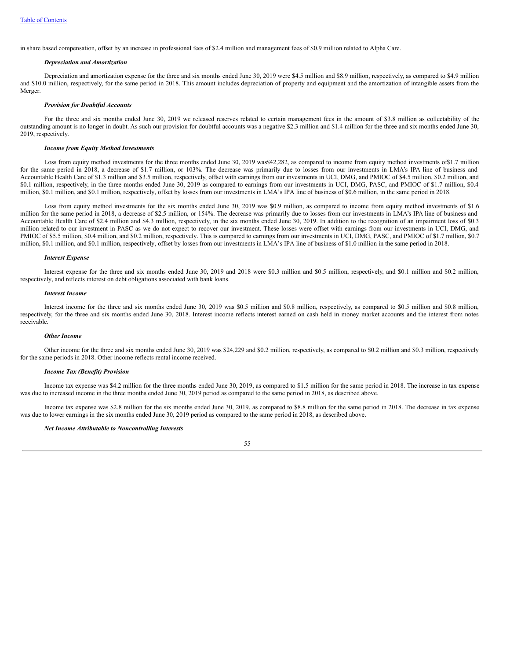in share based compensation, offset by an increase in professional fees of \$2.4 million and management fees of \$0.9 million related to Alpha Care.

### *Depreciation and Amortization*

Depreciation and amortization expense for the three and six months ended June 30, 2019 were \$4.5 million and \$8.9 million, respectively, as compared to \$4.9 million and \$10.0 million, respectively, for the same period in 2018. This amount includes depreciation of property and equipment and the amortization of intangible assets from the Merger.

### *Provision for Doubtful Accounts*

For the three and six months ended June 30, 2019 we released reserves related to certain management fees in the amount of \$3.8 million as collectability of the outstanding amount is no longer in doubt. As such our provision for doubtful accounts was a negative \$2.3 million and \$1.4 million for the three and six months ended June 30, 2019, respectively.

### *Income from Equity Method Investments*

Loss from equity method investments for the three months ended June 30, 2019 was 42,282, as compared to income from equity method investments of \$1.7 million for the same period in 2018, a decrease of \$1.7 million, or 103%. The decrease was primarily due to losses from our investments in LMA's IPA line of business and Accountable Health Care of \$1.3 million and \$3.5 million, respectively, offset with earnings from our investments in UCI, DMG, and PMIOC of \$4.5 million, \$0.2 million, and \$0.1 million, respectively, in the three months ended June 30, 2019 as compared to earnings from our investments in UCI, DMG, PASC, and PMIOC of \$1.7 million, \$0.4 million, \$0.1 million, and \$0.1 million, respectively, offset by losses from our investments in LMA's IPA line of business of \$0.6 million, in the same period in 2018.

Loss from equity method investments for the six months ended June 30, 2019 was \$0.9 million, as compared to income from equity method investments of \$1.6 million for the same period in 2018, a decrease of \$2.5 million, or 154%. The decrease was primarily due to losses from our investments in LMA's IPA line of business and Accountable Health Care of \$2.4 million and \$4.3 million, respectively, in the six months ended June 30, 2019. In addition to the recognition of an impairment loss of \$0.3 million related to our investment in PASC as we do not expect to recover our investment. These losses were offset with earnings from our investments in UCI, DMG, and PMIOC of \$5.5 million, \$0.4 million, and \$0.2 million, respectively. This is compared to earnings from our investments in UCI, DMG, PASC, and PMIOC of \$1.7 million, \$0.7 million, \$0.1 million, and \$0.1 million, respectively, offset by losses from our investments in LMA's IPA line of business of \$1.0 million in the same period in 2018.

#### *Interest Expense*

Interest expense for the three and six months ended June 30, 2019 and 2018 were \$0.3 million and \$0.5 million, respectively, and \$0.1 million and \$0.2 million, respectively, and reflects interest on debt obligations associated with bank loans.

#### *Interest Income*

Interest income for the three and six months ended June 30, 2019 was \$0.5 million and \$0.8 million, respectively, as compared to \$0.5 million and \$0.8 million, respectively, for the three and six months ended June 30, 2018. Interest income reflects interest earned on cash held in money market accounts and the interest from notes receivable.

#### *Other Income*

Other income for the three and six months ended June 30, 2019 was \$24,229 and \$0.2 million, respectively, as compared to \$0.2 million and \$0.3 million, respectively for the same periods in 2018. Other income reflects rental income received.

### *Income Tax (Benefit) Provision*

Income tax expense was \$4.2 million for the three months ended June 30, 2019, as compared to \$1.5 million for the same period in 2018. The increase in tax expense was due to increased income in the three months ended June 30, 2019 period as compared to the same period in 2018, as described above.

Income tax expense was \$2.8 million for the six months ended June 30, 2019, as compared to \$8.8 million for the same period in 2018. The decrease in tax expense was due to lower earnings in the six months ended June 30, 2019 period as compared to the same period in 2018, as described above.

#### *Net Income Attributable to Noncontrolling Interests*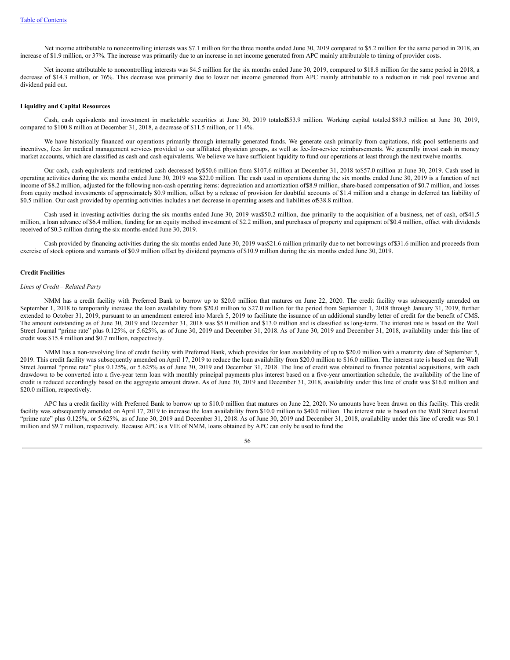Net income attributable to noncontrolling interests was \$7.1 million for the three months ended June 30, 2019 compared to \$5.2 million for the same period in 2018, an increase of \$1.9 million, or 37%. The increase was primarily due to an increase in net income generated from APC mainly attributable to timing of provider costs.

Net income attributable to noncontrolling interests was \$4.5 million for the six months ended June 30, 2019, compared to \$18.8 million for the same period in 2018, a decrease of \$14.3 million, or 76%. This decrease was primarily due to lower net income generated from APC mainly attributable to a reduction in risk pool revenue and dividend paid out.

### **Liquidity and Capital Resources**

Cash, cash equivalents and investment in marketable securities at June 30, 2019 totaled\$53.9 million. Working capital totaled \$89.3 million at June 30, 2019, compared to \$100.8 million at December 31, 2018, a decrease of \$11.5 million, or 11.4%.

We have historically financed our operations primarily through internally generated funds. We generate cash primarily from capitations, risk pool settlements and incentives, fees for medical management services provided to our affiliated physician groups, as well as fee-for-service reimbursements. We generally invest cash in money market accounts, which are classified as cash and cash equivalents. We believe we have sufficient liquidity to fund our operations at least through the next twelve months.

Our cash, cash equivalents and restricted cash decreased by\$50.6 million from \$107.6 million at December 31, 2018 to\$57.0 million at June 30, 2019. Cash used in operating activities during the six months ended June 30, 2019 was \$22.0 million. The cash used in operations during the six months ended June 30, 2019 is a function of net income of \$8.2 million, adjusted for the following non-cash operating items: depreciation and amortization of\$8.9 million, share-based compensation of \$0.7 million, and losses from equity method investments of approximately \$0.9 million, offset by a release of provision for doubtful accounts of \$1.4 million and a change in deferred tax liability of \$0.5 million. Our cash provided by operating activities includes a net decrease in operating assets and liabilities of\$38.8 million.

Cash used in investing activities during the six months ended June 30, 2019 was\$50.2 million, due primarily to the acquisition of a business, net of cash, of\$41.5 million, a loan advance of \$6.4 million, funding for an equity method investment of \$2.2 million, and purchases of property and equipment of \$0.4 million, offset with dividends received of \$0.3 million during the six months ended June 30, 2019.

Cash provided by financing activities during the six months ended June 30, 2019 was\$21.6 million primarily due to net borrowings of\$31.6 million and proceeds from exercise of stock options and warrants of \$0.9 million offset by dividend payments of \$10.9 million during the six months ended June 30, 2019.

### **Credit Facilities**

### *Lines of Credit* – *Related Party*

NMM has a credit facility with Preferred Bank to borrow up to \$20.0 million that matures on June 22, 2020. The credit facility was subsequently amended on September 1, 2018 to temporarily increase the loan availability from \$20.0 million to \$27.0 million for the period from September 1, 2018 through January 31, 2019, further extended to October 31, 2019, pursuant to an amendment entered into March 5, 2019 to facilitate the issuance of an additional standby letter of credit for the benefit of CMS. The amount outstanding as of June 30, 2019 and December 31, 2018 was \$5.0 million and \$13.0 million and is classified as long-term. The interest rate is based on the Wall Street Journal "prime rate" plus 0.125%, or 5.625%, as of June 30, 2019 and December 31, 2018. As of June 30, 2019 and December 31, 2018, availability under this line of credit was \$15.4 million and \$0.7 million, respectively.

NMM has a non-revolving line of credit facility with Preferred Bank, which provides for loan availability of up to \$20.0 million with a maturity date of September 5, 2019. This credit facility was subsequently amended on April 17, 2019 to reduce the loan availability from \$20.0 million to \$16.0 million. The interest rate is based on the Wall Street Journal "prime rate" plus 0.125%, or 5.625% as of June 30, 2019 and December 31, 2018. The line of credit was obtained to finance potential acquisitions, with each drawdown to be converted into a five-year term loan with monthly principal payments plus interest based on a five-year amortization schedule, the availability of the line of credit is reduced accordingly based on the aggregate amount drawn. As of June 30, 2019 and December 31, 2018, availability under this line of credit was \$16.0 million and \$20.0 million, respectively.

APC has a credit facility with Preferred Bank to borrow up to \$10.0 million that matures on June 22, 2020. No amounts have been drawn on this facility. This credit facility was subsequently amended on April 17, 2019 to increase the loan availability from \$10.0 million to \$40.0 million. The interest rate is based on the Wall Street Journal "prime rate" plus 0.125%, or 5.625%, as of June 30, 2019 and December 31, 2018. As of June 30, 2019 and December 31, 2018, availability under this line of credit was \$0.1 million and \$9.7 million, respectively. Because APC is a VIE of NMM, loans obtained by APC can only be used to fund the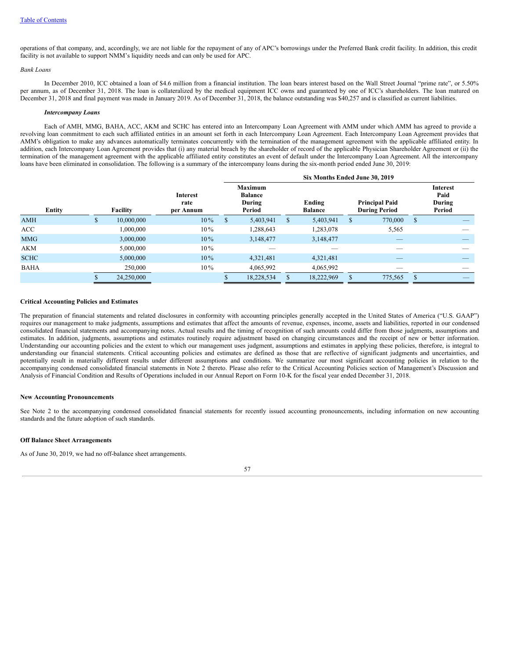operations of that company, and, accordingly, we are not liable for the repayment of any of APC's borrowings under the Preferred Bank credit facility. In addition, this credit facility is not available to support NMM's liquidity needs and can only be used for APC.

#### *Bank Loans*

In December 2010, ICC obtained a loan of \$4.6 million from a financial institution. The loan bears interest based on the Wall Street Journal "prime rate", or 5.50% per annum, as of December 31, 2018. The loan is collateralized by the medical equipment ICC owns and guaranteed by one of ICC's shareholders. The loan matured on December 31, 2018 and final payment was made in January 2019. As of December 31, 2018, the balance outstanding was \$40,257 and is classified as current liabilities.

#### *Intercompany Loans*

Each of AMH, MMG, BAHA, ACC, AKM and SCHC has entered into an Intercompany Loan Agreement with AMM under which AMM has agreed to provide a revolving loan commitment to each such affiliated entities in an amount set forth in each Intercompany Loan Agreement. Each Intercompany Loan Agreement provides that AMM's obligation to make any advances automatically terminates concurrently with the termination of the management agreement with the applicable affiliated entity. In addition, each Intercompany Loan Agreement provides that (i) any material breach by the shareholder of record of the applicable Physician Shareholder Agreement or (ii) the termination of the management agreement with the applicable affiliated entity constitutes an event of default under the Intercompany Loan Agreement. All the intercompany loans have been eliminated in consolidation. The following is a summary of the intercompany loans during the six-month period ended June 30, 2019:

|             |   |            |                                      | Six Months Ended June 30, 2019 |                                                      |               |                          |               |                                               |    |                                             |
|-------------|---|------------|--------------------------------------|--------------------------------|------------------------------------------------------|---------------|--------------------------|---------------|-----------------------------------------------|----|---------------------------------------------|
| Entity      |   | Facility   | <b>Interest</b><br>rate<br>per Annum |                                | <b>Maximum</b><br><b>Balance</b><br>During<br>Period |               | Ending<br><b>Balance</b> |               | <b>Principal Paid</b><br><b>During Period</b> |    | <b>Interest</b><br>Paid<br>During<br>Period |
| <b>AMH</b>  | Ф | 10,000,000 | $10\%$                               | S                              | 5,403,941                                            | <sup>\$</sup> | 5,403,941                | <sup>\$</sup> | 770,000                                       | \$ |                                             |
| ACC         |   | 1,000,000  | $10\%$                               |                                | 1,288,643                                            |               | 1,283,078                |               | 5,565                                         |    |                                             |
| <b>MMG</b>  |   | 3,000,000  | $10\%$                               |                                | 3,148,477                                            |               | 3,148,477                |               |                                               |    |                                             |
| AKM         |   | 5,000,000  | $10\%$                               |                                |                                                      |               |                          |               |                                               |    |                                             |
| <b>SCHC</b> |   | 5,000,000  | $10\%$                               |                                | 4,321,481                                            |               | 4,321,481                |               | _                                             |    |                                             |
| <b>BAHA</b> |   | 250,000    | $10\%$                               |                                | 4,065,992                                            |               | 4,065,992                |               | __                                            |    |                                             |
|             |   | 24,250,000 |                                      |                                | 18,228,534                                           |               | 18,222,969               |               | 775,565                                       | Ф  | _                                           |

### **Critical Accounting Policies and Estimates**

The preparation of financial statements and related disclosures in conformity with accounting principles generally accepted in the United States of America ("U.S. GAAP") requires our management to make judgments, assumptions and estimates that affect the amounts of revenue, expenses, income, assets and liabilities, reported in our condensed consolidated financial statements and accompanying notes. Actual results and the timing of recognition of such amounts could differ from those judgments, assumptions and estimates. In addition, judgments, assumptions and estimates routinely require adjustment based on changing circumstances and the receipt of new or better information. Understanding our accounting policies and the extent to which our management uses judgment, assumptions and estimates in applying these policies, therefore, is integral to understanding our financial statements. Critical accounting policies and estimates are defined as those that are reflective of significant judgments and uncertainties, and potentially result in materially different results under different assumptions and conditions. We summarize our most significant accounting policies in relation to the accompanying condensed consolidated financial statements in Note 2 thereto. Please also refer to the Critical Accounting Policies section of Management's Discussion and Analysis of Financial Condition and Results of Operations included in our Annual Report on Form 10-K for the fiscal year ended December 31, 2018.

### **New Accounting Pronouncements**

See Note 2 to the accompanying condensed consolidated financial statements for recently issued accounting pronouncements, including information on new accounting standards and the future adoption of such standards.

### **Off Balance Sheet Arrangements**

As of June 30, 2019, we had no off-balance sheet arrangements.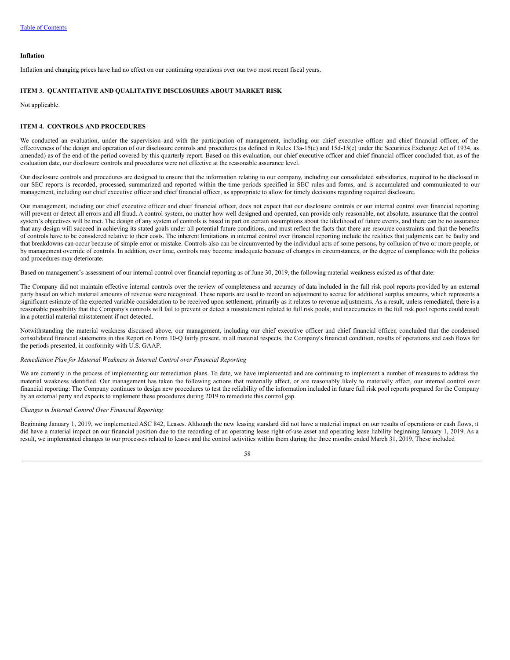### **Inflation**

<span id="page-57-0"></span>Inflation and changing prices have had no effect on our continuing operations over our two most recent fiscal years.

### **ITEM 3. QUANTITATIVE AND QUALITATIVE DISCLOSURES ABOUT MARKET RISK**

<span id="page-57-1"></span>Not applicable.

### **ITEM 4. CONTROLS AND PROCEDURES**

We conducted an evaluation, under the supervision and with the participation of management, including our chief executive officer and chief financial officer, of the effectiveness of the design and operation of our disclosure controls and procedures (as defined in Rules  $13a-15(e)$  and  $15d-15(e)$  under the Securities Exchange Act of 1934, as amended) as of the end of the period covered by this quarterly report. Based on this evaluation, our chief executive officer and chief financial officer concluded that, as of the evaluation date, our disclosure controls and procedures were not effective at the reasonable assurance level.

Our disclosure controls and procedures are designed to ensure that the information relating to our company, including our consolidated subsidiaries, required to be disclosed in our SEC reports is recorded, processed, summarized and reported within the time periods specified in SEC rules and forms, and is accumulated and communicated to our management, including our chief executive officer and chief financial officer, as appropriate to allow for timely decisions regarding required disclosure.

Our management, including our chief executive officer and chief financial officer, does not expect that our disclosure controls or our internal control over financial reporting will prevent or detect all errors and all fraud. A control system, no matter how well designed and operated, can provide only reasonable, not absolute, assurance that the control system's objectives will be met. The design of any system of controls is based in part on certain assumptions about the likelihood of future events, and there can be no assurance that any design will succeed in achieving its stated goals under all potential future conditions, and must reflect the facts that there are resource constraints and that the benefits of controls have to be considered relative to their costs. The inherent limitations in internal control over financial reporting include the realities that judgments can be faulty and that breakdowns can occur because of simple error or mistake. Controls also can be circumvented by the individual acts of some persons, by collusion of two or more people, or by management override of controls. In addition, over time, controls may become inadequate because of changes in circumstances, or the degree of compliance with the policies and procedures may deteriorate.

Based on management's assessment of our internal control over financial reporting as of June 30, 2019, the following material weakness existed as of that date:

The Company did not maintain effective internal controls over the review of completeness and accuracy of data included in the full risk pool reports provided by an external party based on which material amounts of revenue were recognized. These reports are used to record an adjustment to accrue for additional surplus amounts, which represents a significant estimate of the expected variable consideration to be received upon settlement, primarily as it relates to revenue adjustments. As a result, unless remediated, there is a reasonable possibility that the Company's controls will fail to prevent or detect a misstatement related to full risk pools; and inaccuracies in the full risk pool reports could result in a potential material misstatement if not detected.

Notwithstanding the material weakness discussed above, our management, including our chief executive officer and chief financial officer, concluded that the condensed consolidated financial statements in this Report on Form 10-Q fairly present, in all material respects, the Company's financial condition, results of operations and cash flows for the periods presented, in conformity with U.S. GAAP.

#### *Remediation Plan for Material Weakness in Internal Control over Financial Reporting*

We are currently in the process of implementing our remediation plans. To date, we have implemented and are continuing to implement a number of measures to address the material weakness identified. Our management has taken the following actions that materially affect, or are reasonably likely to materially affect, our internal control over financial reporting: The Company continues to design new procedures to test the reliability of the information included in future full risk pool reports prepared for the Company by an external party and expects to implement these procedures during 2019 to remediate this control gap.

#### *Changes in Internal Control Over Financial Reporting*

Beginning January 1, 2019, we implemented ASC 842, Leases. Although the new leasing standard did not have a material impact on our results of operations or cash flows, it did have a material impact on our financial position due to the recording of an operating lease right-of-use asset and operating lease liability beginning January 1, 2019. As a result, we implemented changes to our processes related to leases and the control activities within them during the three months ended March 31, 2019. These included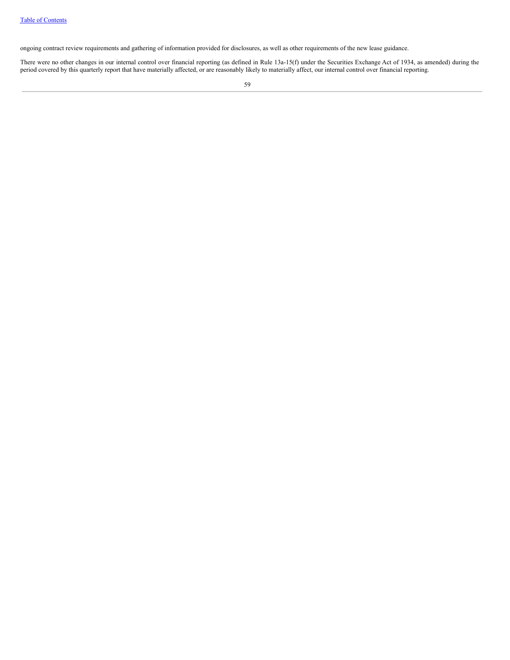ongoing contract review requirements and gathering of information provided for disclosures, as well as other requirements of the new lease guidance.

There were no other changes in our internal control over financial reporting (as defined in Rule 13a-15(f) under the Securities Exchange Act of 1934, as amended) during the period covered by this quarterly report that have materially affected, or are reasonably likely to materially affect, our internal control over financial reporting.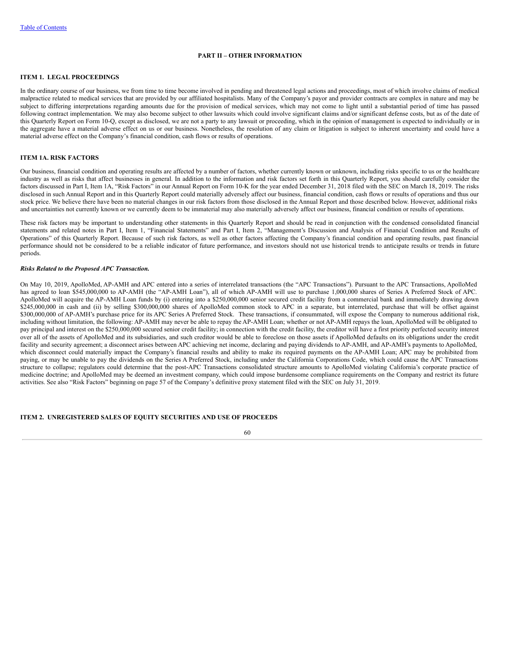### **PART II – OTHER INFORMATION**

## <span id="page-59-1"></span><span id="page-59-0"></span>**ITEM 1. LEGAL PROCEEDINGS**

In the ordinary course of our business, we from time to time become involved in pending and threatened legal actions and proceedings, most of which involve claims of medical malpractice related to medical services that are provided by our affiliated hospitalists. Many of the Company's payor and provider contracts are complex in nature and may be subject to differing interpretations regarding amounts due for the provision of medical services, which may not come to light until a substantial period of time has passed following contract implementation. We may also become subject to other lawsuits which could involve significant claims and/or significant defense costs, but as of the date of this Quarterly Report on Form 10-Q, except as disclosed, we are not a party to any lawsuit or proceeding, which in the opinion of management is expected to individually or in the aggregate have a material adverse effect on us or our business. Nonetheless, the resolution of any claim or litigation is subject to inherent uncertainty and could have a material adverse effect on the Company's financial condition, cash flows or results of operations.

#### <span id="page-59-2"></span>**ITEM 1A. RISK FACTORS**

Our business, financial condition and operating results are affected by a number of factors, whether currently known or unknown, including risks specific to us or the healthcare industry as well as risks that affect businesses in general. In addition to the information and risk factors set forth in this Quarterly Report, you should carefully consider the factors discussed in Part I, Item 1A, "Risk Factors" in our Annual Report on Form 10-K for the year ended December 31, 2018 filed with the SEC on March 18, 2019. The risks disclosed in such Annual Report and in this Quarterly Report could materially adversely affect our business, financial condition, cash flows or results of operations and thus our stock price. We believe there have been no material changes in our risk factors from those disclosed in the Annual Report and those described below. However, additional risks and uncertainties not currently known or we currently deem to be immaterial may also materially adversely affect our business, financial condition or results of operations.

These risk factors may be important to understanding other statements in this Quarterly Report and should be read in conjunction with the condensed consolidated financial statements and related notes in Part I, Item 1, "Financial Statements" and Part I, Item 2, "Management's Discussion and Analysis of Financial Condition and Results of Operations" of this Quarterly Report. Because of such risk factors, as well as other factors affecting the Company's financial condition and operating results, past financial performance should not be considered to be a reliable indicator of future performance, and investors should not use historical trends to anticipate results or trends in future periods.

### *Risks Related to the Proposed APC Transaction.*

On May 10, 2019, ApolloMed, AP-AMH and APC entered into a series of interrelated transactions (the "APC Transactions"). Pursuant to the APC Transactions, ApolloMed has agreed to loan \$545,000,000 to AP-AMH (the "AP-AMH Loan"), all of which AP-AMH will use to purchase 1,000,000 shares of Series A Preferred Stock of APC. ApolloMed will acquire the AP-AMH Loan funds by (i) entering into a \$250,000,000 senior secured credit facility from a commercial bank and immediately drawing down \$245,000,000 in cash and (ii) by selling \$300,000,000 shares of ApolloMed common stock to APC in a separate, but interrelated, purchase that will be offset against \$300,000,000 of AP-AMH's purchase price for its APC Series A Preferred Stock. These transactions, if consummated, will expose the Company to numerous additional risk, including without limitation, the following: AP-AMH may never be able to repay the AP-AMH Loan; whether or not AP-AMH repays the loan, ApolloMed will be obligated to pay principal and interest on the \$250,000,000 secured senior credit facility; in connection with the credit facility, the creditor will have a first priority perfected security interest over all of the assets of ApolloMed and its subsidiaries, and such creditor would be able to foreclose on those assets if ApolloMed defaults on its obligations under the credit facility and security agreement; a disconnect arises between APC achieving net income, declaring and paying dividends to AP-AMH, and AP-AMH's payments to ApolloMed, which disconnect could materially impact the Company's financial results and ability to make its required payments on the AP-AMH Loan; APC may be prohibited from paying, or may be unable to pay the dividends on the Series A Preferred Stock, including under the California Corporations Code, which could cause the APC Transactions structure to collapse; regulators could determine that the post-APC Transactions consolidated structure amounts to ApolloMed violating California's corporate practice of medicine doctrine; and ApolloMed may be deemed an investment company, which could impose burdensome compliance requirements on the Company and restrict its future activities. See also "Risk Factors" beginning on page 57 of the Company's definitive proxy statement filed with the SEC on July 31, 2019.

### <span id="page-59-3"></span>**ITEM 2. UNREGISTERED SALES OF EQUITY SECURITIES AND USE OF PROCEEDS**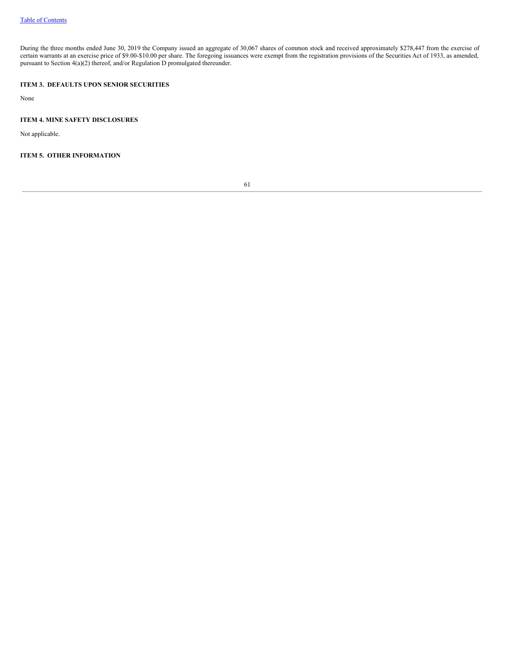During the three months ended June 30, 2019 the Company issued an aggregate of 30,067 shares of common stock and received approximately \$278,447 from the exercise of certain warrants at an exercise price of \$9.00-\$10.00 per share. The foregoing issuances were exempt from the registration provisions of the Securities Act of 1933, as amended, pursuant to Section 4(a)(2) thereof, and/or Regulation D promulgated thereunder.

# <span id="page-60-0"></span>**ITEM 3. DEFAULTS UPON SENIOR SECURITIES**

<span id="page-60-1"></span>None

# **ITEM 4. MINE SAFETY DISCLOSURES**

<span id="page-60-2"></span>Not applicable.

# **ITEM 5. OTHER INFORMATION**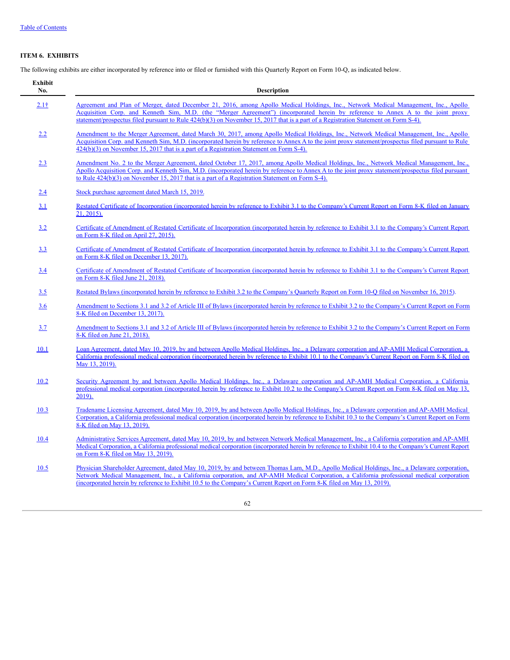# <span id="page-61-0"></span>**ITEM 6. EXHIBITS**

The following exhibits are either incorporated by reference into or filed or furnished with this Quarterly Report on Form 10-Q, as indicated below.

| <b>Exhibit</b><br>No. | <b>Description</b>                                                                                                                                                                                                                                                                                                                                                                                                 |
|-----------------------|--------------------------------------------------------------------------------------------------------------------------------------------------------------------------------------------------------------------------------------------------------------------------------------------------------------------------------------------------------------------------------------------------------------------|
| 2.11                  | Agreement and Plan of Merger, dated December 21, 2016, among Apollo Medical Holdings, Inc., Network Medical Management, Inc., Apollo<br>Acquisition Corp. and Kenneth Sim, M.D. (the "Merger Agreement") (incorporated herein by reference to Annex A to the joint proxy<br>statement/prospectus filed pursuant to Rule 424(b)(3) on November 15, 2017 that is a part of a Registration Statement on Form S-4).    |
| 2.2                   | Amendment to the Merger Agreement, dated March 30, 2017, among Apollo Medical Holdings, Inc., Network Medical Management, Inc., Apollo<br>Acquisition Corp. and Kenneth Sim, M.D. (incorporated herein by reference to Annex A to the joint proxy statement/prospectus filed pursuant to Rule<br>$424(b)(3)$ on November 15, 2017 that is a part of a Registration Statement on Form S-4).                         |
| 2.3                   | Amendment No. 2 to the Merger Agreement, dated October 17, 2017, among Apollo Medical Holdings, Inc., Network Medical Management, Inc.,<br>Apollo Acquisition Corp. and Kenneth Sim, M.D. (incorporated herein by reference to Annex A to the joint proxy statement/prospectus filed pursuant<br>to Rule 424(b)(3) on November 15, 2017 that is a part of a Registration Statement on Form S-4).                   |
| 2.4                   | Stock purchase agreement dated March 15, 2019.                                                                                                                                                                                                                                                                                                                                                                     |
| <u>3.1</u>            | Restated Certificate of Incorporation (incorporated herein by reference to Exhibit 3.1 to the Company's Current Report on Form 8-K filed on January<br>21, 2015).                                                                                                                                                                                                                                                  |
| 3.2                   | Certificate of Amendment of Restated Certificate of Incorporation (incorporated herein by reference to Exhibit 3.1 to the Company's Current Report<br>on Form 8-K filed on April 27, 2015).                                                                                                                                                                                                                        |
| <u>3.3</u>            | Certificate of Amendment of Restated Certificate of Incorporation (incorporated herein by reference to Exhibit 3.1 to the Company's Current Report<br>on Form 8-K filed on December 13, 2017).                                                                                                                                                                                                                     |
| <u>3.4</u>            | Certificate of Amendment of Restated Certificate of Incorporation (incorporated herein by reference to Exhibit 3.1 to the Company's Current Report<br>on Form 8-K filed June 21, 2018).                                                                                                                                                                                                                            |
| <u>3.5</u>            | Restated Bylaws (incorporated herein by reference to Exhibit 3.2 to the Company's Quarterly Report on Form 10-Q filed on November 16, 2015).                                                                                                                                                                                                                                                                       |
| 3.6                   | Amendment to Sections 3.1 and 3.2 of Article III of Bylaws (incorporated herein by reference to Exhibit 3.2 to the Company's Current Report on Form<br>8-K filed on December 13, 2017).                                                                                                                                                                                                                            |
| 3.7                   | Amendment to Sections 3.1 and 3.2 of Article III of Bylaws (incorporated herein by reference to Exhibit 3.2 to the Company's Current Report on Form<br>8-K filed on June 21, 2018).                                                                                                                                                                                                                                |
| 10.1                  | Loan Agreement, dated May 10, 2019, by and between Apollo Medical Holdings, Inc., a Delaware corporation and AP-AMH Medical Corporation, a<br>California professional medical corporation (incorporated herein by reference to Exhibit 10.1 to the Company's Current Report on Form 8-K filed on<br>May 13, 2019).                                                                                                 |
| 10.2                  | Security Agreement by and between Apollo Medical Holdings, Inc., a Delaware corporation and AP-AMH Medical Corporation, a California<br>professional medical corporation (incorporated herein by reference to Exhibit 10.2 to the Company's Current Report on Form 8-K filed on May 13,<br>2019).                                                                                                                  |
| 10.3                  | Tradename Licensing Agreement, dated May 10, 2019, by and between Apollo Medical Holdings, Inc., a Delaware corporation and AP-AMH Medical<br>Corporation, a California professional medical corporation (incorporated herein by reference to Exhibit 10.3 to the Company's Current Report on Form<br>8-K filed on May 13, 2019).                                                                                  |
| 10.4                  | Administrative Services Agreement, dated May 10, 2019, by and between Network Medical Management, Inc., a California corporation and AP-AMH<br>Medical Corporation, a California professional medical corporation (incorporated herein by reference to Exhibit 10.4 to the Company's Current Report<br>on Form 8-K filed on May 13, 2019).                                                                         |
| 10.5                  | Physician Shareholder Agreement, dated May 10, 2019, by and between Thomas Lam, M.D., Apollo Medical Holdings, Inc., a Delaware corporation,<br>Network Medical Management, Inc., a California corporation, and AP-AMH Medical Corporation, a California professional medical corporation<br>(incorporated herein by reference to Exhibit 10.5 to the Company's Current Report on Form 8-K filed on May 13, 2019). |
|                       | 62                                                                                                                                                                                                                                                                                                                                                                                                                 |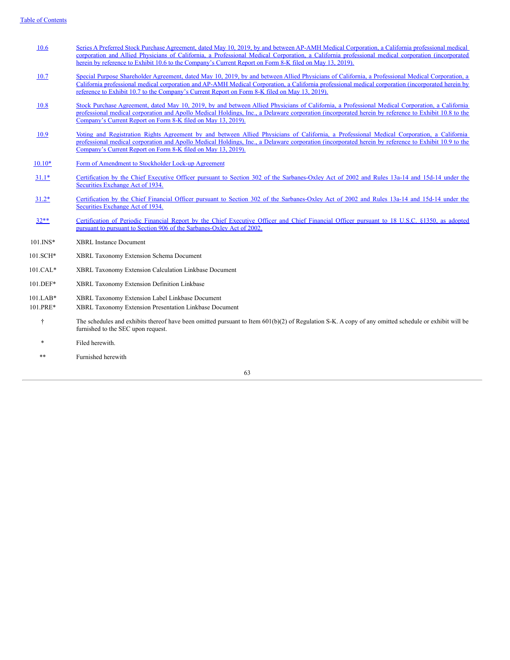| 10.6                   | Series A Preferred Stock Purchase Agreement, dated May 10, 2019, by and between AP-AMH Medical Corporation, a California professional medical<br>corporation and Allied Physicians of California, a Professional Medical Corporation, a California professional medical corporation (incorporated<br>herein by reference to Exhibit 10.6 to the Company's Current Report on Form 8-K filed on May 13, 2019). |
|------------------------|--------------------------------------------------------------------------------------------------------------------------------------------------------------------------------------------------------------------------------------------------------------------------------------------------------------------------------------------------------------------------------------------------------------|
| 10.7                   | Special Purpose Shareholder Agreement, dated May 10, 2019, by and between Allied Physicians of California, a Professional Medical Corporation, a<br>California professional medical corporation and AP-AMH Medical Corporation, a California professional medical corporation (incorporated herein by<br>reference to Exhibit 10.7 to the Company's Current Report on Form 8-K filed on May 13, 2019).       |
| 10.8                   | Stock Purchase Agreement, dated May 10, 2019, by and between Allied Physicians of California, a Professional Medical Corporation, a California<br>professional medical corporation and Apollo Medical Holdings, Inc., a Delaware corporation (incorporated herein by reference to Exhibit 10.8 to the<br>Company's Current Report on Form 8-K filed on May 13, 2019).                                        |
| 10.9                   | Voting and Registration Rights Agreement by and between Allied Physicians of California, a Professional Medical Corporation, a California<br>professional medical corporation and Apollo Medical Holdings, Inc., a Delaware corporation (incorporated herein by reference to Exhibit 10.9 to the<br>Company's Current Report on Form 8-K filed on May 13, 2019).                                             |
| $10.10*$               | Form of Amendment to Stockholder Lock-up Agreement                                                                                                                                                                                                                                                                                                                                                           |
| $31.1*$                | Certification by the Chief Executive Officer pursuant to Section 302 of the Sarbanes-Oxley Act of 2002 and Rules 13a-14 and 15d-14 under the<br>Securities Exchange Act of 1934.                                                                                                                                                                                                                             |
| $31.2*$                | Certification by the Chief Financial Officer pursuant to Section 302 of the Sarbanes-Oxlev Act of 2002 and Rules 13a-14 and 15d-14 under the<br>Securities Exchange Act of 1934.                                                                                                                                                                                                                             |
| $32**$                 | Certification of Periodic Financial Report by the Chief Executive Officer and Chief Financial Officer pursuant to 18 U.S.C. §1350, as adopted<br>pursuant to pursuant to Section 906 of the Sarbanes-Oxley Act of 2002.                                                                                                                                                                                      |
| 101.INS*               | <b>XBRL</b> Instance Document                                                                                                                                                                                                                                                                                                                                                                                |
| 101.SCH*               | XBRL Taxonomy Extension Schema Document                                                                                                                                                                                                                                                                                                                                                                      |
| $101.CAL*$             | XBRL Taxonomy Extension Calculation Linkbase Document                                                                                                                                                                                                                                                                                                                                                        |
| 101.DEF*               | XBRL Taxonomy Extension Definition Linkbase                                                                                                                                                                                                                                                                                                                                                                  |
| $101.LAB*$<br>101.PRE* | XBRL Taxonomy Extension Label Linkbase Document<br>XBRL Taxonomy Extension Presentation Linkbase Document                                                                                                                                                                                                                                                                                                    |
| Ť                      | The schedules and exhibits thereof have been omitted pursuant to Item $601(b)(2)$ of Regulation S-K. A copy of any omitted schedule or exhibit will be<br>furnished to the SEC upon request.                                                                                                                                                                                                                 |
|                        | Filed herewith.                                                                                                                                                                                                                                                                                                                                                                                              |

\*\* Furnished herewith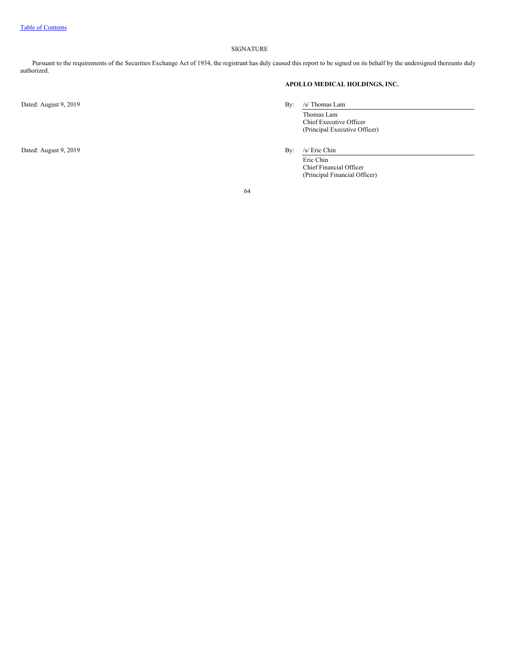### SIGNATURE

Pursuant to the requirements of the Securities Exchange Act of 1934, the registrant has duly caused this report to be signed on its behalf by the undersigned thereunto duly authorized.

# **APOLLO MEDICAL HOLDINGS, INC.**

Dated: August 9, 2019 By: /s/ Thomas Lam

Dated: August 9, 2019 By: /s/ Eric Chin

Thomas Lam Chief Executive Officer (Principal Executive Officer)

Eric Chin Chief Financial Officer (Principal Financial Officer)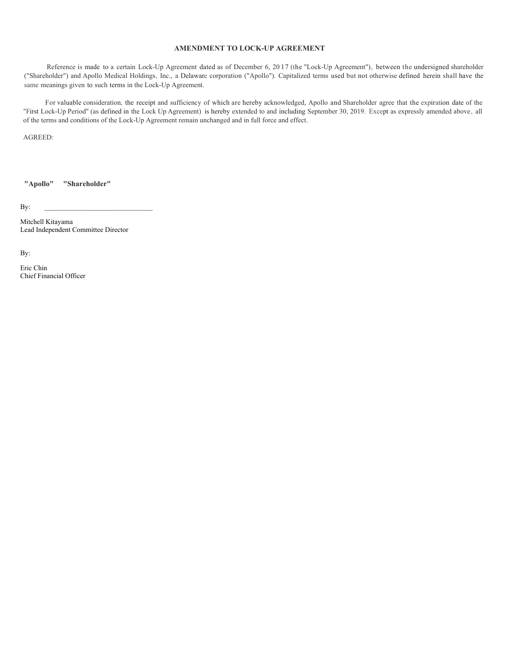# **AMENDMENT TO LOCK-UP AGREEMENT**

<span id="page-64-0"></span>Reference is made to a certain Lock-Up Agreement dated as of December 6, 20 17 (the "Lock-Up Agreement"), between the undersigned shareholder ("Shareholder") and Apollo Medical Holdings, Inc., a Delaware corporation ("Apollo"). Capitalized terms used but not otherwise defined herein shall have the same meanings given to such terms in the Lock-Up Agreement.

For valuable consideration, the receipt and sufficiency of which are hereby acknowledged, Apollo and Shareholder agree that the expiration date of the "First Lock-Up Period" (as defined in the Lock Up Agreement) is hereby extended to and including September 30, 2019. Except as expressly amended above, all of the terms and conditions of the Lock-Up Agreement remain unchanged and in full force and effect.

AGREED:

**"Apollo" "Shareholder"**

 $\mathbf{By:}$ 

Mitchell Kitayama Lead Independent Committee Director

By:

Eric Chin Chief Financial Officer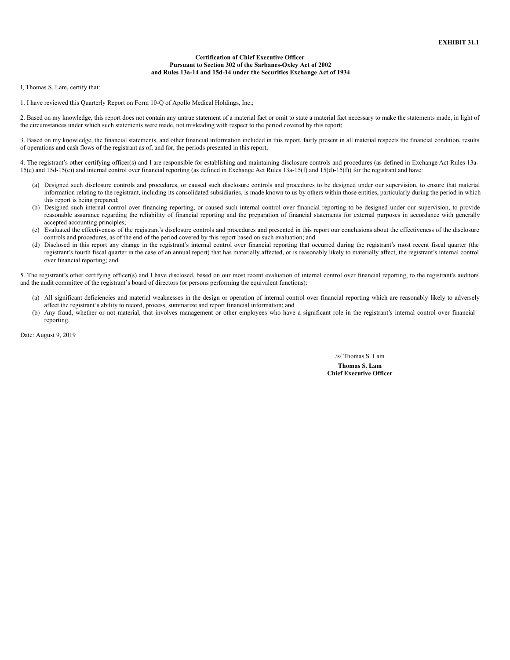### **Certification of Chief Executive Officer Pursuant to Section 302 of the Sarbanes-Oxley Act of 2002 and Rules 13a-14 and 15d-14 under the Securities Exchange Act of 1934**

<span id="page-65-0"></span>I, Thomas S. Lam, certify that:

1. I have reviewed this Quarterly Report on Form 10-Q of Apollo Medical Holdings, Inc.;

2. Based on my knowledge, this report does not contain any untrue statement of a material fact or omit to state a material fact necessary to make the statements made, in light of the circumstances under which such statements were made, not misleading with respect to the period covered by this report;

3. Based on my knowledge, the financial statements, and other financial information included in this report, fairly present in all material respects the financial condition, results of operations and cash flows of the registrant as of, and for, the periods presented in this report;

4. The registrant's other certifying officer(s) and I are responsible for establishing and maintaining disclosure controls and procedures (as defined in Exchange Act Rules 13a-15(e) and 15d-15(e)) and internal control over financial reporting (as defined in Exchange Act Rules 13a-15(f) and 15(d)-15(f)) for the registrant and have:

- (a) Designed such disclosure controls and procedures, or caused such disclosure controls and procedures to be designed under our supervision, to ensure that material information relating to the registrant, including its consolidated subsidiaries, is made known to us by others within those entities, particularly during the period in which this report is being prepared;
- (b) Designed such internal control over financing reporting, or caused such internal control over financial reporting to be designed under our supervision, to provide reasonable assurance regarding the reliability of financial reporting and the preparation of financial statements for external purposes in accordance with generally accepted accounting principles;
- (c) Evaluated the effectiveness of the registrant's disclosure controls and procedures and presented in this report our conclusions about the effectiveness of the disclosure controls and procedures, as of the end of the period covered by this report based on such evaluation; and
- (d) Disclosed in this report any change in the registrant's internal control over financial reporting that occurred during the registrant's most recent fiscal quarter (the registrant's fourth fiscal quarter in the case of an annual report) that has materially affected, or is reasonably likely to materially affect, the registrant's internal control over financial reporting; and

5. The registrant's other certifying officer(s) and I have disclosed, based on our most recent evaluation of internal control over financial reporting, to the registrant's auditors and the audit committee of the registrant's board of directors (or persons performing the equivalent functions):

- (a) All significant deficiencies and material weaknesses in the design or operation of internal control over financial reporting which are reasonably likely to adversely affect the registrant's ability to record, process, summarize and report financial information; and
- (b) Any fraud, whether or not material, that involves management or other employees who have a significant role in the registrant's internal control over financial reporting.

Date: August 9, 2019

/s/ Thomas S. Lam

**Thomas S. Lam Chief Executive Officer**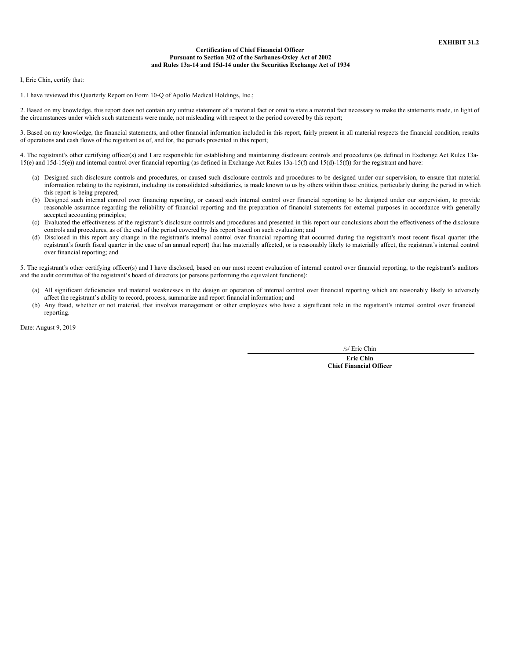### **Certification of Chief Financial Officer Pursuant to Section 302 of the Sarbanes-Oxley Act of 2002 and Rules 13a-14 and 15d-14 under the Securities Exchange Act of 1934**

<span id="page-66-0"></span>I, Eric Chin, certify that:

1. I have reviewed this Quarterly Report on Form 10-Q of Apollo Medical Holdings, Inc.;

2. Based on my knowledge, this report does not contain any untrue statement of a material fact or omit to state a material fact necessary to make the statements made, in light of the circumstances under which such statements were made, not misleading with respect to the period covered by this report;

3. Based on my knowledge, the financial statements, and other financial information included in this report, fairly present in all material respects the financial condition, results of operations and cash flows of the registrant as of, and for, the periods presented in this report;

4. The registrant's other certifying officer(s) and I are responsible for establishing and maintaining disclosure controls and procedures (as defined in Exchange Act Rules 13a-15(e) and 15d-15(e)) and internal control over financial reporting (as defined in Exchange Act Rules 13a-15(f) and 15(d)-15(f)) for the registrant and have:

- (a) Designed such disclosure controls and procedures, or caused such disclosure controls and procedures to be designed under our supervision, to ensure that material information relating to the registrant, including its consolidated subsidiaries, is made known to us by others within those entities, particularly during the period in which this report is being prepared;
- (b) Designed such internal control over financing reporting, or caused such internal control over financial reporting to be designed under our supervision, to provide reasonable assurance regarding the reliability of financial reporting and the preparation of financial statements for external purposes in accordance with generally accepted accounting principles;
- (c) Evaluated the effectiveness of the registrant's disclosure controls and procedures and presented in this report our conclusions about the effectiveness of the disclosure controls and procedures, as of the end of the period covered by this report based on such evaluation; and
- (d) Disclosed in this report any change in the registrant's internal control over financial reporting that occurred during the registrant's most recent fiscal quarter (the registrant's fourth fiscal quarter in the case of an annual report) that has materially affected, or is reasonably likely to materially affect, the registrant's internal control over financial reporting; and

5. The registrant's other certifying officer(s) and I have disclosed, based on our most recent evaluation of internal control over financial reporting, to the registrant's auditors and the audit committee of the registrant's board of directors (or persons performing the equivalent functions):

- (a) All significant deficiencies and material weaknesses in the design or operation of internal control over financial reporting which are reasonably likely to adversely affect the registrant's ability to record, process, summarize and report financial information; and
- (b) Any fraud, whether or not material, that involves management or other employees who have a significant role in the registrant's internal control over financial reporting.

Date: August 9, 2019

/s/ Eric Chin

**Eric Chin Chief Financial Officer**